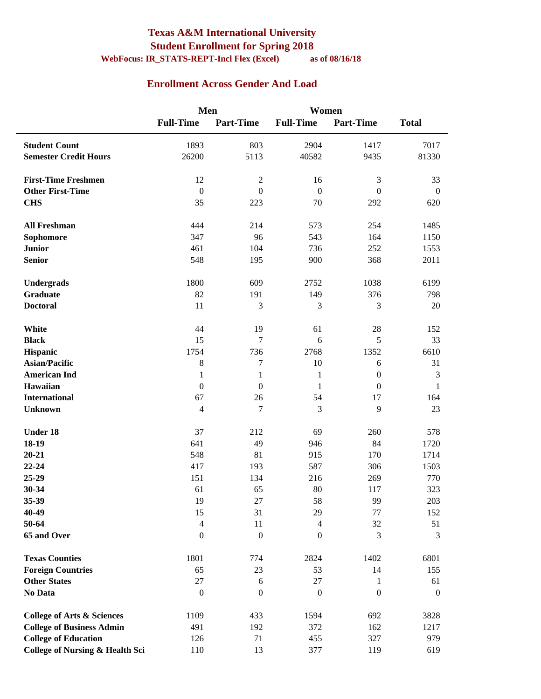#### **Texas A&M International University Student Enrollment for Spring 2018 WebFocus: IR\_STATS-REPT-Incl Flex (Excel) as of 08/16/18**

#### **Enrollment Across Gender And Load**

|                                            | Men              |                  | Women            |                  |                  |
|--------------------------------------------|------------------|------------------|------------------|------------------|------------------|
|                                            | <b>Full-Time</b> | <b>Part-Time</b> | <b>Full-Time</b> | <b>Part-Time</b> | <b>Total</b>     |
| <b>Student Count</b>                       | 1893             | 803              | 2904             | 1417             | 7017             |
| <b>Semester Credit Hours</b>               | 26200            | 5113             | 40582            | 9435             | 81330            |
| <b>First-Time Freshmen</b>                 | 12               | $\sqrt{2}$       | 16               | 3                | 33               |
| <b>Other First-Time</b>                    | $\boldsymbol{0}$ | $\boldsymbol{0}$ | $\boldsymbol{0}$ | $\boldsymbol{0}$ | $\boldsymbol{0}$ |
| <b>CHS</b>                                 | 35               | 223              | 70               | 292              | 620              |
| <b>All Freshman</b>                        | 444              | 214              | 573              | 254              | 1485             |
| Sophomore                                  | 347              | 96               | 543              | 164              | 1150             |
| <b>Junior</b>                              | 461              | 104              | 736              | 252              | 1553             |
| <b>Senior</b>                              | 548              | 195              | 900              | 368              | 2011             |
| Undergrads                                 | 1800             | 609              | 2752             | 1038             | 6199             |
| <b>Graduate</b>                            | 82               | 191              | 149              | 376              | 798              |
| <b>Doctoral</b>                            | 11               | 3                | 3                | 3                | 20               |
| White                                      | 44               | 19               | 61               | 28               | 152              |
| <b>Black</b>                               | 15               | 7                | 6                | 5                | 33               |
| Hispanic                                   | 1754             | 736              | 2768             | 1352             | 6610             |
| <b>Asian/Pacific</b>                       | $\,8\,$          | $\tau$           | 10               | 6                | 31               |
| <b>American Ind</b>                        | $\mathbf{1}$     | $\mathbf{1}$     | $\mathbf{1}$     | $\boldsymbol{0}$ | 3                |
| Hawaiian                                   | $\boldsymbol{0}$ | $\boldsymbol{0}$ | 1                | $\boldsymbol{0}$ | $\mathbf{1}$     |
| <b>International</b>                       | 67               | 26               | 54               | 17               | 164              |
| <b>Unknown</b>                             | $\overline{4}$   | $\tau$           | 3                | 9                | 23               |
| <b>Under 18</b>                            | 37               | 212              | 69               | 260              | 578              |
| 18-19                                      | 641              | 49               | 946              | 84               | 1720             |
| $20 - 21$                                  | 548              | 81               | 915              | 170              | 1714             |
| $22 - 24$                                  | 417              | 193              | 587              | 306              | 1503             |
| 25-29                                      | 151              | 134              | 216              | 269              | 770              |
| 30-34                                      | 61               | 65               | 80               | 117              | 323              |
| 35-39                                      | 19               | $27\,$           | 58               | 99               | 203              |
| 40-49                                      | 15               | 31               | 29               | 77               | 152              |
| 50-64                                      | $\overline{4}$   | 11               | $\overline{4}$   | 32               | 51               |
| 65 and Over                                | $\boldsymbol{0}$ | $\boldsymbol{0}$ | $\boldsymbol{0}$ | 3                | 3                |
| <b>Texas Counties</b>                      | 1801             | 774              | 2824             | 1402             | 6801             |
| <b>Foreign Countries</b>                   | 65               | 23               | 53               | 14               | 155              |
| <b>Other States</b>                        | $27\,$           | 6                | 27               | 1                | 61               |
| No Data                                    | $\boldsymbol{0}$ | $\theta$         | $\boldsymbol{0}$ | $\boldsymbol{0}$ | $\boldsymbol{0}$ |
| <b>College of Arts &amp; Sciences</b>      | 1109             | 433              | 1594             | 692              | 3828             |
| <b>College of Business Admin</b>           | 491              | 192              | 372              | 162              | 1217             |
| <b>College of Education</b>                | 126              | 71               | 455              | 327              | 979              |
| <b>College of Nursing &amp; Health Sci</b> | 110              | 13               | 377              | 119              | 619              |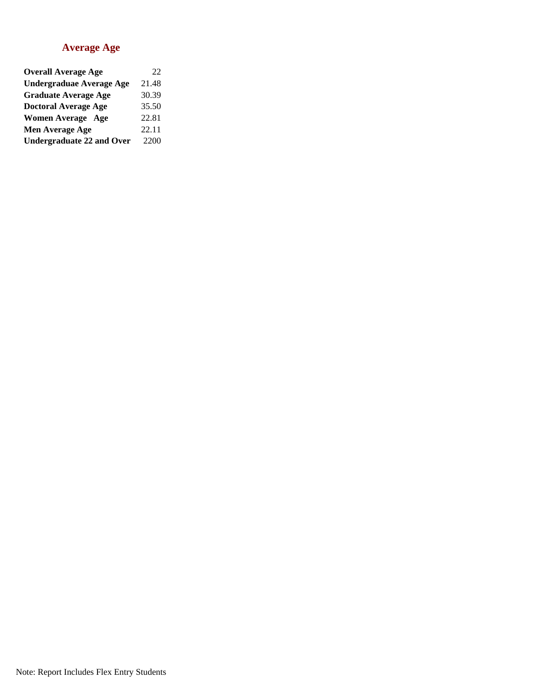#### **Average Age**

| <b>Overall Average Age</b>       | 22    |
|----------------------------------|-------|
| <b>Undergraduae Average Age</b>  | 21.48 |
| <b>Graduate Average Age</b>      | 30.39 |
| <b>Doctoral Average Age</b>      | 35.50 |
| <b>Women Average Age</b>         | 22.81 |
| Men Average Age                  | 22.11 |
| <b>Undergraduate 22 and Over</b> | 2200  |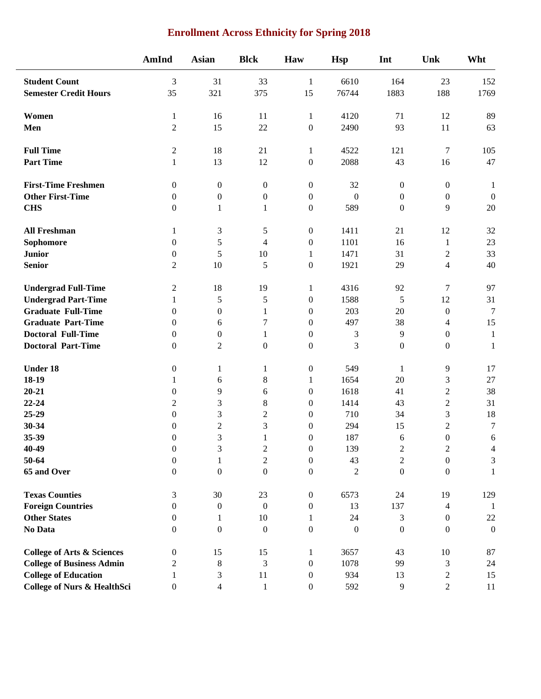| <b>Enrollment Across Ethnicity for Spring 2018</b> |  |  |  |
|----------------------------------------------------|--|--|--|
|----------------------------------------------------|--|--|--|

|                                        | AmInd            | <b>Asian</b>     | <b>Blck</b>      | Haw              | <b>Hsp</b>       | Int              | Unk              | Wht              |
|----------------------------------------|------------------|------------------|------------------|------------------|------------------|------------------|------------------|------------------|
| <b>Student Count</b>                   | 3                | 31               | 33               | $\mathbf{1}$     | 6610             | 164              | 23               | 152              |
| <b>Semester Credit Hours</b>           | 35               | 321              | 375              | 15               | 76744            | 1883             | 188              | 1769             |
| Women                                  | $\mathbf{1}$     | 16               | 11               | $\mathbf{1}$     | 4120             | 71               | 12               | 89               |
| Men                                    | $\overline{2}$   | 15               | 22               | $\boldsymbol{0}$ | 2490             | 93               | 11               | 63               |
| <b>Full Time</b>                       | $\mathbf{2}$     | 18               | 21               | 1                | 4522             | 121              | $\boldsymbol{7}$ | 105              |
| <b>Part Time</b>                       | $\mathbf{1}$     | 13               | 12               | $\boldsymbol{0}$ | 2088             | 43               | 16               | 47               |
| <b>First-Time Freshmen</b>             | $\boldsymbol{0}$ | $\boldsymbol{0}$ | $\boldsymbol{0}$ | $\boldsymbol{0}$ | 32               | $\boldsymbol{0}$ | $\boldsymbol{0}$ | 1                |
| <b>Other First-Time</b>                | $\boldsymbol{0}$ | $\boldsymbol{0}$ | $\boldsymbol{0}$ | $\boldsymbol{0}$ | $\mathbf{0}$     | $\boldsymbol{0}$ | $\boldsymbol{0}$ | $\boldsymbol{0}$ |
| <b>CHS</b>                             | $\boldsymbol{0}$ | $\mathbf{1}$     | $\mathbf{1}$     | $\boldsymbol{0}$ | 589              | $\mathbf{0}$     | 9                | 20               |
| <b>All Freshman</b>                    | $\mathbf{1}$     | 3                | $\mathfrak s$    | $\boldsymbol{0}$ | 1411             | 21               | 12               | 32               |
| Sophomore                              | $\boldsymbol{0}$ | 5                | 4                | $\boldsymbol{0}$ | 1101             | 16               | $\mathbf{1}$     | 23               |
| <b>Junior</b>                          | $\boldsymbol{0}$ | 5                | 10               | $\mathbf{1}$     | 1471             | 31               | $\overline{2}$   | 33               |
| <b>Senior</b>                          | $\overline{2}$   | 10               | 5                | $\boldsymbol{0}$ | 1921             | 29               | 4                | 40               |
| <b>Undergrad Full-Time</b>             | 2                | 18               | 19               | 1                | 4316             | 92               | $\tau$           | 97               |
| <b>Undergrad Part-Time</b>             | $\mathbf{1}$     | $\sqrt{5}$       | $\mathfrak s$    | $\boldsymbol{0}$ | 1588             | 5                | 12               | 31               |
| <b>Graduate Full-Time</b>              | $\theta$         | $\boldsymbol{0}$ | $\mathbf{1}$     | $\overline{0}$   | 203              | 20               | $\mathbf{0}$     | $\boldsymbol{7}$ |
| <b>Graduate Part-Time</b>              | $\overline{0}$   | 6                | $\tau$           | $\boldsymbol{0}$ | 497              | 38               | 4                | 15               |
| <b>Doctoral Full-Time</b>              | $\boldsymbol{0}$ | $\boldsymbol{0}$ | 1                | $\boldsymbol{0}$ | $\mathfrak{Z}$   | 9                | $\boldsymbol{0}$ | $\mathbf{1}$     |
| <b>Doctoral Part-Time</b>              | $\boldsymbol{0}$ | $\overline{2}$   | $\boldsymbol{0}$ | $\boldsymbol{0}$ | $\overline{3}$   | $\boldsymbol{0}$ | $\boldsymbol{0}$ | $\mathbf 1$      |
| <b>Under 18</b>                        | $\boldsymbol{0}$ | $\mathbf{1}$     | $\mathbf{1}$     | $\boldsymbol{0}$ | 549              | $\mathbf{1}$     | 9                | 17               |
| 18-19                                  | $\mathbf{1}$     | 6                | $8\,$            | 1                | 1654             | 20               | 3                | 27               |
| $20 - 21$                              | $\boldsymbol{0}$ | 9                | 6                | $\boldsymbol{0}$ | 1618             | 41               | $\overline{2}$   | 38               |
| 22-24                                  | $\overline{c}$   | 3                | $\,8\,$          | $\boldsymbol{0}$ | 1414             | 43               | $\overline{2}$   | 31               |
| 25-29                                  | $\boldsymbol{0}$ | 3                | $\overline{c}$   | $\boldsymbol{0}$ | 710              | 34               | 3                | 18               |
| $30 - 34$                              | $\boldsymbol{0}$ | $\mathfrak 2$    | 3                | $\boldsymbol{0}$ | 294              | 15               | $\overline{2}$   | $\boldsymbol{7}$ |
| 35-39                                  | $\boldsymbol{0}$ | 3                | 1                | $\boldsymbol{0}$ | 187              | 6                | $\boldsymbol{0}$ | 6                |
| 40-49                                  | $\mathbf{0}$     | 3                | 2                | $\theta$         | 139              | 2                | 2                | 4                |
| 50-64                                  | $\boldsymbol{0}$ | 1                | $\mathbf{2}$     | $\boldsymbol{0}$ | 43               | $\overline{c}$   | $\boldsymbol{0}$ | $\mathfrak 3$    |
| 65 and Over                            | $\boldsymbol{0}$ | $\boldsymbol{0}$ | $\boldsymbol{0}$ | $\boldsymbol{0}$ | $\overline{2}$   | $\boldsymbol{0}$ | $\boldsymbol{0}$ | $\mathbf{1}$     |
| <b>Texas Counties</b>                  | 3                | 30               | 23               | $\boldsymbol{0}$ | 6573             | 24               | 19               | 129              |
| <b>Foreign Countries</b>               | $\boldsymbol{0}$ | $\boldsymbol{0}$ | $\boldsymbol{0}$ | $\boldsymbol{0}$ | 13               | 137              | $\overline{4}$   | 1                |
| <b>Other States</b>                    | $\boldsymbol{0}$ | 1                | 10               | 1                | 24               | 3                | $\overline{0}$   | $22\,$           |
| No Data                                | $\boldsymbol{0}$ | $\boldsymbol{0}$ | $\boldsymbol{0}$ | $\boldsymbol{0}$ | $\boldsymbol{0}$ | $\boldsymbol{0}$ | $\boldsymbol{0}$ | $\boldsymbol{0}$ |
| <b>College of Arts &amp; Sciences</b>  | $\boldsymbol{0}$ | 15               | 15               | $\mathbf{1}$     | 3657             | 43               | 10               | 87               |
| <b>College of Business Admin</b>       | $\overline{c}$   | $8\,$            | $\mathfrak{Z}$   | $\boldsymbol{0}$ | 1078             | 99               | 3                | 24               |
| <b>College of Education</b>            | 1                | $\mathfrak{Z}$   | 11               | $\boldsymbol{0}$ | 934              | 13               | $\mathbf{2}$     | 15               |
| <b>College of Nurs &amp; HealthSci</b> | $\boldsymbol{0}$ | $\overline{4}$   | $\mathbf{1}$     | $\boldsymbol{0}$ | 592              | $\overline{9}$   | $\sqrt{2}$       | $11\,$           |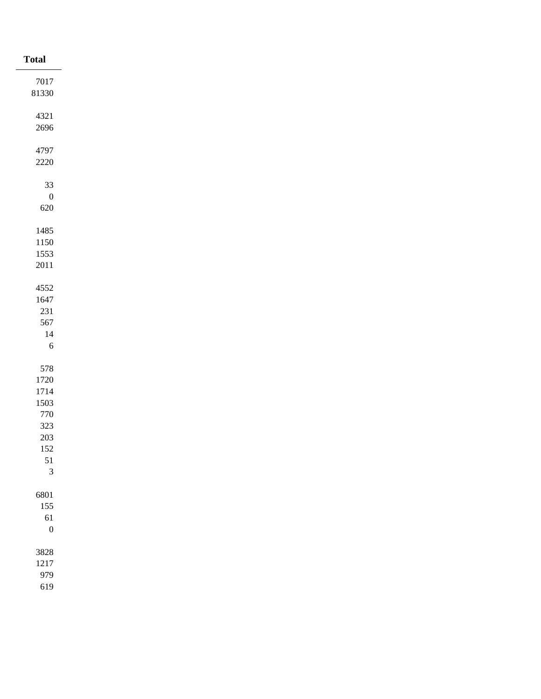| <b>Total</b>                |
|-----------------------------|
| 7017                        |
| $81330\,$                   |
|                             |
| 4321                        |
| 2696                        |
| 4797                        |
| $2220\,$                    |
|                             |
| $33\,$                      |
| $\boldsymbol{0}$<br>$620\,$ |
|                             |
| 1485                        |
| 1150                        |
| 1553                        |
| $2011\,$                    |
| 4552                        |
| 1647                        |
| $231\,$                     |
| 567                         |
| $14\,$                      |
| $\sqrt{6}$                  |
|                             |
| 578<br>1720                 |
| 1714                        |
| 1503                        |
| $770\,$                     |
| $323\,$                     |
| 203                         |
| $152\,$                     |
| $51\,$<br>$\overline{3}$    |
|                             |
| 6801                        |
| $155\,$                     |
| 61                          |
| $\boldsymbol{0}$            |
| 3828                        |
| 1217                        |
| 979                         |
| 619                         |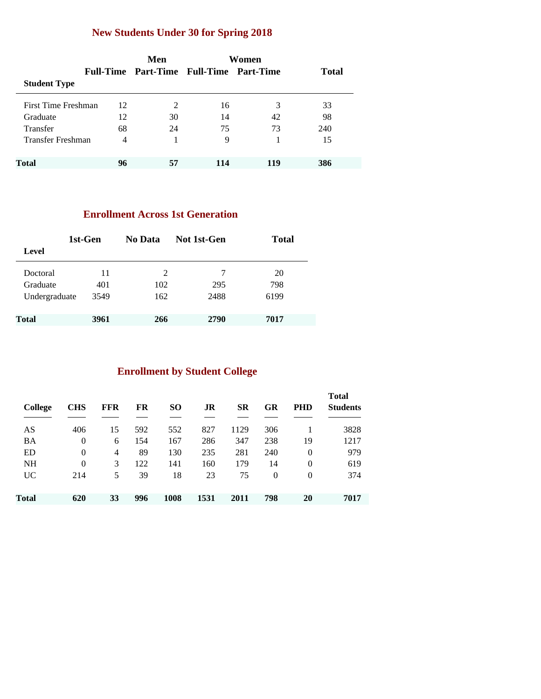### **New Students Under 30 for Spring 2018**

|                     |    | Men                                     |     | Women |              |
|---------------------|----|-----------------------------------------|-----|-------|--------------|
|                     |    | Full-Time Part-Time Full-Time Part-Time |     |       | <b>Total</b> |
| <b>Student Type</b> |    |                                         |     |       |              |
| First Time Freshman | 12 | 2                                       | 16  | 3     | 33           |
| Graduate            | 12 | 30                                      | 14  | 42    | 98           |
| <b>Transfer</b>     | 68 | 24                                      | 75  | 73    | 240          |
| Transfer Freshman   | 4  |                                         | 9   |       | 15           |
|                     |    |                                         |     |       |              |
| <b>Total</b>        | 96 | 57                                      | 114 | 119   | 386          |

#### **Enrollment Across 1st Generation**

|               | 1st-Gen | No Data | Not 1st-Gen | <b>Total</b> |
|---------------|---------|---------|-------------|--------------|
| Level         |         |         |             |              |
| Doctoral      | 11      | 2       | 7           | 20           |
| Graduate      | 401     | 102     | 295         | 798          |
| Undergraduate | 3549    | 162     | 2488        | 6199         |
| <b>Total</b>  | 3961    | 266     | 2790        | 7017         |

### **Enrollment by Student College**

| <b>College</b> | <b>CHS</b>     | FFR | FR  | <b>SO</b> | JR   | <b>SR</b> | GR       | <b>PHD</b> | <b>Total</b><br><b>Students</b> |
|----------------|----------------|-----|-----|-----------|------|-----------|----------|------------|---------------------------------|
| AS             | 406            | 15  | 592 | 552       | 827  | 1129      | 306      |            | 3828                            |
| <b>BA</b>      | $\overline{0}$ | 6   | 154 | 167       | 286  | 347       | 238      | 19         | 1217                            |
| ED             | $\overline{0}$ | 4   | 89  | 130       | 235  | 281       | 240      | $\theta$   | 979                             |
| <b>NH</b>      | $\theta$       | 3   | 122 | 141       | 160  | 179       | 14       | $\theta$   | 619                             |
| UC.            | 214            | 5   | 39  | 18        | 23   | 75        | $\Omega$ | $\theta$   | 374                             |
| Total          | 620            | 33  | 996 | 1008      | 1531 | 2011      | 798      | 20         | 7017                            |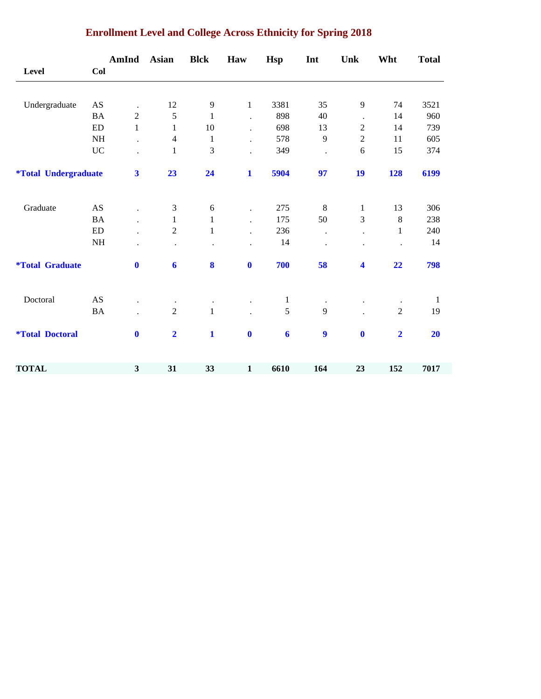|                                    |                            | AmInd                   | <b>Asian</b>            | <b>Blck</b>  | Haw                  | <b>Hsp</b>       | Int                  | Unk              | Wht                     | <b>Total</b> |
|------------------------------------|----------------------------|-------------------------|-------------------------|--------------|----------------------|------------------|----------------------|------------------|-------------------------|--------------|
| Level                              | Col                        |                         |                         |              |                      |                  |                      |                  |                         |              |
| Undergraduate                      | AS                         | $\ddot{\phantom{1}}$    | 12                      | 9            | $\,1$                | 3381             | 35                   | 9                | 74                      | 3521         |
|                                    | <b>BA</b>                  | $\overline{2}$          | 5                       | $\mathbf{1}$ | $\ddot{\phantom{a}}$ | 898              | 40                   | $\bullet$        | 14                      | 960          |
|                                    | ${\rm ED}$                 | $\mathbf{1}$            | $\mathbf{1}$            | 10           | $\cdot$              | 698              | 13                   | $\overline{c}$   | 14                      | 739          |
|                                    | <b>NH</b>                  |                         | $\overline{4}$          | $\mathbf{1}$ | $\ddot{\phantom{a}}$ | 578              | 9                    | $\boldsymbol{2}$ | 11                      | 605          |
|                                    | <b>UC</b>                  |                         | $\mathbf{1}$            | 3            |                      | 349              | $\ddot{\phantom{0}}$ | 6                | 15                      | 374          |
| <i><b>*Total Undergraduate</b></i> |                            | $\overline{\mathbf{3}}$ | 23                      | 24           | $\mathbf{1}$         | 5904             | 97                   | 19               | 128                     | 6199         |
| Graduate                           | AS                         |                         | $\mathfrak{Z}$          | $\sqrt{6}$   | $\ddot{\phantom{a}}$ | 275              | $\,8\,$              | $\mathbf{1}$     | 13                      | 306          |
|                                    | <b>BA</b>                  |                         | $\mathbf{1}$            | 1            |                      | 175              | 50                   | 3                | 8                       | 238          |
|                                    | $\mathop{\rm ED}\nolimits$ |                         | $\overline{2}$          | $\mathbf{1}$ | $\ddot{\phantom{a}}$ | 236              | $\cdot$              |                  | $\mathbf{1}$            | 240          |
|                                    | NH                         | $\ddot{\phantom{0}}$    |                         |              |                      | 14               | $\ddot{\phantom{a}}$ |                  |                         | 14           |
| <i><b>*Total Graduate</b></i>      |                            | $\bf{0}$                | $\boldsymbol{6}$        | $\bf{8}$     | $\boldsymbol{0}$     | 700              | 58                   | 4                | 22                      | 798          |
| Doctoral                           | AS                         |                         | $\cdot$                 |              |                      | $\mathbf{1}$     |                      |                  |                         | $\mathbf{1}$ |
|                                    | <b>BA</b>                  |                         | $\overline{2}$          | $\mathbf{1}$ |                      | 5                | 9                    |                  | $\overline{2}$          | 19           |
| <i><b>*Total Doctoral</b></i>      |                            | $\mathbf 0$             | $\overline{\mathbf{2}}$ | $\mathbf{1}$ | $\bf{0}$             | $\boldsymbol{6}$ | 9                    | $\mathbf 0$      | $\overline{\mathbf{2}}$ | 20           |
| <b>TOTAL</b>                       |                            | $\mathbf{3}$            | 31                      | 33           | $\mathbf{1}$         | 6610             | 164                  | 23               | 152                     | 7017         |

### **Enrollment Level and College Across Ethnicity for Spring 2018**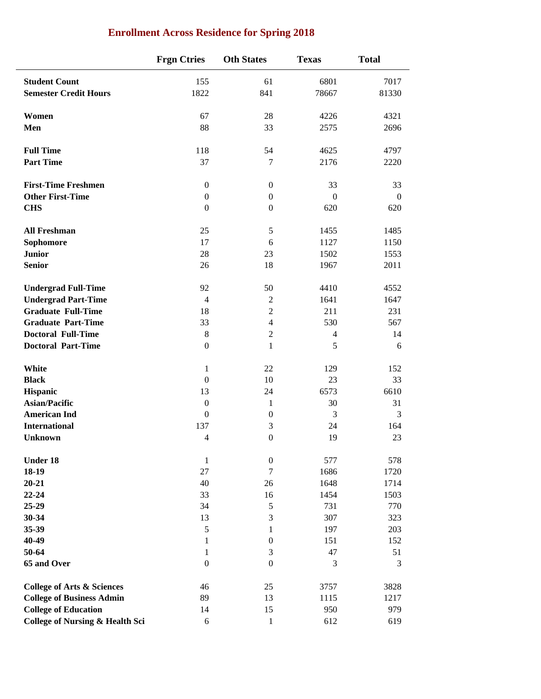|                                            | <b>Frgn Ctries</b> | <b>Oth States</b> | <b>Texas</b>     | <b>Total</b>     |
|--------------------------------------------|--------------------|-------------------|------------------|------------------|
| <b>Student Count</b>                       | 155                | 61                | 6801             | 7017             |
| <b>Semester Credit Hours</b>               | 1822               | 841               | 78667            | 81330            |
| Women                                      | 67                 | 28                | 4226             | 4321             |
| Men                                        | 88                 | 33                | 2575             | 2696             |
| <b>Full Time</b>                           | 118                | 54                | 4625             | 4797             |
| <b>Part Time</b>                           | 37                 | $\tau$            | 2176             | 2220             |
| <b>First-Time Freshmen</b>                 | $\boldsymbol{0}$   | $\boldsymbol{0}$  | 33               | 33               |
| <b>Other First-Time</b>                    | $\boldsymbol{0}$   | $\boldsymbol{0}$  | $\boldsymbol{0}$ | $\boldsymbol{0}$ |
| <b>CHS</b>                                 | $\boldsymbol{0}$   | $\boldsymbol{0}$  | 620              | 620              |
| <b>All Freshman</b>                        | 25                 | 5                 | 1455             | 1485             |
| Sophomore                                  | 17                 | 6                 | 1127             | 1150             |
| <b>Junior</b>                              | 28                 | 23                | 1502             | 1553             |
| <b>Senior</b>                              | 26                 | 18                | 1967             | 2011             |
| <b>Undergrad Full-Time</b>                 | 92                 | 50                | 4410             | 4552             |
| <b>Undergrad Part-Time</b>                 | $\overline{4}$     | $\mathbf{2}$      | 1641             | 1647             |
| <b>Graduate Full-Time</b>                  | 18                 | $\overline{2}$    | 211              | 231              |
| <b>Graduate Part-Time</b>                  | 33                 | $\overline{4}$    | 530              | 567              |
| <b>Doctoral Full-Time</b>                  | $\,8\,$            | $\sqrt{2}$        | $\overline{4}$   | 14               |
| <b>Doctoral Part-Time</b>                  | $\boldsymbol{0}$   | $\mathbf{1}$      | 5                | 6                |
| White                                      | 1                  | 22                | 129              | 152              |
| <b>Black</b>                               | $\boldsymbol{0}$   | 10                | 23               | 33               |
| Hispanic                                   | 13                 | 24                | 6573             | 6610             |
| <b>Asian/Pacific</b>                       | $\boldsymbol{0}$   | $\mathbf{1}$      | 30               | 31               |
| <b>American Ind</b>                        | $\boldsymbol{0}$   | $\boldsymbol{0}$  | 3                | 3                |
| <b>International</b>                       | 137                | 3                 | 24               | 164              |
| <b>Unknown</b>                             | 4                  | $\boldsymbol{0}$  | 19               | 23               |
| <b>Under 18</b>                            | $\mathbf 1$        | $\boldsymbol{0}$  | 577              | 578              |
| 18-19                                      | 27                 | $\tau$            | 1686             | 1720             |
| $20 - 21$                                  | 40                 | 26                | 1648             | 1714             |
| $22 - 24$                                  | 33                 | 16                | 1454             | 1503             |
| 25-29                                      | 34                 | $\mathfrak s$     | 731              | 770              |
| $30 - 34$                                  | 13                 | $\mathfrak{Z}$    | 307              | 323              |
| 35-39                                      | $\sqrt{5}$         | $\mathbf{1}$      | 197              | 203              |
| 40-49                                      | $\mathbf{1}$       | $\boldsymbol{0}$  | 151              | 152              |
| 50-64                                      | $\mathbf{1}$       | 3                 | 47               | 51               |
| 65 and Over                                | $\boldsymbol{0}$   | $\mathbf{0}$      | 3                | 3                |
| <b>College of Arts &amp; Sciences</b>      | 46                 | 25                | 3757             | 3828             |
| <b>College of Business Admin</b>           | 89                 | 13                | 1115             | 1217             |
| <b>College of Education</b>                | 14                 | 15                | 950              | 979              |
| <b>College of Nursing &amp; Health Sci</b> | 6                  | $\mathbf{1}$      | 612              | 619              |

# **Enrollment Across Residence for Spring 2018**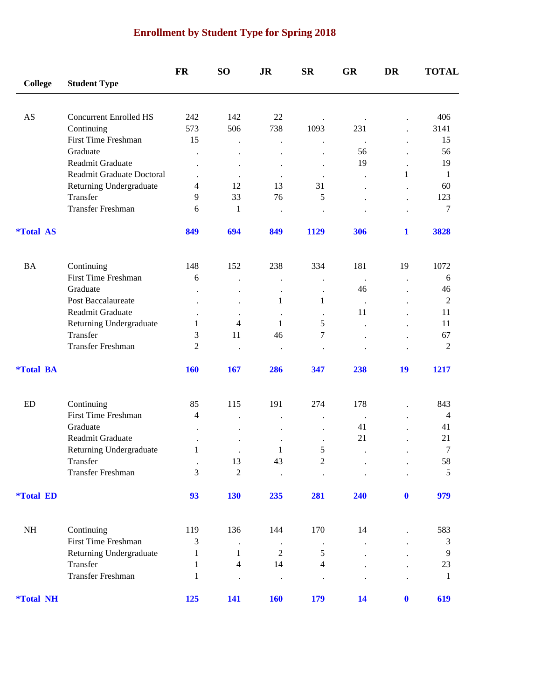# **Enrollment by Student Type for Spring 2018**

|                         |                               | FR                    | SO <sub>1</sub>      | <b>JR</b>            | <b>SR</b>            | <b>GR</b>            | DR                   | <b>TOTAL</b>   |
|-------------------------|-------------------------------|-----------------------|----------------------|----------------------|----------------------|----------------------|----------------------|----------------|
| <b>College</b>          | <b>Student Type</b>           |                       |                      |                      |                      |                      |                      |                |
| AS                      | <b>Concurrent Enrolled HS</b> | 242                   | 142                  | 22                   |                      |                      |                      | 406            |
|                         | Continuing                    | 573                   | 506                  | 738                  | 1093                 | 231                  |                      | 3141           |
|                         | <b>First Time Freshman</b>    | 15                    |                      |                      | $\ddot{\phantom{0}}$ | $\ddot{\phantom{1}}$ |                      | 15             |
|                         | Graduate                      | $\ddot{\phantom{0}}$  |                      |                      | $\ddot{\phantom{0}}$ | 56                   |                      | 56             |
|                         | Readmit Graduate              |                       | $\bullet$            |                      |                      | 19                   |                      | 19             |
|                         | Readmit Graduate Doctoral     |                       |                      |                      |                      | $\ddot{\phantom{0}}$ | 1                    | 1              |
|                         | Returning Undergraduate       | 4                     | 12                   | 13                   | 31                   |                      |                      | 60             |
|                         | Transfer                      | 9                     | 33                   | 76                   | 5                    |                      |                      | 123            |
|                         | Transfer Freshman             | 6                     | 1                    | $\ddot{\phantom{0}}$ |                      |                      |                      | 7              |
| <i><b>*Total AS</b></i> |                               | 849                   | 694                  | 849                  | 1129                 | 306                  | $\mathbf 1$          | 3828           |
| <b>BA</b>               | Continuing                    | 148                   | 152                  | 238                  | 334                  | 181                  | 19                   | 1072           |
|                         | <b>First Time Freshman</b>    | 6                     |                      |                      | $\ddot{\phantom{0}}$ | $\blacksquare$ .     | $\ddot{\phantom{0}}$ | 6              |
|                         | Graduate                      |                       |                      |                      | $\cdot$              | 46                   |                      | 46             |
|                         | Post Baccalaureate            |                       | $\ddot{\phantom{0}}$ | 1                    | 1                    | $\ddot{\phantom{a}}$ |                      | $\mathbf{2}$   |
|                         | Readmit Graduate              |                       |                      |                      |                      | 11                   |                      | 11             |
|                         | Returning Undergraduate       | 1                     | 4                    | $\mathbf{1}$         | 5                    |                      |                      | 11             |
|                         | Transfer                      | 3                     | 11                   | 46                   | 7                    |                      |                      | 67             |
|                         | Transfer Freshman             | $\overline{2}$        |                      |                      |                      |                      |                      | $\mathbf{2}$   |
| <i><b>*Total BA</b></i> |                               | <b>160</b>            | 167                  | 286                  | 347                  | 238                  | 19                   | 1217           |
| <b>ED</b>               | Continuing                    | 85                    | 115                  | 191                  | 274                  | 178                  |                      | 843            |
|                         | First Time Freshman           | 4                     |                      |                      | $\ddot{\phantom{0}}$ | $\blacksquare$ .     |                      | 4              |
|                         | Graduate                      |                       |                      |                      | $\ddot{\phantom{0}}$ | 41                   |                      | 41             |
|                         | Readmit Graduate              |                       |                      |                      |                      | 21                   |                      | 21             |
|                         | Returning Undergraduate       | 1                     |                      | 1                    | $\mathfrak s$        |                      |                      | 7              |
|                         | Transfer                      | $\bullet$             | 13                   | 43                   | $\boldsymbol{2}$     |                      |                      | 58             |
|                         | <b>Transfer Freshman</b>      | 3                     | $\sqrt{2}$           |                      |                      |                      |                      | 5              |
| <i><b>*Total ED</b></i> |                               | 93                    | 130                  | 235                  | 281                  | 240                  | $\mathbf{0}$         | 979            |
| $\rm NH$                | Continuing                    |                       | 136                  |                      | 170                  | 14                   |                      |                |
|                         | First Time Freshman           | 119<br>$\mathfrak{Z}$ |                      | 144                  |                      |                      |                      | 583<br>3       |
|                         | Returning Undergraduate       | 1                     | 1                    | $\overline{2}$       | $\sqrt{5}$           |                      |                      | $\overline{9}$ |
|                         | Transfer                      | $\mathbf{1}$          | $\overline{4}$       | 14                   | $\overline{4}$       |                      |                      | 23             |
|                         | Transfer Freshman             | $\mathbf{1}$          | $\bullet$            |                      |                      |                      |                      | $\mathbf{1}$   |
| <i><b>*Total NH</b></i> |                               | 125                   | 141                  | <b>160</b>           | 179                  | 14                   | $\mathbf{0}$         | 619            |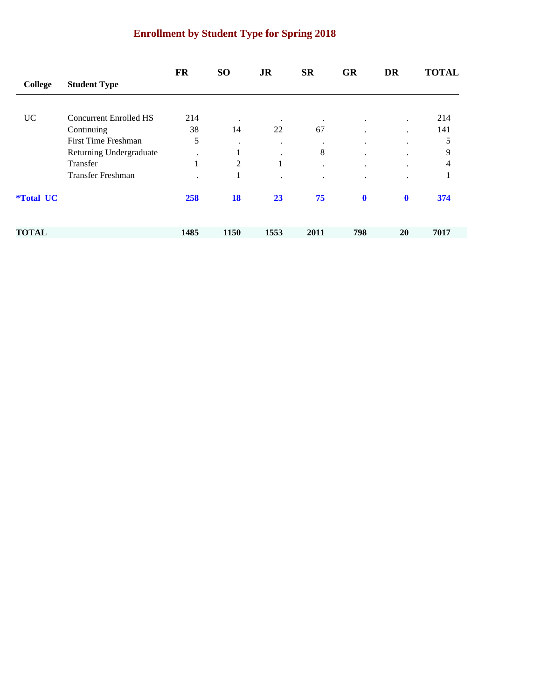# **Enrollment by Student Type for Spring 2018**

|                         |                            | <b>FR</b>                | <b>SO</b>      | <b>JR</b>            | <b>SR</b> | <b>GR</b>   | <b>DR</b>    | <b>TOTAL</b> |
|-------------------------|----------------------------|--------------------------|----------------|----------------------|-----------|-------------|--------------|--------------|
| <b>College</b>          | <b>Student Type</b>        |                          |                |                      |           |             |              |              |
|                         |                            |                          |                |                      |           |             |              |              |
| <b>UC</b>               | Concurrent Enrolled HS     | 214                      | $\bullet$      | $\cdot$              | $\bullet$ | $\cdot$     | $\cdot$      | 214          |
|                         | Continuing                 | 38                       | 14             | 22                   | 67        |             |              | 141          |
|                         | <b>First Time Freshman</b> | 5                        | $\cdot$        | $\ddot{\phantom{0}}$ | $\bullet$ | ٠           | ٠            | 5            |
|                         | Returning Undergraduate    | $\cdot$                  | -1             |                      | 8         |             |              | 9            |
|                         | Transfer                   | $\mathbf{I}$<br>$\bf{I}$ | $\overline{2}$ | 1                    | $\cdot$   |             |              | 4            |
|                         | <b>Transfer Freshman</b>   |                          | -1             |                      |           |             |              |              |
| <i><b>*Total UC</b></i> |                            | 258                      | <b>18</b>      | 23                   | 75        | $\mathbf 0$ | $\mathbf{0}$ | 374          |
| <b>TOTAL</b>            |                            | 1485                     | 1150           | 1553                 | 2011      | 798         | <b>20</b>    | 7017         |
|                         |                            |                          |                |                      |           |             |              |              |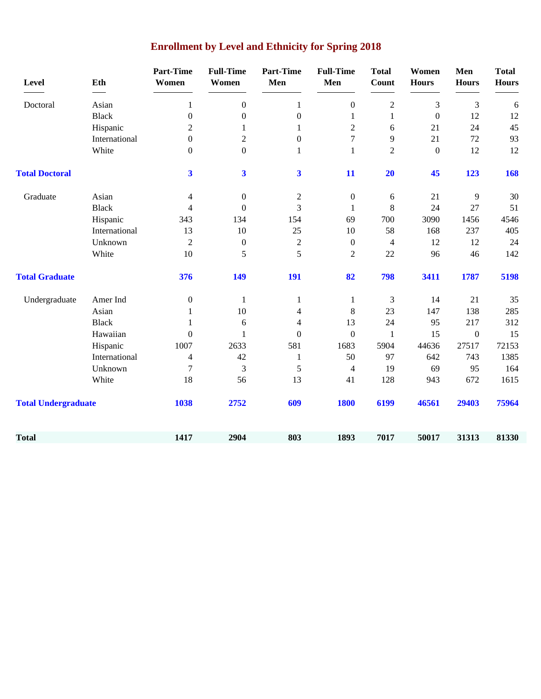| Level                      | Eth           | <b>Part-Time</b><br>Women | <b>Full-Time</b><br>Women | <b>Part-Time</b><br>Men | <b>Full-Time</b><br>Men  | <b>Total</b><br>Count | Women<br><b>Hours</b> | Men<br><b>Hours</b> | <b>Total</b><br><b>Hours</b> |
|----------------------------|---------------|---------------------------|---------------------------|-------------------------|--------------------------|-----------------------|-----------------------|---------------------|------------------------------|
| Doctoral                   | Asian         | 1                         | $\boldsymbol{0}$          | $\mathbf{1}$            | $\boldsymbol{0}$         | $\overline{2}$        | 3                     | 3                   | 6                            |
|                            | <b>Black</b>  | $\boldsymbol{0}$          | $\boldsymbol{0}$          | $\boldsymbol{0}$        | $\mathbf{1}$             | $\mathbf{1}$          | $\boldsymbol{0}$      | 12                  | 12                           |
|                            | Hispanic      | $\overline{2}$            | 1                         | $\mathbf{1}$            | $\overline{c}$           | 6                     | 21                    | 24                  | 45                           |
|                            | International | $\boldsymbol{0}$          | $\boldsymbol{2}$          | $\boldsymbol{0}$        | 7                        | 9                     | 21                    | $72\,$              | 93                           |
|                            | White         | $\boldsymbol{0}$          | $\boldsymbol{0}$          | $\mathbf{1}$            | $\mathbf{1}$             | $\overline{2}$        | $\boldsymbol{0}$      | 12                  | 12                           |
| <b>Total Doctoral</b>      |               | $\overline{\mathbf{3}}$   | $\overline{\mathbf{3}}$   | $\overline{\mathbf{3}}$ | 11                       | 20                    | 45                    | 123                 | 168                          |
| Graduate                   | Asian         | 4                         | $\boldsymbol{0}$          | $\boldsymbol{2}$        | $\boldsymbol{0}$         | 6                     | 21                    | 9                   | 30                           |
|                            | <b>Black</b>  | 4                         | $\boldsymbol{0}$          | 3                       | $\mathbf{1}$             | 8                     | 24                    | 27                  | 51                           |
|                            | Hispanic      | 343                       | 134                       | 154                     | 69                       | 700                   | 3090                  | 1456                | 4546                         |
|                            | International | 13                        | 10                        | 25                      | 10                       | 58                    | 168                   | 237                 | 405                          |
|                            | Unknown       | $\overline{2}$            | $\boldsymbol{0}$          | $\overline{2}$          | $\boldsymbol{0}$         | $\overline{4}$        | 12                    | 12                  | 24                           |
|                            | White         | 10                        | 5                         | 5                       | $\overline{2}$           | 22                    | 96                    | 46                  | 142                          |
| <b>Total Graduate</b>      |               | 376                       | 149                       | 191                     | 82                       | 798                   | 3411                  | 1787                | 5198                         |
| Undergraduate              | Amer Ind      | $\boldsymbol{0}$          | 1                         | $\mathbf{1}$            | $\mathbf{1}$             | 3                     | 14                    | 21                  | 35                           |
|                            | Asian         | 1                         | 10                        | 4                       | $\,8\,$                  | 23                    | 147                   | 138                 | 285                          |
|                            | <b>Black</b>  | $\mathbf{1}$              | 6                         | 4                       | 13                       | 24                    | 95                    | 217                 | 312                          |
|                            | Hawaiian      | $\boldsymbol{0}$          | 1                         | $\boldsymbol{0}$        | $\boldsymbol{0}$         | $\mathbf{1}$          | 15                    | $\boldsymbol{0}$    | 15                           |
|                            | Hispanic      | 1007                      | 2633                      | 581                     | 1683                     | 5904                  | 44636                 | 27517               | 72153                        |
|                            | International | 4                         | 42                        | $\mathbf{1}$            | 50                       | 97                    | 642                   | 743                 | 1385                         |
|                            | Unknown       | 7                         | 3                         | 5                       | $\overline{\mathcal{A}}$ | 19                    | 69                    | 95                  | 164                          |
|                            | White         | 18                        | 56                        | 13                      | 41                       | 128                   | 943                   | 672                 | 1615                         |
| <b>Total Undergraduate</b> |               | 1038                      | 2752                      | 609                     | <b>1800</b>              | 6199                  | 46561                 | 29403               | 75964                        |
| <b>Total</b>               |               | 1417                      | 2904                      | 803                     | 1893                     | 7017                  | 50017                 | 31313               | 81330                        |

# **Enrollment by Level and Ethnicity for Spring 2018**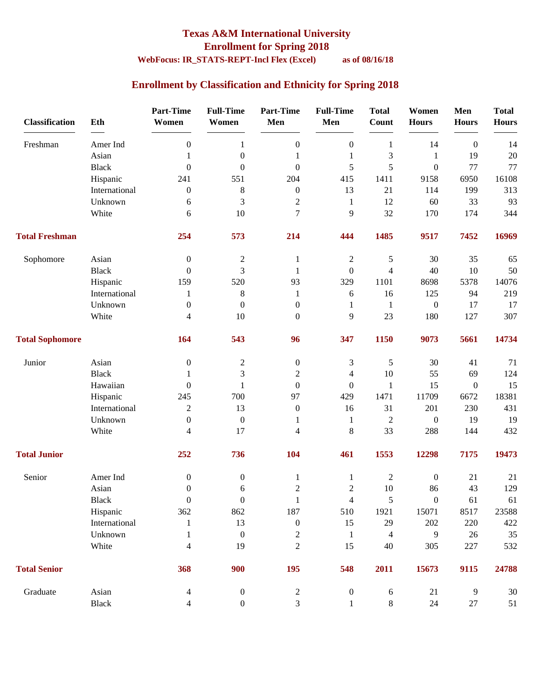### **Texas A&M International University Enrollment for Spring 2018**

# **WebFocus: IR\_STATS-REPT-Incl Flex (Excel) as of 08/16/18**

### **Enrollment by Classification and Ethnicity for Spring 2018**

| <b>Classification</b>  | Eth           | <b>Part-Time</b><br>Women | <b>Full-Time</b><br>Women | <b>Part-Time</b><br>Men  | <b>Full-Time</b><br>Men | <b>Total</b><br><b>Count</b> | Women<br><b>Hours</b> | Men<br><b>Hours</b> | <b>Total</b><br><b>Hours</b> |
|------------------------|---------------|---------------------------|---------------------------|--------------------------|-------------------------|------------------------------|-----------------------|---------------------|------------------------------|
| Freshman               | Amer Ind      | $\boldsymbol{0}$          | $\mathbf{1}$              | $\boldsymbol{0}$         | $\boldsymbol{0}$        | $\mathbf{1}$                 | 14                    | $\boldsymbol{0}$    | 14                           |
|                        | Asian         | 1                         | $\boldsymbol{0}$          | 1                        | 1                       | 3                            | $\mathbf{1}$          | 19                  | 20                           |
|                        | <b>Black</b>  | $\theta$                  | $\boldsymbol{0}$          | $\boldsymbol{0}$         | 5                       | 5                            | $\boldsymbol{0}$      | 77                  | 77                           |
|                        | Hispanic      | 241                       | 551                       | 204                      | 415                     | 1411                         | 9158                  | 6950                | 16108                        |
|                        | International | $\boldsymbol{0}$          | 8                         | $\boldsymbol{0}$         | 13                      | 21                           | 114                   | 199                 | 313                          |
|                        | Unknown       | 6                         | 3                         | $\overline{c}$           | 1                       | 12                           | 60                    | 33                  | 93                           |
|                        | White         | 6                         | 10                        | 7                        | 9                       | 32                           | 170                   | 174                 | 344                          |
| <b>Total Freshman</b>  |               | 254                       | 573                       | 214                      | 444                     | 1485                         | 9517                  | 7452                | 16969                        |
| Sophomore              | Asian         | $\theta$                  | $\boldsymbol{2}$          | 1                        | $\overline{c}$          | $\mathfrak s$                | 30                    | 35                  | 65                           |
|                        | <b>Black</b>  | $\theta$                  | 3                         | 1                        | $\boldsymbol{0}$        | $\overline{4}$               | 40                    | 10                  | 50                           |
|                        | Hispanic      | 159                       | 520                       | 93                       | 329                     | 1101                         | 8698                  | 5378                | 14076                        |
|                        | International | 1                         | $\,8\,$                   | $\mathbf{1}$             | 6                       | 16                           | 125                   | 94                  | 219                          |
|                        | Unknown       | $\boldsymbol{0}$          | $\boldsymbol{0}$          | $\boldsymbol{0}$         | 1                       | $\mathbf{1}$                 | $\boldsymbol{0}$      | 17                  | 17                           |
|                        | White         | $\overline{4}$            | 10                        | $\mathbf{0}$             | 9                       | 23                           | 180                   | 127                 | 307                          |
| <b>Total Sophomore</b> |               | 164                       | 543                       | 96                       | 347                     | 1150                         | 9073                  | 5661                | 14734                        |
| Junior                 | Asian         | $\boldsymbol{0}$          | $\boldsymbol{2}$          | $\boldsymbol{0}$         | 3                       | $\sqrt{5}$                   | 30                    | 41                  | 71                           |
|                        | <b>Black</b>  | 1                         | 3                         | $\overline{c}$           | $\overline{4}$          | 10                           | 55                    | 69                  | 124                          |
|                        | Hawaiian      | $\theta$                  | $\mathbf{1}$              | $\mathbf{0}$             | $\overline{0}$          | $\mathbf{1}$                 | 15                    | $\boldsymbol{0}$    | 15                           |
|                        | Hispanic      | 245                       | 700                       | 97                       | 429                     | 1471                         | 11709                 | 6672                | 18381                        |
|                        | International | $\mathbf{2}$              | 13                        | $\boldsymbol{0}$         | 16                      | 31                           | 201                   | 230                 | 431                          |
|                        | Unknown       | $\boldsymbol{0}$          | $\boldsymbol{0}$          | 1                        | $\mathbf{1}$            | $\mathfrak{2}$               | $\boldsymbol{0}$      | 19                  | 19                           |
|                        | White         | $\overline{4}$            | 17                        | $\overline{\mathcal{L}}$ | $8\,$                   | 33                           | 288                   | 144                 | 432                          |
| <b>Total Junior</b>    |               | 252                       | 736                       | 104                      | 461                     | 1553                         | 12298                 | 7175                | 19473                        |
| Senior                 | Amer Ind      | $\boldsymbol{0}$          | $\boldsymbol{0}$          | $\mathbf{1}$             | $\mathbf{1}$            | $\boldsymbol{2}$             | $\boldsymbol{0}$      | 21                  | 21                           |
|                        | Asian         | $\boldsymbol{0}$          | 6                         | $\overline{c}$           | $\mathfrak{2}$          | $10\,$                       | 86                    | 43                  | 129                          |
|                        | Black         | $\boldsymbol{0}$          | $\boldsymbol{0}$          | $\mathbf{1}$             | $\overline{4}$          | $\sqrt{5}$                   | $\mathbf{0}$          | 61                  | 61                           |
|                        | Hispanic      | 362                       | 862                       | 187                      | 510                     | 1921                         | 15071                 | 8517                | 23588                        |
|                        | International | $\mathbf{1}$              | 13                        | $\boldsymbol{0}$         | 15                      | 29                           | 202                   | 220                 | 422                          |
|                        | Unknown       | 1                         | $\boldsymbol{0}$          | $\overline{c}$           | $\mathbf{1}$            | 4                            | 9                     | 26                  | 35                           |
|                        | White         | $\overline{4}$            | 19                        | $\overline{c}$           | 15                      | 40                           | 305                   | 227                 | 532                          |
| <b>Total Senior</b>    |               | 368                       | 900                       | 195                      | 548                     | 2011                         | 15673                 | 9115                | 24788                        |
| Graduate               | Asian         | $\overline{4}$            | $\boldsymbol{0}$          | $\overline{c}$           | $\boldsymbol{0}$        | $\sqrt{6}$                   | 21                    | 9                   | 30                           |
|                        | Black         | 4                         | $\boldsymbol{0}$          | 3                        | $\mathbf{1}$            | $8\,$                        | 24                    | 27                  | 51                           |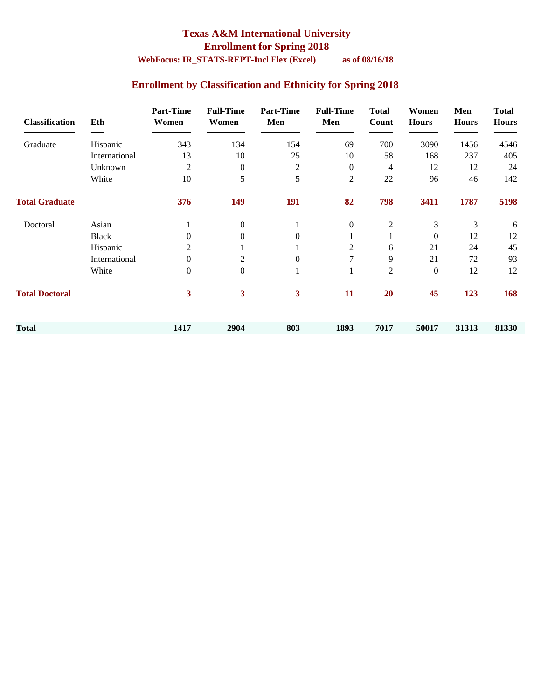### **Texas A&M International University Enrollment for Spring 2018**

### **WebFocus: IR\_STATS-REPT-Incl Flex (Excel) as of 08/16/18**

### **Enrollment by Classification and Ethnicity for Spring 2018**

| <b>Classification</b> | Eth           | <b>Part-Time</b><br>Women | <b>Full-Time</b><br>Women | <b>Part-Time</b><br>Men | <b>Full-Time</b><br>Men | <b>Total</b><br>Count | Women<br><b>Hours</b> | Men<br><b>Hours</b> | <b>Total</b><br><b>Hours</b> |
|-----------------------|---------------|---------------------------|---------------------------|-------------------------|-------------------------|-----------------------|-----------------------|---------------------|------------------------------|
| Graduate              | Hispanic      | 343                       | 134                       | 154                     | 69                      | 700                   | 3090                  | 1456                | 4546                         |
|                       | International | 13                        | 10                        | 25                      | 10                      | 58                    | 168                   | 237                 | 405                          |
|                       | Unknown       | 2                         | $\boldsymbol{0}$          | $\overline{c}$          | $\boldsymbol{0}$        | 4                     | 12                    | 12                  | 24                           |
|                       | White         | 10                        | 5                         | 5                       | 2                       | 22                    | 96                    | 46                  | 142                          |
| <b>Total Graduate</b> |               | 376                       | 149                       | 191                     | 82                      | 798                   | 3411                  | 1787                | 5198                         |
| Doctoral              | Asian         |                           | $\overline{0}$            |                         | $\boldsymbol{0}$        | $\overline{2}$        | 3                     | 3                   | 6                            |
|                       | <b>Black</b>  | $\Omega$                  | $\mathbf{0}$              | $\Omega$                |                         |                       | $\boldsymbol{0}$      | 12                  | 12                           |
|                       | Hispanic      | 2                         |                           |                         | 2                       | 6                     | 21                    | 24                  | 45                           |
|                       | International | $\boldsymbol{0}$          | 2                         | $\boldsymbol{0}$        | 7                       | 9                     | 21                    | 72                  | 93                           |
|                       | White         | $\boldsymbol{0}$          | $\overline{0}$            | 1                       | $\mathbf{I}$            | $\overline{c}$        | $\boldsymbol{0}$      | 12                  | 12                           |
| <b>Total Doctoral</b> |               | 3                         | 3                         | 3                       | 11                      | 20                    | 45                    | 123                 | 168                          |
| <b>Total</b>          |               | 1417                      | 2904                      | 803                     | 1893                    | 7017                  | 50017                 | 31313               | 81330                        |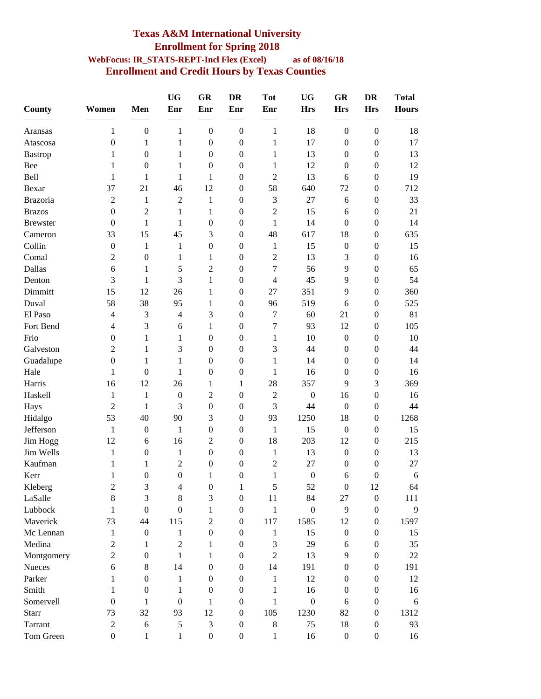#### **Texas A&M International University Enrollment for Spring 2018 WebFocus: IR\_STATS-REPT-Incl Flex (Excel) as of 08/16/18 Enrollment and Credit Hours by Texas Counties**

| <b>County</b>   | Women                    | Men              | <b>UG</b><br>Enr | GR<br>Enr        | <b>DR</b><br>Enr | <b>Tot</b><br>Enr | <b>UG</b><br><b>Hrs</b> | GR<br><b>Hrs</b> | <b>DR</b><br><b>Hrs</b> | <b>Total</b><br><b>Hours</b> |
|-----------------|--------------------------|------------------|------------------|------------------|------------------|-------------------|-------------------------|------------------|-------------------------|------------------------------|
|                 |                          |                  |                  |                  |                  |                   |                         |                  |                         |                              |
| Aransas         | 1                        | $\boldsymbol{0}$ | $\mathbf{1}$     | $\boldsymbol{0}$ | $\boldsymbol{0}$ | $\mathbf{1}$      | 18                      | $\boldsymbol{0}$ | $\boldsymbol{0}$        | 18                           |
| Atascosa        | $\boldsymbol{0}$         | 1                | $\mathbf{1}$     | $\boldsymbol{0}$ | $\boldsymbol{0}$ | 1                 | 17                      | $\boldsymbol{0}$ | $\boldsymbol{0}$        | 17                           |
| <b>Bastrop</b>  | 1                        | $\boldsymbol{0}$ | 1                | $\boldsymbol{0}$ | $\boldsymbol{0}$ | 1                 | 13                      | $\boldsymbol{0}$ | $\boldsymbol{0}$        | 13                           |
| Bee             | 1                        | $\boldsymbol{0}$ | 1                | $\boldsymbol{0}$ | $\boldsymbol{0}$ | 1                 | 12                      | $\boldsymbol{0}$ | $\boldsymbol{0}$        | 12                           |
| Bell            | 1                        | $\mathbf{1}$     | $\mathbf{1}$     | $\mathbf{1}$     | $\boldsymbol{0}$ | $\overline{2}$    | 13                      | 6                | $\boldsymbol{0}$        | 19                           |
| Bexar           | 37                       | 21               | 46               | 12               | $\boldsymbol{0}$ | 58                | 640                     | 72               | $\boldsymbol{0}$        | 712                          |
| <b>Brazoria</b> | 2                        | 1                | 2                | $\mathbf{1}$     | $\boldsymbol{0}$ | $\mathfrak{Z}$    | 27                      | 6                | $\boldsymbol{0}$        | 33                           |
| <b>Brazos</b>   | $\boldsymbol{0}$         | 2                | $\mathbf{1}$     | $\mathbf{1}$     | $\boldsymbol{0}$ | $\overline{2}$    | 15                      | 6                | $\boldsymbol{0}$        | 21                           |
| <b>Brewster</b> | $\mathbf{0}$             | 1                | 1                | 0                | $\boldsymbol{0}$ | $\mathbf{1}$      | 14                      | $\boldsymbol{0}$ | $\boldsymbol{0}$        | 14                           |
| Cameron         | 33                       | 15               | 45               | 3                | $\boldsymbol{0}$ | 48                | 617                     | 18               | $\boldsymbol{0}$        | 635                          |
| Collin          | $\boldsymbol{0}$         | 1                | $\mathbf{1}$     | $\boldsymbol{0}$ | $\boldsymbol{0}$ | $\mathbf{1}$      | 15                      | $\boldsymbol{0}$ | $\boldsymbol{0}$        | 15                           |
| Comal           | $\overline{2}$           | $\boldsymbol{0}$ | 1                | 1                | $\boldsymbol{0}$ | $\overline{2}$    | 13                      | 3                | $\boldsymbol{0}$        | 16                           |
| Dallas          | 6                        | 1                | 5                | $\overline{2}$   | $\boldsymbol{0}$ | $\boldsymbol{7}$  | 56                      | 9                | $\mathbf{0}$            | 65                           |
| Denton          | 3                        | 1                | 3                | $\mathbf{1}$     | $\boldsymbol{0}$ | $\overline{4}$    | 45                      | 9                | $\boldsymbol{0}$        | 54                           |
| Dimmitt         | 15                       | 12               | 26               | 1                | $\boldsymbol{0}$ | 27                | 351                     | 9                | $\mathbf{0}$            | 360                          |
| Duval           | 58                       | 38               | 95               | $\mathbf{1}$     | $\boldsymbol{0}$ | 96                | 519                     | 6                | $\boldsymbol{0}$        | 525                          |
| El Paso         | $\overline{\mathcal{L}}$ | 3                | $\overline{4}$   | 3                | $\boldsymbol{0}$ | $\tau$            | 60                      | 21               | $\boldsymbol{0}$        | 81                           |
| Fort Bend       | $\overline{\mathcal{L}}$ | 3                | 6                | 1                | $\boldsymbol{0}$ | 7                 | 93                      | 12               | $\boldsymbol{0}$        | 105                          |
| Frio            | $\mathbf{0}$             | 1                | 1                | $\boldsymbol{0}$ | $\boldsymbol{0}$ | $\mathbf{1}$      | 10                      | $\boldsymbol{0}$ | $\boldsymbol{0}$        | 10                           |
| Galveston       | 2                        | 1                | 3                | $\boldsymbol{0}$ | $\boldsymbol{0}$ | 3                 | 44                      | $\boldsymbol{0}$ | $\boldsymbol{0}$        | 44                           |
| Guadalupe       | $\boldsymbol{0}$         | 1                | 1                | $\boldsymbol{0}$ | $\boldsymbol{0}$ | 1                 | 14                      | $\boldsymbol{0}$ | $\boldsymbol{0}$        | 14                           |
| Hale            | 1                        | $\boldsymbol{0}$ | 1                | $\boldsymbol{0}$ | $\boldsymbol{0}$ | $\mathbf{1}$      | 16                      | $\boldsymbol{0}$ | $\boldsymbol{0}$        | 16                           |
| Harris          | 16                       | 12               | 26               | $\mathbf{1}$     | 1                | 28                | 357                     | 9                | 3                       | 369                          |
| Haskell         | 1                        | 1                | $\boldsymbol{0}$ | $\mathfrak{2}$   | $\boldsymbol{0}$ | $\overline{2}$    | $\boldsymbol{0}$        | 16               | $\boldsymbol{0}$        | 16                           |
| Hays            | $\overline{2}$           | 1                | 3                | $\boldsymbol{0}$ | $\boldsymbol{0}$ | 3                 | 44                      | $\mathbf{0}$     | $\mathbf{0}$            | 44                           |
| Hidalgo         | 53                       | 40               | 90               | 3                | $\boldsymbol{0}$ | 93                | 1250                    | 18               | $\boldsymbol{0}$        | 1268                         |
| Jefferson       | $\mathbf{1}$             | $\boldsymbol{0}$ | $\mathbf{1}$     | $\boldsymbol{0}$ | $\boldsymbol{0}$ | $\mathbf{1}$      | 15                      | $\boldsymbol{0}$ | $\boldsymbol{0}$        | 15                           |
| Jim Hogg        | 12                       | 6                | 16               | $\overline{2}$   | $\boldsymbol{0}$ | 18                | 203                     | 12               | $\boldsymbol{0}$        | 215                          |
| Jim Wells       | 1                        | $\boldsymbol{0}$ | $\mathbf{1}$     | $\boldsymbol{0}$ | $\boldsymbol{0}$ | $\mathbf{1}$      | 13                      | $\boldsymbol{0}$ | $\boldsymbol{0}$        | 13                           |
| Kaufman         | 1                        | 1                | $\mathfrak 2$    | $\boldsymbol{0}$ | $\boldsymbol{0}$ | $\overline{2}$    | 27                      | $\boldsymbol{0}$ | $\boldsymbol{0}$        | 27                           |
| Kerr            | 1                        | 0                | $\boldsymbol{0}$ | 1                | $\mathbf{0}$     | $\mathbf{1}$      | $\boldsymbol{0}$        | 6                | $\boldsymbol{0}$        | 6                            |
| Kleberg         | $\overline{c}$           | 3                | 4                | $\Omega$         | 1                | 5                 | 52                      | $\Omega$         | 12                      | 64                           |
| LaSalle         | 8                        | 3                | $8\,$            | 3                | $\boldsymbol{0}$ | 11                | 84                      | 27               | $\boldsymbol{0}$        | 111                          |
| Lubbock         | 1                        | $\boldsymbol{0}$ | $\boldsymbol{0}$ | $\mathbf{1}$     | $\boldsymbol{0}$ | $\mathbf{1}$      | $\boldsymbol{0}$        | 9                | $\boldsymbol{0}$        | 9                            |
| Maverick        | 73                       | 44               |                  | $\overline{2}$   | $\boldsymbol{0}$ |                   |                         | 12               |                         | 1597                         |
|                 |                          |                  | 115              |                  |                  | 117               | 1585                    |                  | $\boldsymbol{0}$        |                              |
| Mc Lennan       | 1                        | $\boldsymbol{0}$ | $\mathbf{1}$     | $\boldsymbol{0}$ | $\boldsymbol{0}$ | $\mathbf{1}$      | 15                      | $\boldsymbol{0}$ | $\boldsymbol{0}$        | 15                           |
| Medina          | $\overline{2}$           | 1                | $\mathfrak 2$    | 1                | $\mathbf{0}$     | $\mathfrak{Z}$    | 29                      | 6                | $\boldsymbol{0}$        | 35                           |
| Montgomery      | $\overline{2}$           | $\boldsymbol{0}$ | $\mathbf{1}$     | 1                | $\boldsymbol{0}$ | $\overline{2}$    | 13                      | 9                | $\boldsymbol{0}$        | 22                           |
| Nueces          | 6                        | 8                | 14               | $\boldsymbol{0}$ | $\boldsymbol{0}$ | 14                | 191                     | $\mathbf{0}$     | $\theta$                | 191                          |
| Parker          | 1                        | $\boldsymbol{0}$ | $\mathbf{1}$     | $\boldsymbol{0}$ | $\boldsymbol{0}$ | $\mathbf{1}$      | 12                      | $\mathbf{0}$     | $\theta$                | 12                           |
| Smith           | 1                        | $\boldsymbol{0}$ | 1                | $\boldsymbol{0}$ | $\boldsymbol{0}$ | $\mathbf{1}$      | 16                      | $\boldsymbol{0}$ | $\boldsymbol{0}$        | 16                           |
| Somervell       | $\mathbf{0}$             | 1                | $\boldsymbol{0}$ | 1                | $\boldsymbol{0}$ | 1                 | $\boldsymbol{0}$        | 6                | $\boldsymbol{0}$        | 6                            |
| <b>Starr</b>    | 73                       | 32               | 93               | 12               | $\mathbf{0}$     | 105               | 1230                    | 82               | $\boldsymbol{0}$        | 1312                         |
| Tarrant         | $\overline{c}$           | 6                | $\sqrt{5}$       | 3                | $\boldsymbol{0}$ | $8\,$             | 75                      | 18               | $\boldsymbol{0}$        | 93                           |
| Tom Green       | $\boldsymbol{0}$         | $\mathbf{1}$     | $\mathbf{1}$     | $\boldsymbol{0}$ | $\boldsymbol{0}$ | $\mathbf{1}$      | 16                      | $\boldsymbol{0}$ | $\boldsymbol{0}$        | 16                           |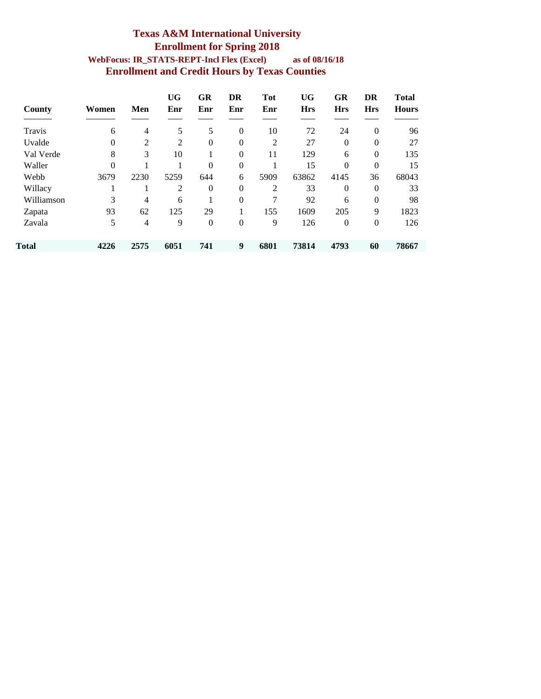#### **Texas A&M International University Enrollment for Spring 2018 WebFocus: IR\_STATS-REPT-Incl Flex (Excel) as of 08/16/18 Enrollment and Credit Hours by Texas Counties**

| County     | Women    | Men  | <b>UG</b><br>Enr | GR<br>Enr      | DR<br>Enr | <b>Tot</b><br>Enr | <b>UG</b><br><b>Hrs</b> | <b>GR</b><br><b>Hrs</b> | DR<br><b>Hrs</b> | <b>Total</b><br><b>Hours</b> |
|------------|----------|------|------------------|----------------|-----------|-------------------|-------------------------|-------------------------|------------------|------------------------------|
|            |          |      |                  |                |           |                   |                         |                         |                  |                              |
| Travis     | 6        | 4    | 5                | 5              | $\theta$  | 10                | 72                      | 24                      | $\mathbf{0}$     | 96                           |
| Uvalde     | $\theta$ | 2    | 2                | $\overline{0}$ | $\theta$  | 2                 | 27                      | $\theta$                | $\mathbf{0}$     | 27                           |
| Val Verde  | 8        | 3    | 10               |                | $\theta$  | 11                | 129                     | 6                       | $\mathbf{0}$     | 135                          |
| Waller     | $\theta$ |      |                  | $\theta$       | $\theta$  |                   | 15                      | $\theta$                | $\mathbf{0}$     | 15                           |
| Webb       | 3679     | 2230 | 5259             | 644            | 6         | 5909              | 63862                   | 4145                    | 36               | 68043                        |
| Willacy    |          |      | 2                | $\overline{0}$ | $\theta$  | $\overline{2}$    | 33                      | $\theta$                | $\theta$         | 33                           |
| Williamson | 3        | 4    | 6                |                | $\theta$  | 7                 | 92                      | 6                       | $\mathbf{0}$     | 98                           |
| Zapata     | 93       | 62   | 125              | 29             |           | 155               | 1609                    | 205                     | 9                | 1823                         |
| Zavala     | 5        | 4    | 9                | $\overline{0}$ | $\theta$  | 9                 | 126                     | $\theta$                | $\mathbf{0}$     | 126                          |
| Total      | 4226     | 2575 | 6051             | 741            | 9         | 6801              | 73814                   | 4793                    | 60               | 78667                        |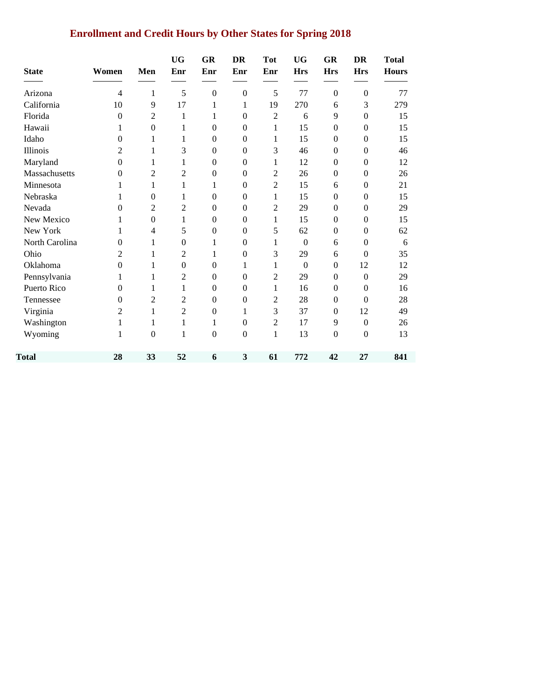### **Enrollment and Credit Hours by Other States for Spring 2018**

| <b>State</b>   | Women    | Men                      | <b>UG</b><br>Enr | <b>GR</b><br>Enr | <b>DR</b><br>Enr | <b>Tot</b><br>Enr | <b>UG</b><br><b>Hrs</b> | <b>GR</b><br><b>Hrs</b> | <b>DR</b><br><b>Hrs</b> | <b>Total</b><br><b>Hours</b> |
|----------------|----------|--------------------------|------------------|------------------|------------------|-------------------|-------------------------|-------------------------|-------------------------|------------------------------|
| Arizona        | 4        | 1                        | 5                | $\mathbf{0}$     | $\boldsymbol{0}$ | 5                 | 77                      | $\boldsymbol{0}$        | $\boldsymbol{0}$        | 77                           |
| California     | 10       | 9                        | 17               | 1                | 1                | 19                | 270                     | 6                       | 3                       | 279                          |
| Florida        | $\theta$ | $\overline{2}$           | 1                | 1                | $\boldsymbol{0}$ | $\overline{2}$    | 6                       | 9                       | $\mathbf{0}$            | 15                           |
| Hawaii         | 1        | $\boldsymbol{0}$         | 1                | $\boldsymbol{0}$ | $\boldsymbol{0}$ | 1                 | 15                      | $\boldsymbol{0}$        | $\boldsymbol{0}$        | 15                           |
| Idaho          | 0        | 1                        | 1                | $\boldsymbol{0}$ | $\mathbf{0}$     | 1                 | 15                      | $\boldsymbol{0}$        | $\mathbf{0}$            | 15                           |
| Illinois       | 2        | 1                        | 3                | $\boldsymbol{0}$ | $\mathbf{0}$     | 3                 | 46                      | $\boldsymbol{0}$        | $\boldsymbol{0}$        | 46                           |
| Maryland       | $\theta$ | 1                        | 1                | $\theta$         | $\mathbf{0}$     | 1                 | 12                      | $\boldsymbol{0}$        | $\mathbf{0}$            | 12                           |
| Massachusetts  | $\theta$ | $\overline{2}$           | $\overline{c}$   | $\boldsymbol{0}$ | $\Omega$         | 2                 | 26                      | $\boldsymbol{0}$        | $\boldsymbol{0}$        | 26                           |
| Minnesota      | 1        | 1                        | 1                | 1                | $\mathbf{0}$     | $\overline{2}$    | 15                      | 6                       | $\boldsymbol{0}$        | 21                           |
| Nebraska       | 1        | $\boldsymbol{0}$         | 1                | $\boldsymbol{0}$ | $\mathbf{0}$     | 1                 | 15                      | $\boldsymbol{0}$        | $\boldsymbol{0}$        | 15                           |
| Nevada         | $\theta$ | $\overline{2}$           | $\overline{2}$   | $\theta$         | $\Omega$         | $\overline{2}$    | 29                      | $\theta$                | $\mathbf{0}$            | 29                           |
| New Mexico     | 1        | $\boldsymbol{0}$         | 1                | $\theta$         | $\mathbf{0}$     | 1                 | 15                      | $\boldsymbol{0}$        | $\mathbf{0}$            | 15                           |
| New York       | 1        | $\overline{\mathcal{L}}$ | 5                | $\boldsymbol{0}$ | $\boldsymbol{0}$ | 5                 | 62                      | $\boldsymbol{0}$        | $\boldsymbol{0}$        | 62                           |
| North Carolina | $\theta$ | 1                        | $\boldsymbol{0}$ | 1                | $\mathbf{0}$     | 1                 | $\boldsymbol{0}$        | 6                       | $\boldsymbol{0}$        | 6                            |
| Ohio           | 2        | 1                        | $\overline{2}$   | 1                | $\boldsymbol{0}$ | 3                 | 29                      | 6                       | $\Omega$                | 35                           |
| Oklahoma       | $\theta$ | 1                        | $\mathbf{0}$     | $\Omega$         | 1                | 1                 | $\mathbf{0}$            | $\boldsymbol{0}$        | 12                      | 12                           |
| Pennsylvania   | 1        | 1                        | $\overline{2}$   | $\boldsymbol{0}$ | $\boldsymbol{0}$ | $\mathbf{2}$      | 29                      | $\boldsymbol{0}$        | $\boldsymbol{0}$        | 29                           |
| Puerto Rico    | $\theta$ | 1                        | 1                | $\boldsymbol{0}$ | $\mathbf{0}$     | 1                 | 16                      | $\boldsymbol{0}$        | $\theta$                | 16                           |
| Tennessee      | $\theta$ | $\overline{2}$           | 2                | $\boldsymbol{0}$ | $\mathbf{0}$     | $\mathbf{2}$      | 28                      | $\boldsymbol{0}$        | $\Omega$                | 28                           |
| Virginia       | 2        | 1                        | $\overline{2}$   | $\mathbf{0}$     | 1                | 3                 | 37                      | $\boldsymbol{0}$        | 12                      | 49                           |
| Washington     | 1        | 1                        | 1                | 1                | $\Omega$         | $\overline{2}$    | 17                      | 9                       | $\boldsymbol{0}$        | 26                           |
| Wyoming        | 1        | $\mathbf{0}$             | $\mathbf{1}$     | $\boldsymbol{0}$ | $\boldsymbol{0}$ | $\mathbf{1}$      | 13                      | $\boldsymbol{0}$        | $\boldsymbol{0}$        | 13                           |
| Total          | 28       | 33                       | 52               | 6                | 3                | 61                | 772                     | 42                      | 27                      | 841                          |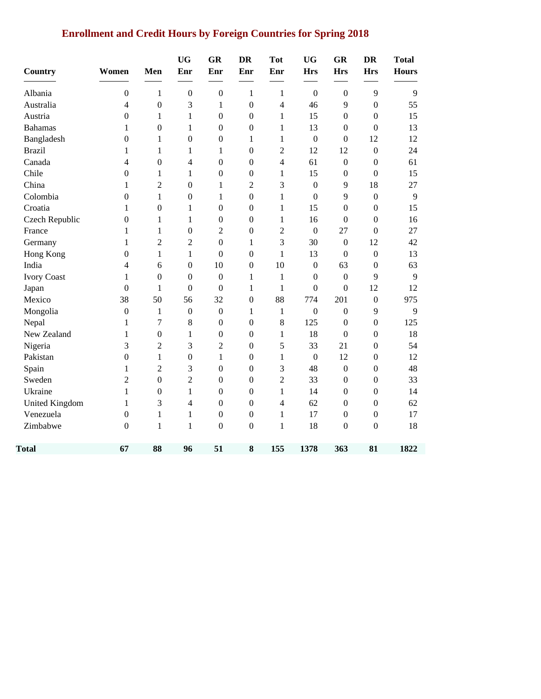# **Enrollment and Credit Hours by Foreign Countries for Spring 2018**

| <b>Country</b>     | Women            | Men              | <b>UG</b><br>Enr | <b>GR</b><br>Enr | <b>DR</b><br>Enr | <b>Tot</b><br>Enr | <b>UG</b><br><b>Hrs</b> | GR<br><b>Hrs</b> | <b>DR</b><br><b>Hrs</b> | <b>Total</b><br><b>Hours</b> |
|--------------------|------------------|------------------|------------------|------------------|------------------|-------------------|-------------------------|------------------|-------------------------|------------------------------|
| Albania            | $\boldsymbol{0}$ | $\mathbf{1}$     | $\boldsymbol{0}$ | $\boldsymbol{0}$ | 1                | $\mathbf{1}$      | $\boldsymbol{0}$        | $\boldsymbol{0}$ | 9                       | 9                            |
| Australia          | $\overline{4}$   | $\boldsymbol{0}$ | 3                | 1                | $\mathbf{0}$     | $\overline{4}$    | 46                      | 9                | $\boldsymbol{0}$        | 55                           |
| Austria            | $\mathbf{0}$     | 1                | $\mathbf{1}$     | $\overline{0}$   | $\theta$         | $\mathbf{1}$      | 15                      | $\overline{0}$   | $\theta$                | 15                           |
| <b>Bahamas</b>     | 1                | $\boldsymbol{0}$ | 1                | $\mathbf{0}$     | $\boldsymbol{0}$ | 1                 | 13                      | $\boldsymbol{0}$ | $\mathbf{0}$            | 13                           |
| Bangladesh         | $\boldsymbol{0}$ | 1                | $\boldsymbol{0}$ | $\boldsymbol{0}$ | 1                | $\mathbf{1}$      | $\boldsymbol{0}$        | $\boldsymbol{0}$ | 12                      | 12                           |
| <b>Brazil</b>      | 1                | 1                | 1                | 1                | $\boldsymbol{0}$ | $\overline{c}$    | 12                      | 12               | $\boldsymbol{0}$        | 24                           |
| Canada             | $\overline{4}$   | $\boldsymbol{0}$ | $\overline{4}$   | $\mathbf{0}$     | $\boldsymbol{0}$ | $\overline{4}$    | 61                      | $\mathbf{0}$     | $\boldsymbol{0}$        | 61                           |
| Chile              | $\boldsymbol{0}$ | 1                | $\mathbf{1}$     | $\mathbf{0}$     | $\boldsymbol{0}$ | $\mathbf{1}$      | 15                      | $\boldsymbol{0}$ | $\boldsymbol{0}$        | 15                           |
| China              | 1                | $\overline{c}$   | $\boldsymbol{0}$ | 1                | $\overline{2}$   | 3                 | $\boldsymbol{0}$        | 9                | 18                      | 27                           |
| Colombia           | $\boldsymbol{0}$ | 1                | $\boldsymbol{0}$ | 1                | $\mathbf{0}$     | $\mathbf{1}$      | $\mathbf{0}$            | 9                | $\boldsymbol{0}$        | 9                            |
| Croatia            | 1                | $\boldsymbol{0}$ | 1                | $\mathbf{0}$     | $\boldsymbol{0}$ | 1                 | 15                      | $\boldsymbol{0}$ | $\mathbf{0}$            | 15                           |
| Czech Republic     | $\boldsymbol{0}$ | 1                | $\mathbf{1}$     | $\mathbf{0}$     | $\boldsymbol{0}$ | $\mathbf{1}$      | 16                      | $\boldsymbol{0}$ | $\mathbf{0}$            | 16                           |
| France             | $\,1$            | $\mathbf{1}$     | $\boldsymbol{0}$ | $\overline{2}$   | $\boldsymbol{0}$ | $\overline{2}$    | $\boldsymbol{0}$        | 27               | $\boldsymbol{0}$        | 27                           |
| Germany            | $\mathbf{1}$     | $\overline{c}$   | $\overline{2}$   | $\boldsymbol{0}$ | $\mathbf{1}$     | 3                 | 30                      | $\boldsymbol{0}$ | 12                      | 42                           |
| Hong Kong          | $\boldsymbol{0}$ | $\mathbf{1}$     | $\mathbf{1}$     | $\boldsymbol{0}$ | $\mathbf{0}$     | $\mathbf{1}$      | 13                      | $\boldsymbol{0}$ | $\boldsymbol{0}$        | 13                           |
| India              | 4                | 6                | $\mathbf{0}$     | 10               | $\theta$         | 10                | $\overline{0}$          | 63               | $\boldsymbol{0}$        | 63                           |
| <b>Ivory Coast</b> | 1                | $\boldsymbol{0}$ | $\boldsymbol{0}$ | $\mathbf{0}$     | 1                | $\mathbf{1}$      | $\boldsymbol{0}$        | $\mathbf{0}$     | 9                       | 9                            |
| Japan              | $\boldsymbol{0}$ | $\mathbf{1}$     | $\boldsymbol{0}$ | $\mathbf{0}$     | 1                | $\mathbf{1}$      | $\boldsymbol{0}$        | $\boldsymbol{0}$ | 12                      | 12                           |
| Mexico             | 38               | 50               | 56               | 32               | $\mathbf{0}$     | 88                | 774                     | 201              | $\boldsymbol{0}$        | 975                          |
| Mongolia           | $\boldsymbol{0}$ | $\mathbf{1}$     | $\boldsymbol{0}$ | $\boldsymbol{0}$ | 1                | $\mathbf{1}$      | $\boldsymbol{0}$        | $\mathbf{0}$     | 9                       | 9                            |
| Nepal              | $\mathbf{1}$     | $\boldsymbol{7}$ | 8                | $\boldsymbol{0}$ | $\mathbf{0}$     | 8                 | 125                     | $\mathbf{0}$     | $\boldsymbol{0}$        | 125                          |
| New Zealand        | $\mathbf{1}$     | $\boldsymbol{0}$ | $\mathbf{1}$     | $\boldsymbol{0}$ | $\boldsymbol{0}$ | $\mathbf{1}$      | 18                      | $\boldsymbol{0}$ | $\boldsymbol{0}$        | 18                           |
| Nigeria            | 3                | $\overline{2}$   | 3                | $\overline{2}$   | $\mathbf{0}$     | 5                 | 33                      | 21               | $\boldsymbol{0}$        | 54                           |
| Pakistan           | $\boldsymbol{0}$ | $\mathbf{1}$     | $\boldsymbol{0}$ | 1                | $\boldsymbol{0}$ | $\mathbf{1}$      | $\mathbf{0}$            | 12               | $\boldsymbol{0}$        | 12                           |
| Spain              | 1                | $\sqrt{2}$       | 3                | $\mathbf{0}$     | $\boldsymbol{0}$ | 3                 | 48                      | $\boldsymbol{0}$ | $\boldsymbol{0}$        | 48                           |
| Sweden             | $\sqrt{2}$       | $\boldsymbol{0}$ | $\overline{c}$   | $\boldsymbol{0}$ | $\boldsymbol{0}$ | $\overline{2}$    | 33                      | $\boldsymbol{0}$ | $\boldsymbol{0}$        | 33                           |
| Ukraine            | $\mathbf{1}$     | $\boldsymbol{0}$ | $\mathbf{1}$     | $\boldsymbol{0}$ | $\boldsymbol{0}$ | $\mathbf{1}$      | 14                      | $\boldsymbol{0}$ | $\boldsymbol{0}$        | 14                           |
| United Kingdom     | $\mathbf{1}$     | 3                | $\overline{4}$   | $\boldsymbol{0}$ | $\boldsymbol{0}$ | $\overline{4}$    | 62                      | $\boldsymbol{0}$ | $\boldsymbol{0}$        | 62                           |
| Venezuela          | $\mathbf{0}$     | 1                | $\mathbf{1}$     | $\mathbf{0}$     | $\boldsymbol{0}$ | $\mathbf{1}$      | 17                      | $\boldsymbol{0}$ | $\boldsymbol{0}$        | 17                           |
| Zimbabwe           | $\mathbf{0}$     | 1                | 1                | $\overline{0}$   | $\overline{0}$   | $\mathbf{1}$      | 18                      | $\overline{0}$   | $\overline{0}$          | 18                           |
| Total              | 67               | 88               | 96               | 51               | 8                | 155               | 1378                    | 363              | 81                      | 1822                         |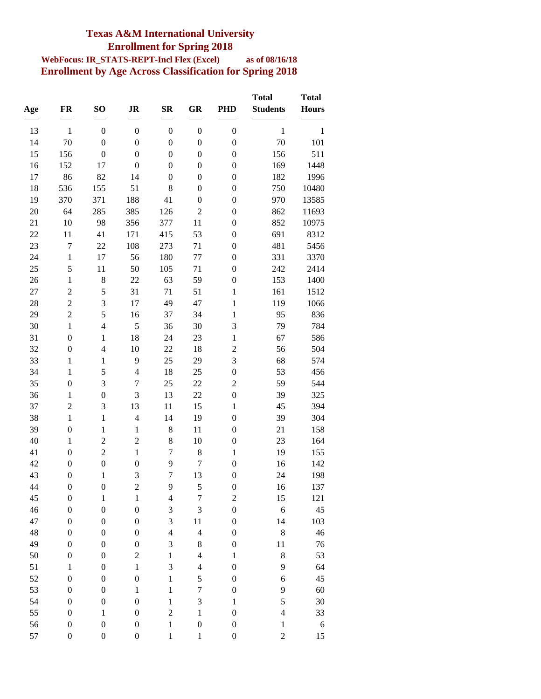### **Texas A&M International University Enrollment for Spring 2018**

#### **WebFocus: IR\_STATS-REPT-Incl Flex (Excel) as of 08/16/18 Enrollment by Age Across Classification for Spring 2018**

| Age | FR               | SO <sub>1</sub>  | <b>JR</b>        | $S_{\mathbf{R}}$ | <b>GR</b>        | <b>PHD</b>       | <b>Total</b><br><b>Students</b> | <b>Total</b><br><b>Hours</b> |
|-----|------------------|------------------|------------------|------------------|------------------|------------------|---------------------------------|------------------------------|
|     |                  |                  |                  |                  |                  |                  |                                 |                              |
| 13  | $\mathbf{1}$     | $\boldsymbol{0}$ | $\boldsymbol{0}$ | $\boldsymbol{0}$ | $\boldsymbol{0}$ | $\boldsymbol{0}$ | $\mathbf{1}$                    | $\mathbf{1}$                 |
| 14  | 70               | $\boldsymbol{0}$ | $\boldsymbol{0}$ | $\boldsymbol{0}$ | $\boldsymbol{0}$ | $\boldsymbol{0}$ | 70                              | 101                          |
| 15  | 156              | $\boldsymbol{0}$ | $\boldsymbol{0}$ | $\boldsymbol{0}$ | $\boldsymbol{0}$ | $\boldsymbol{0}$ | 156                             | 511                          |
| 16  | 152              | 17               | $\boldsymbol{0}$ | $\boldsymbol{0}$ | $\boldsymbol{0}$ | $\boldsymbol{0}$ | 169                             | 1448                         |
| 17  | 86               | 82               | 14               | $\boldsymbol{0}$ | $\boldsymbol{0}$ | $\boldsymbol{0}$ | 182                             | 1996                         |
| 18  | 536              | 155              | 51               | 8                | $\boldsymbol{0}$ | $\boldsymbol{0}$ | 750                             | 10480                        |
| 19  | 370              | 371              | 188              | 41               | $\boldsymbol{0}$ | $\boldsymbol{0}$ | 970                             | 13585                        |
| 20  | 64               | 285              | 385              | 126              | $\overline{c}$   | $\boldsymbol{0}$ | 862                             | 11693                        |
| 21  | 10               | 98               | 356              | 377              | 11               | $\boldsymbol{0}$ | 852                             | 10975                        |
| 22  | 11               | 41               | 171              | 415              | 53               | $\boldsymbol{0}$ | 691                             | 8312                         |
| 23  | $\overline{7}$   | 22               | 108              | 273              | 71               | $\boldsymbol{0}$ | 481                             | 5456                         |
| 24  | $\mathbf{1}$     | 17               | 56               | 180              | 77               | $\boldsymbol{0}$ | 331                             | 3370                         |
| 25  | 5                | 11               | 50               | 105              | 71               | $\boldsymbol{0}$ | 242                             | 2414                         |
| 26  | $\mathbf{1}$     | $\,8$            | 22               | 63               | 59               | $\boldsymbol{0}$ | 153                             | 1400                         |
| 27  | $\overline{c}$   | 5                | 31               | 71               | 51               | $\,1\,$          | 161                             | 1512                         |
| 28  | $\overline{c}$   | 3                | 17               | 49               | 47               | $\mathbf 1$      | 119                             | 1066                         |
| 29  | $\overline{c}$   | 5                | 16               | 37               | 34               | $\,1$            | 95                              | 836                          |
| 30  | $\mathbf{1}$     | $\overline{4}$   | 5                | 36               | 30               | 3                | 79                              | 784                          |
| 31  | $\boldsymbol{0}$ | $\mathbf{1}$     | 18               | 24               | 23               | $\,1$            | 67                              | 586                          |
| 32  | $\boldsymbol{0}$ | $\overline{4}$   | 10               | 22               | 18               | $\overline{c}$   | 56                              | 504                          |
| 33  | $\mathbf{1}$     | $\mathbf{1}$     | 9                | 25               | 29               | 3                | 68                              | 574                          |
| 34  | $\mathbf{1}$     | 5                | $\overline{4}$   | 18               | 25               | $\boldsymbol{0}$ | 53                              | 456                          |
| 35  | $\boldsymbol{0}$ | 3                | $\boldsymbol{7}$ | 25               | 22               | $\overline{c}$   | 59                              | 544                          |
| 36  | $\mathbf{1}$     | $\boldsymbol{0}$ | 3                | 13               | 22               | $\boldsymbol{0}$ | 39                              | 325                          |
| 37  | $\overline{c}$   | 3                | 13               | 11               | 15               | $\,1\,$          | 45                              | 394                          |
| 38  | $\mathbf{1}$     | $\mathbf{1}$     | $\overline{4}$   | 14               | 19               | $\boldsymbol{0}$ | 39                              | 304                          |
| 39  | $\boldsymbol{0}$ | $\mathbf{1}$     | $\mathbf{1}$     | 8                | 11               | $\boldsymbol{0}$ | 21                              | 158                          |
| 40  | $\mathbf{1}$     | $\overline{c}$   | $\overline{c}$   | 8                | 10               | $\boldsymbol{0}$ | 23                              | 164                          |
| 41  | $\boldsymbol{0}$ | $\overline{c}$   | $\mathbf{1}$     | $\boldsymbol{7}$ | $\,$ 8 $\,$      | $\,1\,$          | 19                              | 155                          |
| 42  | $\boldsymbol{0}$ | $\boldsymbol{0}$ | $\boldsymbol{0}$ | 9                | $\boldsymbol{7}$ | $\boldsymbol{0}$ | 16                              | 142                          |
| 43  | $\boldsymbol{0}$ | $\mathbf{1}$     | 3                | $\overline{7}$   | 13               | $\boldsymbol{0}$ | 24                              | 198                          |
| 44  | $\theta$         | $\boldsymbol{0}$ | $\overline{2}$   | 9                | 5                | $\Omega$         | 16                              | 137                          |
| 45  | $\boldsymbol{0}$ | $\mathbf{1}$     | $\,1$            | $\overline{4}$   | $\tau$           | $\overline{c}$   | 15                              | 121                          |
| 46  | $\boldsymbol{0}$ | $\boldsymbol{0}$ | $\boldsymbol{0}$ | 3                | $\mathfrak{Z}$   | $\boldsymbol{0}$ | 6                               | 45                           |
| 47  | $\boldsymbol{0}$ | $\boldsymbol{0}$ | $\boldsymbol{0}$ | 3                | 11               | $\boldsymbol{0}$ | 14                              | 103                          |
| 48  | $\boldsymbol{0}$ | $\boldsymbol{0}$ | $\boldsymbol{0}$ | $\overline{4}$   | $\overline{4}$   | $\boldsymbol{0}$ | 8                               | 46                           |
| 49  | $\boldsymbol{0}$ | $\boldsymbol{0}$ | $\boldsymbol{0}$ | 3                | $\,$ $\,$        | $\boldsymbol{0}$ | 11                              | 76                           |
| 50  | $\boldsymbol{0}$ | $\boldsymbol{0}$ | $\overline{c}$   | $\,1$            | $\overline{4}$   | $\,1$            | $\,8$                           | 53                           |
| 51  | $\mathbf{1}$     | $\boldsymbol{0}$ | $\mathbf{1}$     | 3                | $\overline{4}$   | $\boldsymbol{0}$ | 9                               | 64                           |
| 52  | $\boldsymbol{0}$ | $\boldsymbol{0}$ | $\boldsymbol{0}$ | $\,1$            | 5                | $\boldsymbol{0}$ | 6                               | 45                           |
| 53  | $\boldsymbol{0}$ | $\boldsymbol{0}$ | $\mathbf 1$      | $\mathbf{1}$     | $\sqrt{ }$       | $\boldsymbol{0}$ | 9                               | 60                           |
| 54  | $\boldsymbol{0}$ | $\boldsymbol{0}$ | $\boldsymbol{0}$ | $\,1$            | $\mathfrak{Z}$   | $\,1\,$          | 5                               | 30                           |
| 55  | $\boldsymbol{0}$ | $\mathbf{1}$     | $\boldsymbol{0}$ | $\overline{c}$   | $\,1$            | $\boldsymbol{0}$ | $\overline{4}$                  | 33                           |
| 56  | $\boldsymbol{0}$ | $\boldsymbol{0}$ | $\boldsymbol{0}$ | $\mathbf{1}$     | $\boldsymbol{0}$ | $\boldsymbol{0}$ | $\mathbf{1}$                    | 6                            |
| 57  | 0                | $\boldsymbol{0}$ | $\boldsymbol{0}$ | $\mathbf{1}$     | $\mathbf{1}$     | $\boldsymbol{0}$ | $\overline{c}$                  | 15                           |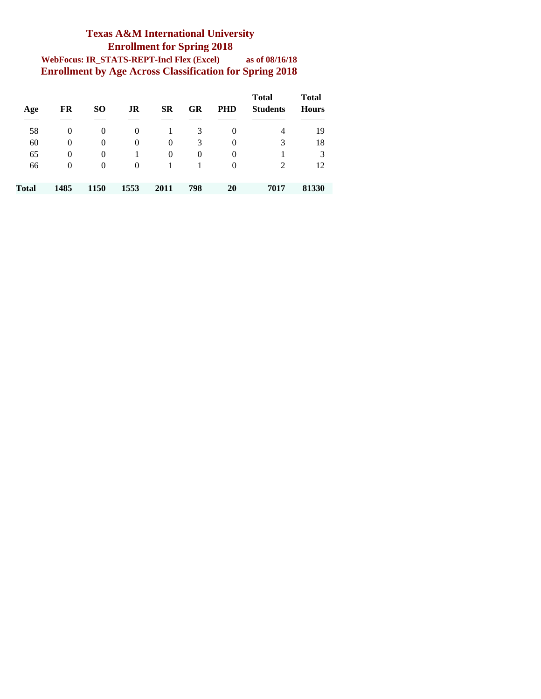#### **Texas A&M International University Enrollment for Spring 2018 WebFocus: IR\_STATS-REPT-Incl Flex (Excel) as of 08/16/18 Enrollment by Age Across Classification for Spring 2018**

| Age   | FR       | SO       | JR   | SR   | GR       | <b>PHD</b>     | <b>Total</b><br><b>Students</b> | <b>Total</b><br><b>Hours</b> |
|-------|----------|----------|------|------|----------|----------------|---------------------------------|------------------------------|
| 58    | $\theta$ | 0        | 0    |      | 3        | 0              | 4                               | 19                           |
| 60    | $\theta$ | 0        | 0    | 0    | 3        | $\overline{0}$ | 3                               | 18                           |
| 65    | $\theta$ | 0        |      | 0    | $\theta$ | $\theta$       |                                 | 3                            |
| 66    | 0        | $\theta$ | 0    |      |          | $\overline{0}$ | 2                               | 12                           |
| Total | 1485     | 1150     | 1553 | 2011 | 798      | 20             | 7017                            | 81330                        |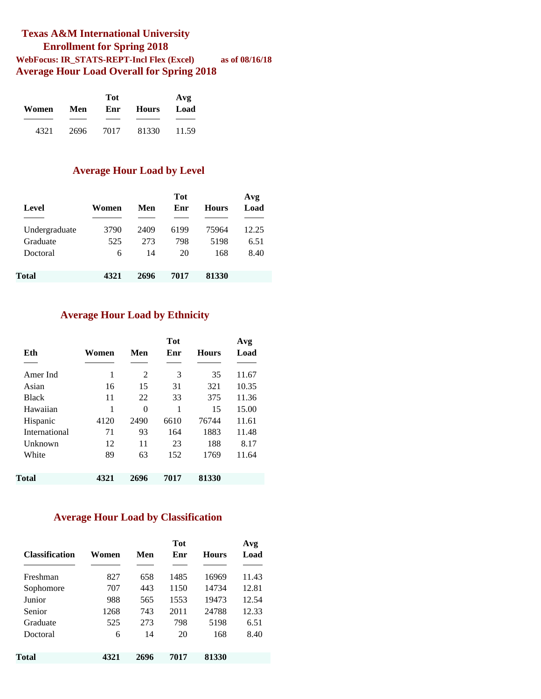#### **Texas A&M International University Enrollment for Spring 2018 WebFocus: IR\_STATS-REPT-Incl Flex (Excel) as of 08/16/18 Average Hour Load Overall for Spring 2018**

|       |      | Avg  |       |       |  |  |
|-------|------|------|-------|-------|--|--|
| Women | Men  | Enr  | Hours | Load  |  |  |
|       |      |      |       |       |  |  |
| 4321  | 2696 | 7017 | 81330 | 11.59 |  |  |

#### **Average Hour Load by Level**

|               |       |      | <b>Tot</b> |              | Avg   |
|---------------|-------|------|------------|--------------|-------|
| Level         | Women | Men  | Enr        | <b>Hours</b> | Load  |
|               |       |      |            |              |       |
| Undergraduate | 3790  | 2409 | 6199       | 75964        | 12.25 |
| Graduate      | 525   | 273  | 798        | 5198         | 6.51  |
| Doctoral      | 6     | 14   | 20         | 168          | 8.40  |
|               |       |      |            |              |       |
| Total         | 4321  | 2696 | 7017       | 81330        |       |

#### **Average Hour Load by Ethnicity**

| Eth           | Women | Men  | <b>Tot</b><br>Enr | <b>Hours</b> | Avg<br>Load |
|---------------|-------|------|-------------------|--------------|-------------|
| Amer Ind      | 1     | 2    | 3                 | 35           | 11.67       |
| Asian         | 16    | 15   | 31                | 321          | 10.35       |
| <b>Black</b>  | 11    | 22   | 33                | 375          | 11.36       |
| Hawaiian      | 1     | 0    | 1                 | 15           | 15.00       |
| Hispanic      | 4120  | 2490 | 6610              | 76744        | 11.61       |
| International | 71    | 93   | 164               | 1883         | 11.48       |
| Unknown       | 12    | 11   | 23                | 188          | 8.17        |
| White         | 89    | 63   | 152               | 1769         | 11.64       |
| Total         | 4321  | 2696 | 7017              | 81330        |             |

#### **Average Hour Load by Classification**

| <b>Classification</b> | Women | Men  | <b>Tot</b><br>Enr | <b>Hours</b> | Avg<br>Load |
|-----------------------|-------|------|-------------------|--------------|-------------|
| Freshman              | 827   | 658  | 1485              | 16969        | 11.43       |
| Sophomore             | 707   | 443  | 1150              | 14734        | 12.81       |
| Junior                | 988   | 565  | 1553              | 19473        | 12.54       |
| Senior                | 1268  | 743  | 2011              | 24788        | 12.33       |
| Graduate              | 525   | 273  | 798               | 5198         | 6.51        |
| Doctoral              | 6     | 14   | 20                | 168          | 8.40        |
| Total                 | 4321  | 2696 | 7017              | 81330        |             |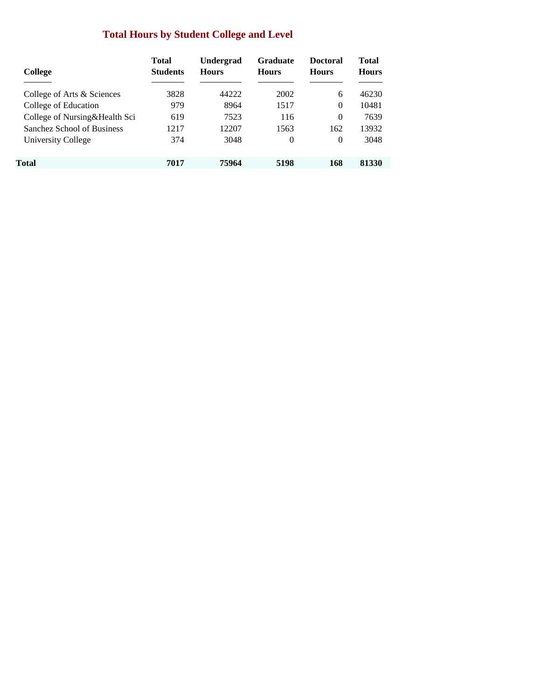### **Total Hours by Student College and Level**

| College                       | <b>Total</b><br><b>Students</b> | <b>Undergrad</b><br><b>Hours</b> | <b>Graduate</b><br><b>Hours</b> | <b>Doctoral</b><br><b>Hours</b> | <b>Total</b><br><b>Hours</b> |
|-------------------------------|---------------------------------|----------------------------------|---------------------------------|---------------------------------|------------------------------|
| College of Arts & Sciences    | 3828                            | 44222                            | 2002                            | 6                               | 46230                        |
| College of Education          | 979                             | 8964                             | 1517                            | $\Omega$                        | 10481                        |
| College of Nursing&Health Sci | 619                             | 7523                             | 116                             | $\Omega$                        | 7639                         |
| Sanchez School of Business    | 1217                            | 12207                            | 1563                            | 162                             | 13932                        |
| University College            | 374                             | 3048                             | 0                               | $\Omega$                        | 3048                         |
| Total                         | 7017                            | 75964                            | 5198                            | 168                             | 81330                        |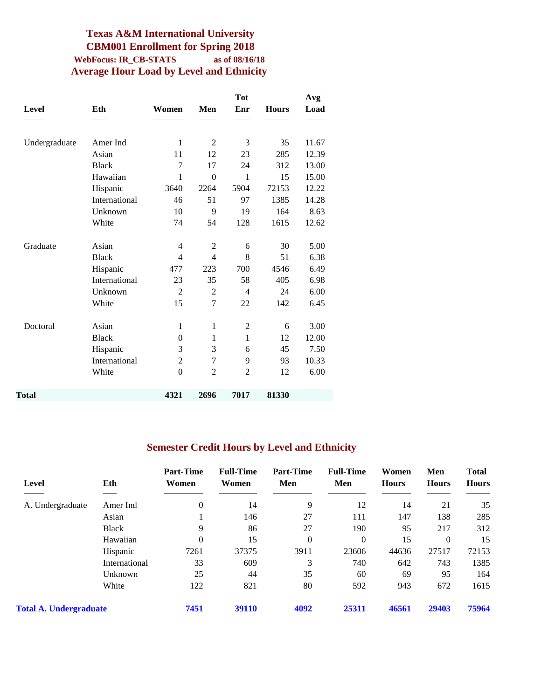#### **Texas A&M International University CBM001 Enrollment for Spring 2018 WebFocus: IR\_CB-STATS as of 08/16/18 Average Hour Load by Level and Ethnicity**

|               |               |                  |                | <b>Tot</b>     |              | Avg   |
|---------------|---------------|------------------|----------------|----------------|--------------|-------|
| <b>Level</b>  | Eth           | Women            | Men            | Enr            | <b>Hours</b> | Load  |
|               |               |                  |                |                |              |       |
| Undergraduate | Amer Ind      | $\mathbf{1}$     | $\mathbf{2}$   | 3              | 35           | 11.67 |
|               | Asian         | 11               | 12             | 23             | 285          | 12.39 |
|               | <b>Black</b>  | 7                | 17             | 24             | 312          | 13.00 |
|               | Hawaiian      | 1                | $\overline{0}$ | 1              | 15           | 15.00 |
|               | Hispanic      | 3640             | 2264           | 5904           | 72153        | 12.22 |
|               | International | 46               | 51             | 97             | 1385         | 14.28 |
|               | Unknown       | 10               | 9              | 19             | 164          | 8.63  |
|               | White         | 74               | 54             | 128            | 1615         | 12.62 |
| Graduate      | Asian         | 4                | $\overline{c}$ | 6              | 30           | 5.00  |
|               | <b>Black</b>  | 4                | 4              | 8              | 51           | 6.38  |
|               | Hispanic      | 477              | 223            | 700            | 4546         | 6.49  |
|               | International | 23               | 35             | 58             | 405          | 6.98  |
|               | Unknown       | $\overline{2}$   | $\overline{2}$ | $\overline{4}$ | 24           | 6.00  |
|               | White         | 15               | $\overline{7}$ | 22             | 142          | 6.45  |
| Doctoral      | Asian         | $\mathbf{1}$     | $\mathbf{1}$   | $\overline{2}$ | 6            | 3.00  |
|               | <b>Black</b>  | $\boldsymbol{0}$ | $\mathbf{1}$   | $\mathbf{1}$   | 12           | 12.00 |
|               | Hispanic      | 3                | 3              | 6              | 45           | 7.50  |
|               | International | $\overline{2}$   | $\overline{7}$ | 9              | 93           | 10.33 |
|               | White         | $\theta$         | $\overline{2}$ | $\overline{2}$ | 12           | 6.00  |
|               |               |                  |                |                |              |       |
| Total         |               | 4321             | 2696           | 7017           | 81330        |       |

#### **Semester Credit Hours by Level and Ethnicity**

| Level                         | Eth           | <b>Part-Time</b><br>Women | <b>Full-Time</b><br>Women | <b>Part-Time</b><br>Men | <b>Full-Time</b><br>Men | Women<br><b>Hours</b> | Men<br><b>Hours</b> | <b>Total</b><br><b>Hours</b> |
|-------------------------------|---------------|---------------------------|---------------------------|-------------------------|-------------------------|-----------------------|---------------------|------------------------------|
| A. Undergraduate              | Amer Ind      | $\theta$                  | 14                        | 9                       | 12                      | 14                    | 21                  | 35                           |
|                               | Asian         |                           | 146                       | 27                      | 111                     | 147                   | 138                 | 285                          |
|                               | <b>Black</b>  | 9                         | 86                        | 27                      | 190                     | 95                    | 217                 | 312                          |
|                               | Hawaiian      | $\theta$                  | 15                        | $\mathbf{0}$            | $\theta$                | 15                    | $\theta$            | 15                           |
|                               | Hispanic      | 7261                      | 37375                     | 3911                    | 23606                   | 44636                 | 27517               | 72153                        |
|                               | International | 33                        | 609                       | 3                       | 740                     | 642                   | 743                 | 1385                         |
|                               | Unknown       | 25                        | 44                        | 35                      | 60                      | 69                    | 95                  | 164                          |
|                               | White         | 122                       | 821                       | 80                      | 592                     | 943                   | 672                 | 1615                         |
| <b>Total A. Undergraduate</b> |               | 7451                      | 39110                     | 4092                    | 25311                   | 46561                 | 29403               | 75964                        |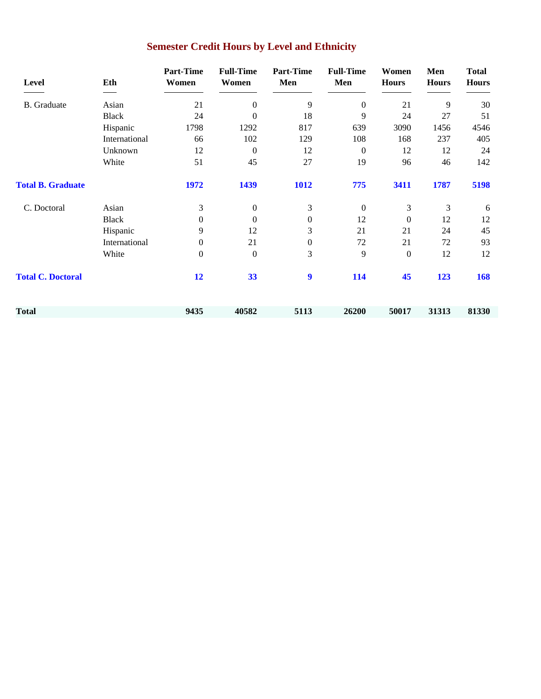| Level                    | Eth           | <b>Part-Time</b><br>Women | <b>Full-Time</b><br>Women | <b>Part-Time</b><br>Men | <b>Full-Time</b><br>Men | Women<br><b>Hours</b> | Men<br><b>Hours</b> | <b>Total</b><br><b>Hours</b> |
|--------------------------|---------------|---------------------------|---------------------------|-------------------------|-------------------------|-----------------------|---------------------|------------------------------|
| <b>B.</b> Graduate       | Asian         | 21                        | $\boldsymbol{0}$          | 9                       | $\overline{0}$          | 21                    | 9                   | 30                           |
|                          | <b>Black</b>  | 24                        | $\mathbf{0}$              | 18                      | 9                       | 24                    | 27                  | 51                           |
|                          | Hispanic      | 1798                      | 1292                      | 817                     | 639                     | 3090                  | 1456                | 4546                         |
|                          | International | 66                        | 102                       | 129                     | 108                     | 168                   | 237                 | 405                          |
|                          | Unknown       | 12                        | $\theta$                  | 12                      | $\overline{0}$          | 12                    | 12                  | 24                           |
|                          | White         | 51                        | 45                        | 27                      | 19                      | 96                    | 46                  | 142                          |
| <b>Total B. Graduate</b> |               | 1972                      | 1439                      | 1012                    | 775                     | 3411                  | 1787                | 5198                         |
| C. Doctoral              | Asian         | 3                         | $\boldsymbol{0}$          | 3                       | $\boldsymbol{0}$        | 3                     | 3                   | 6                            |
|                          | <b>Black</b>  | $\mathbf{0}$              | $\mathbf{0}$              | $\boldsymbol{0}$        | 12                      | $\boldsymbol{0}$      | 12                  | 12                           |
|                          | Hispanic      | 9                         | 12                        | 3                       | 21                      | 21                    | 24                  | 45                           |
|                          | International | $\mathbf{0}$              | 21                        | $\boldsymbol{0}$        | 72                      | 21                    | 72                  | 93                           |
|                          | White         | $\theta$                  | $\boldsymbol{0}$          | 3                       | 9                       | $\boldsymbol{0}$      | 12                  | 12                           |
| <b>Total C. Doctoral</b> |               | 12                        | 33                        | 9                       | 114                     | 45                    | 123                 | 168                          |
| Total                    |               | 9435                      | 40582                     | 5113                    | 26200                   | 50017                 | 31313               | 81330                        |

# **Semester Credit Hours by Level and Ethnicity**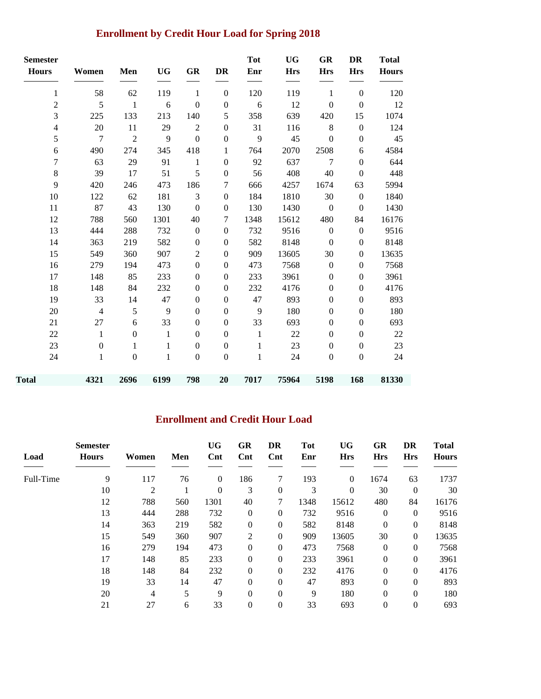# **Enrollment by Credit Hour Load for Spring 2018**

| <b>Semester</b>         |                |                  |              |                  |                  | <b>Tot</b>   | <b>UG</b>  | <b>GR</b>        | DR               | <b>Total</b> |
|-------------------------|----------------|------------------|--------------|------------------|------------------|--------------|------------|------------------|------------------|--------------|
| <b>Hours</b>            | Women          | Men              | <b>UG</b>    | <b>GR</b>        | <b>DR</b>        | Enr          | <b>Hrs</b> | <b>Hrs</b>       | <b>Hrs</b>       | <b>Hours</b> |
| $\mathbf{1}$            | 58             | 62               | 119          | $\mathbf{1}$     | $\overline{0}$   | 120          | 119        | 1                | $\boldsymbol{0}$ | 120          |
| $\sqrt{2}$              | 5              | $\mathbf{1}$     | 6            | $\boldsymbol{0}$ | $\boldsymbol{0}$ | 6            | 12         | $\boldsymbol{0}$ | $\mathbf{0}$     | 12           |
| 3                       | 225            | 133              | 213          | 140              | 5                | 358          | 639        | 420              | 15               | 1074         |
| $\overline{\mathbf{4}}$ | 20             | 11               | 29           | $\overline{2}$   | $\boldsymbol{0}$ | 31           | 116        | $\,8\,$          | $\boldsymbol{0}$ | 124          |
| 5                       | $\overline{7}$ | $\overline{2}$   | 9            | $\theta$         | $\boldsymbol{0}$ | 9            | 45         | $\boldsymbol{0}$ | $\boldsymbol{0}$ | 45           |
| 6                       | 490            | 274              | 345          | 418              | $\mathbf{1}$     | 764          | 2070       | 2508             | $\epsilon$       | 4584         |
| $\overline{7}$          | 63             | 29               | 91           | $\mathbf{1}$     | $\boldsymbol{0}$ | 92           | 637        | $\overline{7}$   | $\boldsymbol{0}$ | 644          |
| 8                       | 39             | 17               | 51           | 5                | $\boldsymbol{0}$ | 56           | 408        | 40               | $\boldsymbol{0}$ | 448          |
| 9                       | 420            | 246              | 473          | 186              | 7                | 666          | 4257       | 1674             | 63               | 5994         |
| 10                      | 122            | 62               | 181          | 3                | $\boldsymbol{0}$ | 184          | 1810       | 30               | $\boldsymbol{0}$ | 1840         |
| 11                      | 87             | 43               | 130          | $\mathbf{0}$     | $\mathbf{0}$     | 130          | 1430       | $\mathbf{0}$     | $\mathbf{0}$     | 1430         |
| 12                      | 788            | 560              | 1301         | 40               | 7                | 1348         | 15612      | 480              | 84               | 16176        |
| 13                      | 444            | 288              | 732          | $\boldsymbol{0}$ | $\boldsymbol{0}$ | 732          | 9516       | $\boldsymbol{0}$ | $\boldsymbol{0}$ | 9516         |
| 14                      | 363            | 219              | 582          | $\mathbf{0}$     | $\mathbf{0}$     | 582          | 8148       | $\boldsymbol{0}$ | $\boldsymbol{0}$ | 8148         |
| 15                      | 549            | 360              | 907          | $\sqrt{2}$       | $\boldsymbol{0}$ | 909          | 13605      | 30               | $\boldsymbol{0}$ | 13635        |
| 16                      | 279            | 194              | 473          | $\mathbf{0}$     | $\mathbf{0}$     | 473          | 7568       | $\boldsymbol{0}$ | $\mathbf{0}$     | 7568         |
| 17                      | 148            | 85               | 233          | $\boldsymbol{0}$ | $\boldsymbol{0}$ | 233          | 3961       | $\boldsymbol{0}$ | $\boldsymbol{0}$ | 3961         |
| 18                      | 148            | 84               | 232          | $\boldsymbol{0}$ | $\boldsymbol{0}$ | 232          | 4176       | $\boldsymbol{0}$ | $\boldsymbol{0}$ | 4176         |
| 19                      | 33             | 14               | 47           | $\boldsymbol{0}$ | $\boldsymbol{0}$ | 47           | 893        | $\boldsymbol{0}$ | $\boldsymbol{0}$ | 893          |
| 20                      | $\overline{4}$ | 5                | 9            | $\mathbf{0}$     | $\boldsymbol{0}$ | 9            | 180        | $\boldsymbol{0}$ | $\boldsymbol{0}$ | 180          |
| 21                      | 27             | 6                | 33           | $\mathbf{0}$     | $\mathbf{0}$     | 33           | 693        | $\boldsymbol{0}$ | $\boldsymbol{0}$ | 693          |
| 22                      | $\mathbf{1}$   | $\boldsymbol{0}$ | $\mathbf{1}$ | $\boldsymbol{0}$ | $\boldsymbol{0}$ | $\mathbf{1}$ | 22         | $\boldsymbol{0}$ | $\boldsymbol{0}$ | 22           |
| 23                      | $\theta$       | 1                | 1            | $\mathbf{0}$     | $\boldsymbol{0}$ | 1            | 23         | $\mathbf{0}$     | $\mathbf{0}$     | 23           |
| 24                      | $\mathbf{1}$   | $\boldsymbol{0}$ | $\mathbf{1}$ | $\boldsymbol{0}$ | $\boldsymbol{0}$ | $\mathbf{1}$ | 24         | $\boldsymbol{0}$ | $\boldsymbol{0}$ | 24           |
| Total                   | 4321           | 2696             | 6199         | 798              | 20               | 7017         | 75964      | 5198             | 168              | 81330        |

### **Enrollment and Credit Hour Load**

| Load      | <b>Semester</b><br><b>Hours</b> | Women          | Men | <b>UG</b><br>Cnt | GR<br>Cnt    | DR<br>$\mathbf{Cnt}$ | <b>Tot</b><br>Enr | <b>UG</b><br><b>Hrs</b> | GR<br><b>Hrs</b> | DR<br><b>Hrs</b> | <b>Total</b><br><b>Hours</b> |
|-----------|---------------------------------|----------------|-----|------------------|--------------|----------------------|-------------------|-------------------------|------------------|------------------|------------------------------|
|           |                                 |                |     |                  |              |                      |                   |                         |                  |                  |                              |
| Full-Time | 9                               | 117            | 76  | $\overline{0}$   | 186          | 7                    | 193               | $\boldsymbol{0}$        | 1674             | 63               | 1737                         |
|           | 10                              | $\overline{c}$ |     | $\Omega$         | 3            | $\boldsymbol{0}$     | 3                 | $\theta$                | 30               | $\mathbf{0}$     | 30                           |
|           | 12                              | 788            | 560 | 1301             | 40           | 7                    | 1348              | 15612                   | 480              | 84               | 16176                        |
|           | 13                              | 444            | 288 | 732              | $\theta$     | $\theta$             | 732               | 9516                    | $\overline{0}$   | $\Omega$         | 9516                         |
|           | 14                              | 363            | 219 | 582              | $\mathbf{0}$ | $\theta$             | 582               | 8148                    | $\theta$         | $\boldsymbol{0}$ | 8148                         |
|           | 15                              | 549            | 360 | 907              | 2            | $\boldsymbol{0}$     | 909               | 13605                   | 30               | $\Omega$         | 13635                        |
|           | 16                              | 279            | 194 | 473              | $\mathbf{0}$ | $\boldsymbol{0}$     | 473               | 7568                    | $\boldsymbol{0}$ | $\overline{0}$   | 7568                         |
|           | 17                              | 148            | 85  | 233              | $\Omega$     | $\theta$             | 233               | 3961                    | $\overline{0}$   | $\Omega$         | 3961                         |
|           | 18                              | 148            | 84  | 232              | $\mathbf{0}$ | $\boldsymbol{0}$     | 232               | 4176                    | $\boldsymbol{0}$ | $\boldsymbol{0}$ | 4176                         |
|           | 19                              | 33             | 14  | 47               | $\Omega$     | $\overline{0}$       | 47                | 893                     | $\overline{0}$   | $\Omega$         | 893                          |
|           | 20                              | 4              | 5   | 9                | $\mathbf{0}$ | $\theta$             | 9                 | 180                     | $\overline{0}$   | $\theta$         | 180                          |
|           | 21                              | 27             | 6   | 33               | $\mathbf{0}$ | $\overline{0}$       | 33                | 693                     | $\theta$         | $\theta$         | 693                          |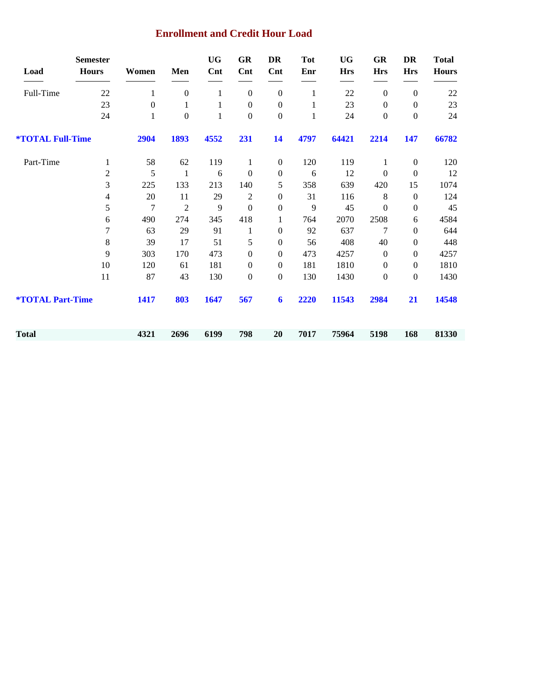#### **Enrollment and Credit Hour Load**

|                                | <b>Semester</b>  |       |                  | <b>UG</b>    | <b>GR</b>        | DR               | <b>Tot</b>   | <b>UG</b>  | <b>GR</b>        | DR               | <b>Total</b> |
|--------------------------------|------------------|-------|------------------|--------------|------------------|------------------|--------------|------------|------------------|------------------|--------------|
| Load                           | <b>Hours</b>     | Women | Men              | Cnt          | <b>Cnt</b>       | Cnt              | Enr          | <b>Hrs</b> | <b>Hrs</b>       | <b>Hrs</b>       | <b>Hours</b> |
| Full-Time                      | 22               | 1     | $\boldsymbol{0}$ | $\mathbf{1}$ | $\boldsymbol{0}$ | $\mathbf{0}$     | 1            | 22         | $\mathbf{0}$     | $\mathbf{0}$     | $22\,$       |
|                                | 23               | 0     | 1                | 1            | $\boldsymbol{0}$ | $\boldsymbol{0}$ | 1            | 23         | $\boldsymbol{0}$ | $\boldsymbol{0}$ | 23           |
|                                | 24               | 1     | $\boldsymbol{0}$ | 1            | $\boldsymbol{0}$ | $\boldsymbol{0}$ | $\mathbf{1}$ | 24         | $\boldsymbol{0}$ | $\boldsymbol{0}$ | 24           |
| <b><i>*TOTAL Full-Time</i></b> |                  | 2904  | 1893             | 4552         | 231              | 14               | 4797         | 64421      | 2214             | 147              | 66782        |
| Part-Time                      | $\mathbf{1}$     | 58    | 62               | 119          | 1                | $\boldsymbol{0}$ | 120          | 119        | 1                | $\boldsymbol{0}$ | 120          |
|                                | $\boldsymbol{2}$ | 5     | $\mathbf{1}$     | 6            | $\boldsymbol{0}$ | $\boldsymbol{0}$ | 6            | 12         | $\boldsymbol{0}$ | $\boldsymbol{0}$ | 12           |
|                                | $\mathfrak{Z}$   | 225   | 133              | 213          | 140              | 5                | 358          | 639        | 420              | 15               | 1074         |
|                                | $\overline{4}$   | 20    | 11               | 29           | $\overline{2}$   | $\boldsymbol{0}$ | 31           | 116        | $\,8\,$          | $\boldsymbol{0}$ | 124          |
|                                | 5                | 7     | $\overline{2}$   | 9            | $\boldsymbol{0}$ | $\boldsymbol{0}$ | 9            | 45         | $\mathbf{0}$     | $\mathbf{0}$     | 45           |
|                                | 6                | 490   | 274              | 345          | 418              | 1                | 764          | 2070       | 2508             | 6                | 4584         |
|                                | 7                | 63    | 29               | 91           | $\mathbf{1}$     | $\boldsymbol{0}$ | 92           | 637        | 7                | $\mathbf{0}$     | 644          |
|                                | $8\,$            | 39    | 17               | 51           | 5                | $\boldsymbol{0}$ | 56           | 408        | 40               | $\boldsymbol{0}$ | 448          |
|                                | 9                | 303   | 170              | 473          | $\mathbf{0}$     | $\theta$         | 473          | 4257       | $\boldsymbol{0}$ | $\mathbf{0}$     | 4257         |
|                                | $10\,$           | 120   | 61               | 181          | $\mathbf{0}$     | $\theta$         | 181          | 1810       | $\boldsymbol{0}$ | $\boldsymbol{0}$ | 1810         |
|                                | 11               | 87    | 43               | 130          | $\mathbf{0}$     | $\mathbf{0}$     | 130          | 1430       | $\boldsymbol{0}$ | $\mathbf{0}$     | 1430         |
| <b><i>*TOTAL Part-Time</i></b> |                  | 1417  | 803              | 1647         | 567              | $\boldsymbol{6}$ | 2220         | 11543      | 2984             | 21               | 14548        |
| <b>Total</b>                   |                  | 4321  | 2696             | 6199         | 798              | 20               | 7017         | 75964      | 5198             | 168              | 81330        |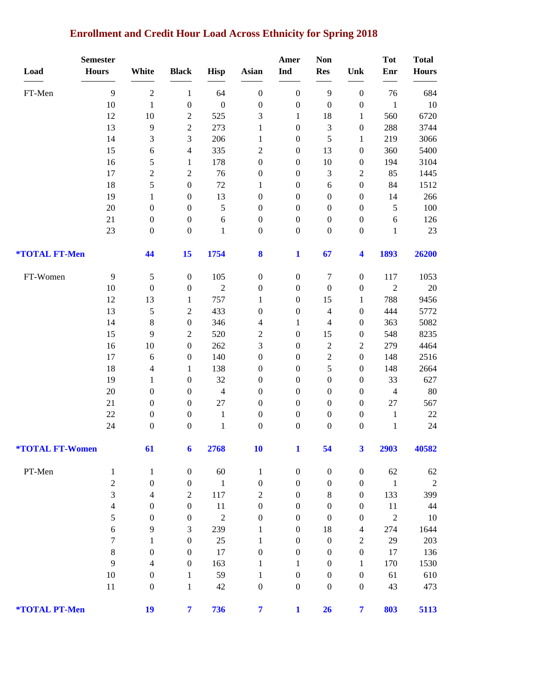### **Enrollment and Credit Hour Load Across Ethnicity for Spring 2018**

|                               | <b>Semester</b>          |                  |                  |                  |                         | Amer             | <b>Non</b>               |                         | <b>Tot</b>     | <b>Total</b> |
|-------------------------------|--------------------------|------------------|------------------|------------------|-------------------------|------------------|--------------------------|-------------------------|----------------|--------------|
| Load                          | <b>Hours</b>             | White            | <b>Black</b>     | <b>Hisp</b>      | Asian                   | Ind              | <b>Res</b>               | Unk                     | Enr            | <b>Hours</b> |
| FT-Men                        | 9                        | $\sqrt{2}$       | $\mathbf{1}$     | 64               | $\boldsymbol{0}$        | $\boldsymbol{0}$ | 9                        | $\boldsymbol{0}$        | 76             | 684          |
|                               | 10                       | $\mathbf{1}$     | $\boldsymbol{0}$ | $\boldsymbol{0}$ | $\boldsymbol{0}$        | $\boldsymbol{0}$ | $\boldsymbol{0}$         | $\boldsymbol{0}$        | $\mathbf{1}$   | $10\,$       |
|                               | 12                       | 10               | $\overline{c}$   | 525              | 3                       | $\mathbf{1}$     | 18                       | $\mathbf{1}$            | 560            | 6720         |
|                               | 13                       | $\overline{9}$   | $\overline{c}$   | 273              | $\mathbf{1}$            | $\boldsymbol{0}$ | 3                        | $\boldsymbol{0}$        | 288            | 3744         |
|                               | 14                       | 3                | 3                | 206              | $\mathbf{1}$            | $\boldsymbol{0}$ | 5                        | $\mathbf{1}$            | 219            | 3066         |
|                               | 15                       | $\sqrt{6}$       | 4                | 335              | $\overline{c}$          | $\boldsymbol{0}$ | 13                       | $\boldsymbol{0}$        | 360            | 5400         |
|                               | 16                       | 5                | $\mathbf{1}$     | 178              | $\boldsymbol{0}$        | $\boldsymbol{0}$ | 10                       | $\boldsymbol{0}$        | 194            | 3104         |
|                               | 17                       | $\overline{c}$   | $\overline{c}$   | 76               | $\boldsymbol{0}$        | $\boldsymbol{0}$ | 3                        | $\boldsymbol{2}$        | 85             | 1445         |
|                               | 18                       | 5                | $\boldsymbol{0}$ | $72\,$           | $\mathbf{1}$            | $\boldsymbol{0}$ | 6                        | $\boldsymbol{0}$        | 84             | 1512         |
|                               | 19                       | $\mathbf{1}$     | $\boldsymbol{0}$ | 13               | $\boldsymbol{0}$        | $\boldsymbol{0}$ | $\boldsymbol{0}$         | $\boldsymbol{0}$        | 14             | 266          |
|                               | $20\,$                   | $\boldsymbol{0}$ | $\boldsymbol{0}$ | 5                | $\boldsymbol{0}$        | $\boldsymbol{0}$ | $\boldsymbol{0}$         | $\boldsymbol{0}$        | 5              | $100\,$      |
|                               | 21                       | $\boldsymbol{0}$ | $\boldsymbol{0}$ | 6                | $\boldsymbol{0}$        | $\boldsymbol{0}$ | $\boldsymbol{0}$         | $\boldsymbol{0}$        | 6              | 126          |
|                               | 23                       | $\boldsymbol{0}$ | $\boldsymbol{0}$ | $\mathbf{1}$     | $\boldsymbol{0}$        | $\boldsymbol{0}$ | $\boldsymbol{0}$         | $\boldsymbol{0}$        | $\mathbf{1}$   | $23\,$       |
| *TOTAL FT-Men                 |                          | 44               | 15               | 1754             | 8                       | $\mathbf{1}$     | 67                       | $\overline{\mathbf{4}}$ | 1893           | 26200        |
| FT-Women                      | 9                        | $\sqrt{5}$       | $\boldsymbol{0}$ | 105              | $\boldsymbol{0}$        | $\boldsymbol{0}$ | 7                        | $\boldsymbol{0}$        | 117            | 1053         |
|                               | 10                       | $\boldsymbol{0}$ | $\boldsymbol{0}$ | $\sqrt{2}$       | $\boldsymbol{0}$        | $\boldsymbol{0}$ | $\boldsymbol{0}$         | $\boldsymbol{0}$        | $\overline{2}$ | $20\,$       |
|                               | 12                       | 13               | $\mathbf{1}$     | 757              | 1                       | $\boldsymbol{0}$ | 15                       | $\mathbf{1}$            | 788            | 9456         |
|                               | 13                       | $\sqrt{5}$       | $\overline{c}$   | 433              | $\boldsymbol{0}$        | $\boldsymbol{0}$ | $\overline{\mathcal{L}}$ | $\boldsymbol{0}$        | 444            | 5772         |
|                               | 14                       | $\,8\,$          | $\boldsymbol{0}$ | 346              | 4                       | $\mathbf{1}$     | $\overline{\mathcal{L}}$ | $\boldsymbol{0}$        | 363            | 5082         |
|                               | 15                       | $\overline{9}$   | $\overline{c}$   | 520              | $\overline{c}$          | $\boldsymbol{0}$ | 15                       | $\boldsymbol{0}$        | 548            | 8235         |
|                               | 16                       | $10\,$           | $\boldsymbol{0}$ | 262              | 3                       | $\boldsymbol{0}$ | $\overline{c}$           | $\mathfrak{2}$          | 279            | 4464         |
|                               | 17                       | $\sqrt{6}$       | $\boldsymbol{0}$ | 140              | $\boldsymbol{0}$        | $\boldsymbol{0}$ | $\sqrt{2}$               | $\boldsymbol{0}$        | 148            | 2516         |
|                               | 18                       | $\overline{4}$   | 1                | 138              | $\boldsymbol{0}$        | $\boldsymbol{0}$ | 5                        | $\boldsymbol{0}$        | 148            | 2664         |
|                               | 19                       | $\mathbf{1}$     | $\boldsymbol{0}$ | 32               | $\boldsymbol{0}$        | $\boldsymbol{0}$ | $\boldsymbol{0}$         | $\boldsymbol{0}$        | 33             | 627          |
|                               | 20                       | $\boldsymbol{0}$ | $\boldsymbol{0}$ | $\overline{4}$   | $\boldsymbol{0}$        | $\boldsymbol{0}$ | $\boldsymbol{0}$         | $\boldsymbol{0}$        | $\overline{4}$ | $80\,$       |
|                               | 21                       | $\boldsymbol{0}$ | $\boldsymbol{0}$ | $27\,$           | $\boldsymbol{0}$        | $\boldsymbol{0}$ | $\boldsymbol{0}$         | $\boldsymbol{0}$        | 27             | 567          |
|                               | 22                       | $\boldsymbol{0}$ | $\boldsymbol{0}$ | $\mathbf{1}$     | $\boldsymbol{0}$        | $\boldsymbol{0}$ | $\boldsymbol{0}$         | $\boldsymbol{0}$        | $\mathbf{1}$   | $22\,$       |
|                               | 24                       | $\boldsymbol{0}$ | $\boldsymbol{0}$ | $\mathbf{1}$     | $\boldsymbol{0}$        | $\boldsymbol{0}$ | $\boldsymbol{0}$         | $\boldsymbol{0}$        | 1              | 24           |
| <i><b>*TOTAL FT-Women</b></i> |                          | 61               | 6                | 2768             | 10                      | 1                | 54                       | 3                       | 2903           | 40582        |
| PT-Men                        | $\mathbf{1}$             | $\mathbf{1}$     | $\boldsymbol{0}$ | 60               | $\mathbf{1}$            | $\boldsymbol{0}$ | $\boldsymbol{0}$         | $\boldsymbol{0}$        | 62             | 62           |
|                               | $\sqrt{2}$               | $\boldsymbol{0}$ | $\boldsymbol{0}$ | $\mathbf{1}$     | $\boldsymbol{0}$        | $\boldsymbol{0}$ | $\boldsymbol{0}$         | $\boldsymbol{0}$        | $\mathbf{1}$   | $\sqrt{2}$   |
|                               | 3                        | $\overline{4}$   | $\boldsymbol{2}$ | 117              | $\overline{c}$          | $\boldsymbol{0}$ | 8                        | $\boldsymbol{0}$        | 133            | 399          |
|                               | $\overline{\mathcal{L}}$ | $\boldsymbol{0}$ | $\boldsymbol{0}$ | 11               | $\boldsymbol{0}$        | $\boldsymbol{0}$ | $\boldsymbol{0}$         | $\boldsymbol{0}$        | 11             | 44           |
|                               | 5                        | $\boldsymbol{0}$ | $\boldsymbol{0}$ | $\sqrt{2}$       | $\boldsymbol{0}$        | $\boldsymbol{0}$ | $\boldsymbol{0}$         | $\boldsymbol{0}$        | $\overline{2}$ | 10           |
|                               | 6                        | $\overline{9}$   | 3                | 239              | $\mathbf{1}$            | $\boldsymbol{0}$ | 18                       | 4                       | 274            | 1644         |
|                               | 7                        | $\mathbf{1}$     | $\boldsymbol{0}$ | 25               | $\mathbf{1}$            | $\boldsymbol{0}$ | $\boldsymbol{0}$         | $\boldsymbol{2}$        | 29             | 203          |
|                               | $8\,$                    | $\boldsymbol{0}$ | $\boldsymbol{0}$ | 17               | $\boldsymbol{0}$        | $\boldsymbol{0}$ | $\boldsymbol{0}$         | $\boldsymbol{0}$        | 17             | 136          |
|                               | 9                        | 4                | $\boldsymbol{0}$ | 163              | 1                       | $\mathbf{1}$     | $\boldsymbol{0}$         | $\mathbf{1}$            | 170            | 1530         |
|                               | $10\,$                   | $\boldsymbol{0}$ | $\mathbf{1}$     | 59               | $\mathbf{1}$            | $\boldsymbol{0}$ | $\boldsymbol{0}$         | $\boldsymbol{0}$        | 61             | 610          |
|                               | $11\,$                   | $\boldsymbol{0}$ | $\mathbf{1}$     | $42\,$           | $\boldsymbol{0}$        | $\boldsymbol{0}$ | $\boldsymbol{0}$         | $\boldsymbol{0}$        | 43             | 473          |
| *TOTAL PT-Men                 |                          | 19               | $\overline{7}$   | 736              | $\overline{\mathbf{7}}$ | $\mathbf{1}$     | 26                       | $\overline{7}$          | 803            | 5113         |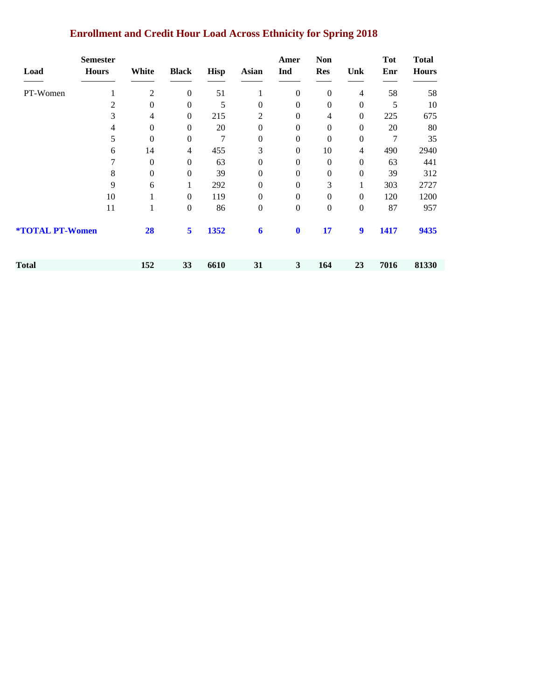|                 | <b>Semester</b> |              |                  |             |                | Amer             | <b>Non</b>       |                  | <b>Tot</b> | <b>Total</b> |
|-----------------|-----------------|--------------|------------------|-------------|----------------|------------------|------------------|------------------|------------|--------------|
| Load            | <b>Hours</b>    | White        | <b>Black</b>     | <b>Hisp</b> | Asian          | Ind              | <b>Res</b>       | Unk              | Enr        | <b>Hours</b> |
| PT-Women        |                 | 2            | $\boldsymbol{0}$ | 51          |                | $\mathbf{0}$     | $\boldsymbol{0}$ | 4                | 58         | 58           |
|                 | $\overline{c}$  | 0            | $\mathbf{0}$     | 5           | 0              | $\theta$         | $\Omega$         | $\Omega$         | 5          | 10           |
|                 | 3               | 4            | $\mathbf{0}$     | 215         | $\overline{2}$ | $\overline{0}$   | 4                | $\overline{0}$   | 225        | 675          |
|                 | 4               | 0            | $\mathbf{0}$     | 20          | $\theta$       | 0                | $\mathbf{0}$     | $\Omega$         | 20         | 80           |
|                 | 5               | $\mathbf{0}$ | $\mathbf{0}$     | 7           | $\Omega$       | $\boldsymbol{0}$ | $\mathbf{0}$     | $\overline{0}$   | 7          | 35           |
|                 | 6               | 14           | $\overline{4}$   | 455         | 3              | $\mathbf{0}$     | 10               | 4                | 490        | 2940         |
|                 | 7               | $\mathbf{0}$ | $\Omega$         | 63          | 0              | $\mathbf{0}$     | $\Omega$         | $\Omega$         | 63         | 441          |
|                 | 8               | 0            | $\mathbf{0}$     | 39          | $\Omega$       | $\overline{0}$   | $\mathbf{0}$     | $\overline{0}$   | 39         | 312          |
|                 | 9               | 6            |                  | 292         | $\Omega$       | $\overline{0}$   | 3                |                  | 303        | 2727         |
|                 | 10              |              | $\mathbf{0}$     | 119         | $\Omega$       | $\boldsymbol{0}$ | $\mathbf{0}$     | $\overline{0}$   | 120        | 1200         |
|                 | 11              |              | $\mathbf{0}$     | 86          | $\overline{0}$ | $\boldsymbol{0}$ | $\boldsymbol{0}$ | $\boldsymbol{0}$ | 87         | 957          |
| *TOTAL PT-Women |                 | 28           | 5                | 1352        | 6              | $\bf{0}$         | 17               | 9                | 1417       | 9435         |

**Total 152 33 6610 31 3 164 23 7016 81330**

### **Enrollment and Credit Hour Load Across Ethnicity for Spring 2018**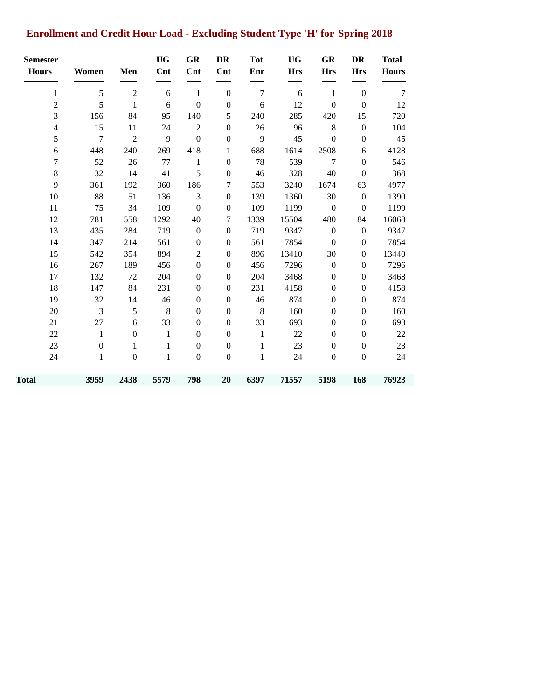# **Enrollment and Credit Hour Load - Excluding Student Type 'H' for Spring 2018**

| <b>Semester</b><br><b>Hours</b> | Women            | Men              | <b>UG</b><br>Cnt | <b>GR</b><br>Cnt | DR<br>Cnt        | <b>Tot</b><br>Enr | <b>UG</b><br><b>Hrs</b> | GR<br><b>Hrs</b> | <b>DR</b><br><b>Hrs</b> | <b>Total</b><br><b>Hours</b> |
|---------------------------------|------------------|------------------|------------------|------------------|------------------|-------------------|-------------------------|------------------|-------------------------|------------------------------|
| $\mathbf{1}$                    | 5                | $\overline{2}$   | 6                | $\mathbf{1}$     | $\boldsymbol{0}$ | $\tau$            | 6                       | $\mathbf{1}$     | $\boldsymbol{0}$        | 7                            |
| $\overline{2}$                  | 5                | $\mathbf{1}$     | 6                | $\boldsymbol{0}$ | $\boldsymbol{0}$ | 6                 | 12                      | $\boldsymbol{0}$ | $\boldsymbol{0}$        | 12                           |
| 3                               | 156              | 84               | 95               | 140              | $\mathfrak s$    | 240               | 285                     | 420              | 15                      | 720                          |
| $\overline{4}$                  | 15               | 11               | 24               | $\overline{2}$   | $\boldsymbol{0}$ | 26                | 96                      | $8\,$            | $\boldsymbol{0}$        | 104                          |
| 5                               | $\overline{7}$   | $\overline{2}$   | 9                | $\boldsymbol{0}$ | $\boldsymbol{0}$ | 9                 | 45                      | $\boldsymbol{0}$ | $\boldsymbol{0}$        | 45                           |
| 6                               | 448              | 240              | 269              | 418              | 1                | 688               | 1614                    | 2508             | 6                       | 4128                         |
| 7                               | 52               | 26               | 77               | $\mathbf{1}$     | $\boldsymbol{0}$ | 78                | 539                     | $\tau$           | $\boldsymbol{0}$        | 546                          |
| $\,8\,$                         | 32               | 14               | 41               | $\mathfrak s$    | $\boldsymbol{0}$ | 46                | 328                     | 40               | $\boldsymbol{0}$        | 368                          |
| 9                               | 361              | 192              | 360              | 186              | 7                | 553               | 3240                    | 1674             | 63                      | 4977                         |
| 10                              | 88               | 51               | 136              | 3                | $\boldsymbol{0}$ | 139               | 1360                    | 30               | $\boldsymbol{0}$        | 1390                         |
| 11                              | 75               | 34               | 109              | $\boldsymbol{0}$ | $\boldsymbol{0}$ | 109               | 1199                    | $\boldsymbol{0}$ | $\mathbf{0}$            | 1199                         |
| 12                              | 781              | 558              | 1292             | 40               | 7                | 1339              | 15504                   | 480              | 84                      | 16068                        |
| 13                              | 435              | 284              | 719              | $\boldsymbol{0}$ | $\boldsymbol{0}$ | 719               | 9347                    | $\boldsymbol{0}$ | $\boldsymbol{0}$        | 9347                         |
| 14                              | 347              | 214              | 561              | $\boldsymbol{0}$ | $\boldsymbol{0}$ | 561               | 7854                    | $\boldsymbol{0}$ | $\boldsymbol{0}$        | 7854                         |
| 15                              | 542              | 354              | 894              | $\overline{2}$   | $\boldsymbol{0}$ | 896               | 13410                   | 30               | $\boldsymbol{0}$        | 13440                        |
| 16                              | 267              | 189              | 456              | $\boldsymbol{0}$ | $\boldsymbol{0}$ | 456               | 7296                    | $\boldsymbol{0}$ | $\boldsymbol{0}$        | 7296                         |
| 17                              | 132              | 72               | 204              | $\boldsymbol{0}$ | $\boldsymbol{0}$ | 204               | 3468                    | $\boldsymbol{0}$ | $\boldsymbol{0}$        | 3468                         |
| 18                              | 147              | 84               | 231              | $\boldsymbol{0}$ | $\boldsymbol{0}$ | 231               | 4158                    | $\boldsymbol{0}$ | $\boldsymbol{0}$        | 4158                         |
| 19                              | 32               | 14               | 46               | $\boldsymbol{0}$ | $\boldsymbol{0}$ | 46                | 874                     | $\boldsymbol{0}$ | $\boldsymbol{0}$        | 874                          |
| 20                              | 3                | $\mathfrak s$    | $\,8\,$          | $\boldsymbol{0}$ | $\boldsymbol{0}$ | $8\,$             | 160                     | $\boldsymbol{0}$ | $\boldsymbol{0}$        | 160                          |
| 21                              | 27               | 6                | 33               | $\boldsymbol{0}$ | $\boldsymbol{0}$ | 33                | 693                     | $\boldsymbol{0}$ | $\boldsymbol{0}$        | 693                          |
| 22                              | $\mathbf{1}$     | $\boldsymbol{0}$ | $\mathbf{1}$     | $\boldsymbol{0}$ | $\boldsymbol{0}$ | $\mathbf{1}$      | 22                      | $\boldsymbol{0}$ | $\mathbf{0}$            | 22                           |
| 23                              | $\boldsymbol{0}$ | 1                | 1                | $\boldsymbol{0}$ | $\boldsymbol{0}$ | 1                 | 23                      | $\boldsymbol{0}$ | $\boldsymbol{0}$        | 23                           |
| 24                              | $\mathbf{1}$     | $\boldsymbol{0}$ | $\mathbf{1}$     | $\boldsymbol{0}$ | $\boldsymbol{0}$ | $\mathbf{1}$      | 24                      | $\boldsymbol{0}$ | $\boldsymbol{0}$        | 24                           |
| <b>Total</b>                    | 3959             | 2438             | 5579             | 798              | 20               | 6397              | 71557                   | 5198             | 168                     | 76923                        |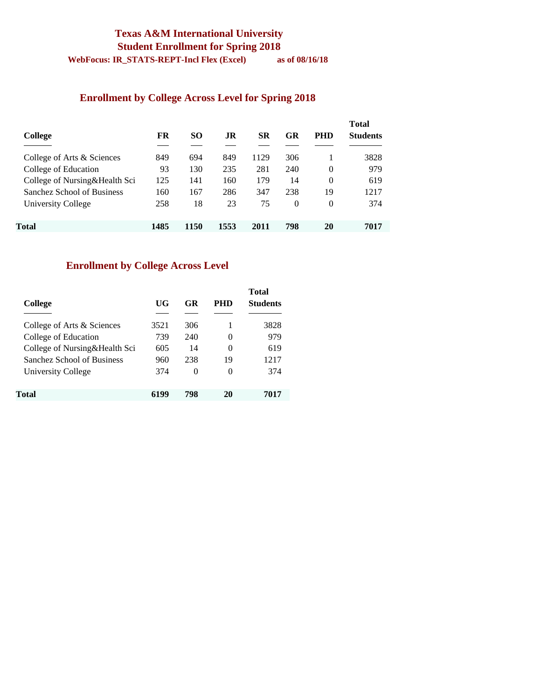# **Texas A&M International University Student Enrollment for Spring 2018**

**WebFocus: IR\_STATS-REPT-Incl Flex (Excel) as of 08/16/18** 

#### **Enrollment by College Across Level for Spring 2018**

| College                       | FR   | <b>SO</b> | .IR  | SR   | GR       | <b>PHD</b> | <b>Total</b><br><b>Students</b> |
|-------------------------------|------|-----------|------|------|----------|------------|---------------------------------|
| College of Arts & Sciences    | 849  | 694       | 849  | 1129 | 306      |            | 3828                            |
| College of Education          | 93   | 130       | 235  | 281  | 240      | $\Omega$   | 979                             |
| College of Nursing&Health Sci | 125  | 141       | 160  | 179  | 14       | $\Omega$   | 619                             |
| Sanchez School of Business    | 160  | 167       | 286  | 347  | 238      | 19         | 1217                            |
| University College            | 258  | 18        | 23   | 75   | $\theta$ | $\Omega$   | 374                             |
| Total                         | 1485 | 1150      | 1553 | 2011 | 798      | 20         | 7017                            |

# **Enrollment by College Across Level**

| College                       | UG   | GR  | PHD      | <b>Total</b><br><b>Students</b> |
|-------------------------------|------|-----|----------|---------------------------------|
| College of Arts & Sciences    | 3521 | 306 |          | 3828                            |
| College of Education          | 739  | 240 | $\Omega$ | 979                             |
| College of Nursing&Health Sci | 605  | 14  | $\Omega$ | 619                             |
| Sanchez School of Business    | 960  | 238 | 19       | 1217                            |
| University College            | 374  | 0   | 0        | 374                             |
| Total                         | 6199 | 798 | 20       | 7017                            |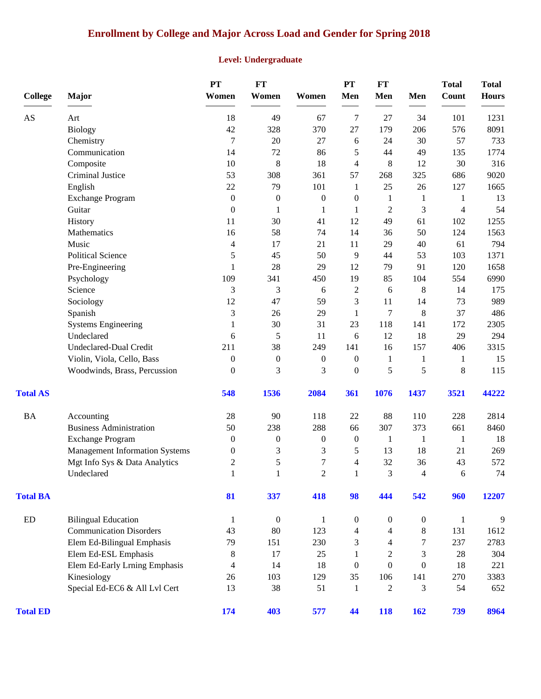# **Enrollment by College and Major Across Load and Gender for Spring 2018**

#### **Level: Undergraduate**

| <b>College</b>  | Major                                 | PT<br>Women              | FT<br>Women      | Women            | PT<br>Men        | <b>FT</b><br>Men | Men              | <b>Total</b><br>Count | <b>Total</b><br><b>Hours</b> |
|-----------------|---------------------------------------|--------------------------|------------------|------------------|------------------|------------------|------------------|-----------------------|------------------------------|
| AS              | Art                                   | 18                       | 49               | 67               | 7                | 27               | 34               | 101                   | 1231                         |
|                 | <b>Biology</b>                        | $42\,$                   | 328              | 370              | 27               | 179              | 206              | 576                   | 8091                         |
|                 | Chemistry                             | 7                        | 20               | 27               | 6                | 24               | 30               | 57                    | 733                          |
|                 | Communication                         | 14                       | 72               | 86               | 5                | 44               | 49               | 135                   | 1774                         |
|                 | Composite                             | 10                       | $\,8\,$          | 18               | $\overline{4}$   | $\,$ 8 $\,$      | 12               | 30                    | 316                          |
|                 | Criminal Justice                      | 53                       | 308              | 361              | 57               | 268              | 325              | 686                   | 9020                         |
|                 | English                               | 22                       | 79               | 101              | 1                | 25               | 26               | 127                   | 1665                         |
|                 | <b>Exchange Program</b>               | $\boldsymbol{0}$         | $\boldsymbol{0}$ | $\boldsymbol{0}$ | 0                | 1                | 1                | 1                     | 13                           |
|                 | Guitar                                | $\boldsymbol{0}$         | 1                | 1                | 1                | $\overline{2}$   | 3                | 4                     | 54                           |
|                 | History                               | 11                       | 30               | 41               | 12               | 49               | 61               | 102                   | 1255                         |
|                 | Mathematics                           | 16                       | 58               | 74               | 14               | 36               | 50               | 124                   | 1563                         |
|                 | Music                                 | $\overline{\mathcal{L}}$ | 17               | 21               | 11               | 29               | 40               | 61                    | 794                          |
|                 | <b>Political Science</b>              | 5                        | 45               | 50               | 9                | 44               | 53               | 103                   | 1371                         |
|                 | Pre-Engineering                       | $\mathbf{1}$             | 28               | 29               | 12               | 79               | 91               | 120                   | 1658                         |
|                 | Psychology                            | 109                      | 341              | 450              | 19               | 85               | 104              | 554                   | 6990                         |
|                 | Science                               | 3                        | 3                | 6                | $\mathfrak{2}$   | 6                | $\,8\,$          | 14                    | 175                          |
|                 | Sociology                             | 12                       | 47               | 59               | 3                | 11               | 14               | 73                    | 989                          |
|                 | Spanish                               | 3                        | 26               | 29               | 1                | 7                | 8                | 37                    | 486                          |
|                 | <b>Systems Engineering</b>            | 1                        | 30               | 31               | 23               | 118              | 141              | 172                   | 2305                         |
|                 | Undeclared                            | 6                        | $\sqrt{5}$       | 11               | 6                | 12               | 18               | 29                    | 294                          |
|                 | Undeclared-Dual Credit                | 211                      | 38               | 249              | 141              | 16               | 157              | 406                   | 3315                         |
|                 | Violin, Viola, Cello, Bass            | $\boldsymbol{0}$         | $\boldsymbol{0}$ | $\boldsymbol{0}$ | $\boldsymbol{0}$ | $\mathbf{1}$     | 1                | 1                     | 15                           |
|                 | Woodwinds, Brass, Percussion          | $\mathbf{0}$             | 3                | 3                | $\boldsymbol{0}$ | 5                | 5                | $8\,$                 | 115                          |
| <b>Total AS</b> |                                       | 548                      | 1536             | 2084             | 361              | 1076             | 1437             | 3521                  | 44222                        |
| <b>BA</b>       | Accounting                            | 28                       | 90               | 118              | 22               | 88               | 110              | 228                   | 2814                         |
|                 | <b>Business Administration</b>        | 50                       | 238              | 288              | 66               | 307              | 373              | 661                   | 8460                         |
|                 | <b>Exchange Program</b>               | $\mathbf{0}$             | $\boldsymbol{0}$ | $\boldsymbol{0}$ | $\boldsymbol{0}$ | $\mathbf{1}$     | 1                | 1                     | 18                           |
|                 | <b>Management Information Systems</b> | $\boldsymbol{0}$         | 3                | 3                | 5                | 13               | 18               | 21                    | 269                          |
|                 | Mgt Info Sys & Data Analytics         | $\overline{2}$           | 5                | $\overline{7}$   | 4                | 32               | 36               | 43                    | 572                          |
|                 | Undeclared                            | $\mathbf{1}$             | $\mathbf{1}$     | $\overline{c}$   | $\mathbf{1}$     | 3                | $\overline{4}$   | 6                     | 74                           |
| <b>Total BA</b> |                                       | 81                       | 337              | 418              | 98               | 444              | 542              | 960                   | 12207                        |
| ED              | <b>Bilingual Education</b>            | $\mathbf{1}$             | $\boldsymbol{0}$ | $\mathbf{1}$     | $\boldsymbol{0}$ | $\boldsymbol{0}$ | $\boldsymbol{0}$ | $\mathbf{1}$          | 9                            |
|                 | <b>Communication Disorders</b>        | 43                       | 80               | 123              | 4                | 4                | 8                | 131                   | 1612                         |
|                 | Elem Ed-Bilingual Emphasis            | 79                       | 151              | 230              | 3                | 4                | 7                | 237                   | 2783                         |
|                 | Elem Ed-ESL Emphasis                  | 8                        | 17               | 25               | 1                | $\overline{c}$   | 3                | 28                    | 304                          |
|                 | Elem Ed-Early Lrning Emphasis         | 4                        | 14               | 18               | $\boldsymbol{0}$ | $\overline{0}$   | $\boldsymbol{0}$ | 18                    | 221                          |
|                 | Kinesiology                           | 26                       | 103              | 129              | 35               | 106              | 141              | 270                   | 3383                         |
|                 | Special Ed-EC6 & All Lvl Cert         | 13                       | 38               | 51               | 1                | $\overline{2}$   | 3                | 54                    | 652                          |
| <b>Total ED</b> |                                       | 174                      | 403              | 577              | 44               | 118              | 162              | 739                   | 8964                         |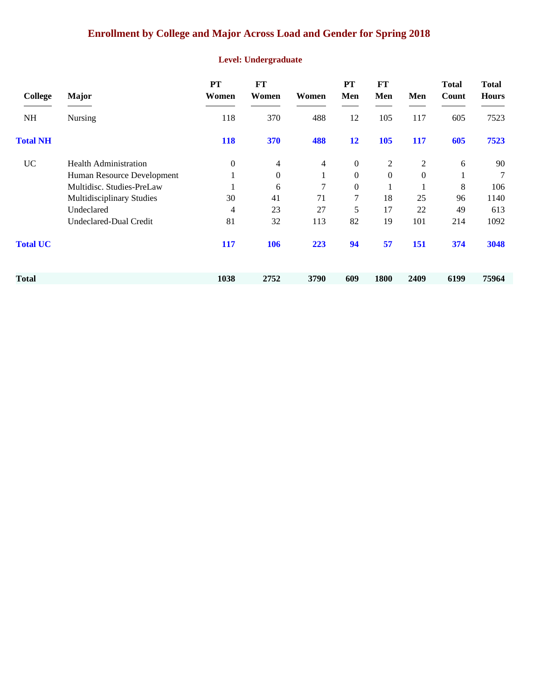### **Enrollment by College and Major Across Load and Gender for Spring 2018**

#### **Level: Undergraduate**

| College         | <b>Major</b>                     | <b>PT</b><br>Women | FT<br>Women    | Women | <b>PT</b><br>Men | FT<br>Men        | Men          | <b>Total</b><br>Count | <b>Total</b><br><b>Hours</b> |
|-----------------|----------------------------------|--------------------|----------------|-------|------------------|------------------|--------------|-----------------------|------------------------------|
| <b>NH</b>       | <b>Nursing</b>                   | 118                | 370            | 488   | 12               | 105              | 117          | 605                   | 7523                         |
| <b>Total NH</b> |                                  | 118                | 370            | 488   | 12               | 105              | 117          | 605                   | 7523                         |
| <b>UC</b>       | <b>Health Administration</b>     | $\mathbf{0}$       | $\overline{4}$ | 4     | $\boldsymbol{0}$ | 2                | 2            | 6                     | 90                           |
|                 | Human Resource Development       |                    | $\mathbf{0}$   | 1     | $\overline{0}$   | $\boldsymbol{0}$ | $\mathbf{0}$ | 1                     | 7                            |
|                 | Multidisc. Studies-PreLaw        |                    | 6              | 7     | $\overline{0}$   |                  |              | 8                     | 106                          |
|                 | <b>Multidisciplinary Studies</b> | 30                 | 41             | 71    | 7                | 18               | 25           | 96                    | 1140                         |
|                 | Undeclared                       | 4                  | 23             | 27    | 5                | 17               | 22           | 49                    | 613                          |
|                 | Undeclared-Dual Credit           | 81                 | 32             | 113   | 82               | 19               | 101          | 214                   | 1092                         |
| <b>Total UC</b> |                                  | 117                | <b>106</b>     | 223   | 94               | 57               | 151          | 374                   | 3048                         |
| Total           |                                  | 1038               | 2752           | 3790  | 609              | 1800             | 2409         | 6199                  | 75964                        |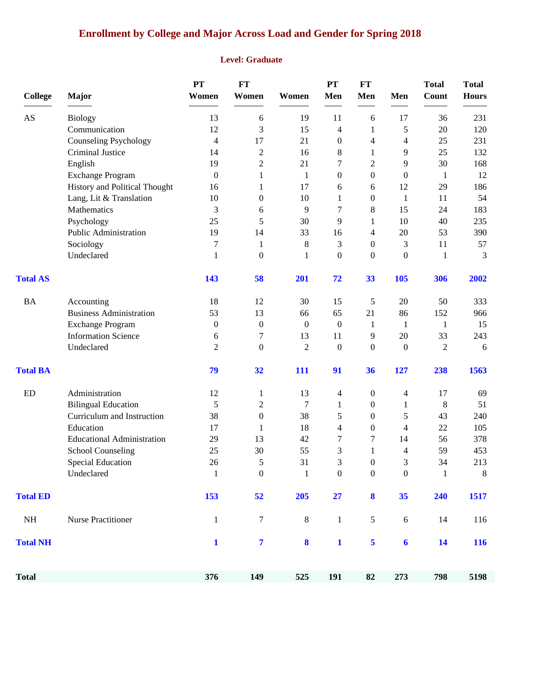# **Enrollment by College and Major Across Load and Gender for Spring 2018**

#### **Level: Graduate**

| <b>College</b>  | Major                             | PT<br>Women      | <b>FT</b><br>Women      | Women            | PT<br>Men        | <b>FT</b><br>Men | Men                      | <b>Total</b><br>Count | <b>Total</b><br><b>Hours</b> |
|-----------------|-----------------------------------|------------------|-------------------------|------------------|------------------|------------------|--------------------------|-----------------------|------------------------------|
| AS              | <b>Biology</b>                    | 13               | 6                       | 19               | 11               | $\boldsymbol{6}$ | 17                       | 36                    | 231                          |
|                 | Communication                     | 12               | 3                       | 15               | 4                | 1                | 5                        | 20                    | 120                          |
|                 | <b>Counseling Psychology</b>      | 4                | 17                      | 21               | $\boldsymbol{0}$ | 4                | 4                        | 25                    | 231                          |
|                 | Criminal Justice                  | 14               | $\overline{c}$          | 16               | 8                | $\mathbf{1}$     | 9                        | 25                    | 132                          |
|                 | English                           | 19               | $\overline{c}$          | 21               | 7                | $\mathfrak{2}$   | 9                        | 30                    | 168                          |
|                 | <b>Exchange Program</b>           | $\boldsymbol{0}$ | 1                       | 1                | $\boldsymbol{0}$ | $\boldsymbol{0}$ | $\boldsymbol{0}$         | $\mathbf{1}$          | 12                           |
|                 | History and Political Thought     | 16               | 1                       | 17               | 6                | $\boldsymbol{6}$ | 12                       | 29                    | 186                          |
|                 | Lang, Lit & Translation           | 10               | 0                       | 10               | 1                | $\boldsymbol{0}$ | 1                        | 11                    | 54                           |
|                 | Mathematics                       | 3                | 6                       | 9                | 7                | $\,8\,$          | 15                       | 24                    | 183                          |
|                 | Psychology                        | 25               | 5                       | 30               | 9                | $\mathbf{1}$     | 10                       | 40                    | 235                          |
|                 | Public Administration             | 19               | 14                      | 33               | 16               | $\overline{4}$   | 20                       | 53                    | 390                          |
|                 | Sociology                         | 7                | 1                       | 8                | 3                | $\boldsymbol{0}$ | 3                        | 11                    | 57                           |
|                 | Undeclared                        | 1                | $\boldsymbol{0}$        | 1                | $\boldsymbol{0}$ | $\boldsymbol{0}$ | $\boldsymbol{0}$         | $\mathbf{1}$          | 3                            |
| <b>Total AS</b> |                                   | 143              | 58                      | 201              | 72               | 33               | 105                      | 306                   | 2002                         |
| <b>BA</b>       | Accounting                        | 18               | 12                      | 30               | 15               | 5                | 20                       | 50                    | 333                          |
|                 | <b>Business Administration</b>    | 53               | 13                      | 66               | 65               | 21               | 86                       | 152                   | 966                          |
|                 | <b>Exchange Program</b>           | $\boldsymbol{0}$ | $\boldsymbol{0}$        | $\boldsymbol{0}$ | $\boldsymbol{0}$ | $\mathbf{1}$     | $\mathbf{1}$             | $\mathbf{1}$          | 15                           |
|                 | <b>Information Science</b>        | 6                | 7                       | 13               | 11               | 9                | 20                       | 33                    | 243                          |
|                 | Undeclared                        | $\overline{2}$   | $\boldsymbol{0}$        | $\overline{c}$   | $\mathbf{0}$     | $\boldsymbol{0}$ | $\mathbf{0}$             | $\mathfrak{2}$        | 6                            |
| <b>Total BA</b> |                                   | 79               | 32                      | 111              | 91               | 36               | 127                      | 238                   | 1563                         |
| ED              | Administration                    | 12               | 1                       | 13               | $\overline{4}$   | $\boldsymbol{0}$ | $\overline{\mathcal{A}}$ | 17                    | 69                           |
|                 | <b>Bilingual Education</b>        | 5                | 2                       | 7                | 1                | $\boldsymbol{0}$ | 1                        | 8                     | 51                           |
|                 | Curriculum and Instruction        | 38               | $\boldsymbol{0}$        | 38               | 5                | $\boldsymbol{0}$ | 5                        | 43                    | 240                          |
|                 | Education                         | 17               | 1                       | 18               | $\overline{4}$   | $\boldsymbol{0}$ | $\overline{4}$           | 22                    | 105                          |
|                 | <b>Educational Administration</b> | 29               | 13                      | 42               | 7                | 7                | 14                       | 56                    | 378                          |
|                 | <b>School Counseling</b>          | 25               | 30                      | 55               | 3                | 1                | 4                        | 59                    | 453                          |
|                 | <b>Special Education</b>          | 26               | 5                       | 31               | 3                | $\boldsymbol{0}$ | 3                        | 34                    | 213                          |
|                 | Undeclared                        | $\overline{1}$   | 0                       | $\mathbf{1}$     | $\boldsymbol{0}$ | $\Omega$         | $\boldsymbol{0}$         | $\mathbf{1}$          | $8\,$                        |
| <b>Total ED</b> |                                   | 153              | 52                      | 205              | 27               | 8                | 35                       | 240                   | 1517                         |
| NH              | <b>Nurse Practitioner</b>         | $\mathbf{1}$     | $\tau$                  | $\, 8$           | $\mathbf{1}$     | $\sqrt{5}$       | 6                        | 14                    | 116                          |
| <b>Total NH</b> |                                   | $\mathbf{1}$     | $\overline{\mathbf{7}}$ | $\boldsymbol{8}$ | $\mathbf{1}$     | 5                | $\boldsymbol{6}$         | 14                    | <b>116</b>                   |
| <b>Total</b>    |                                   | 376              | 149                     | 525              | 191              | 82               | 273                      | 798                   | 5198                         |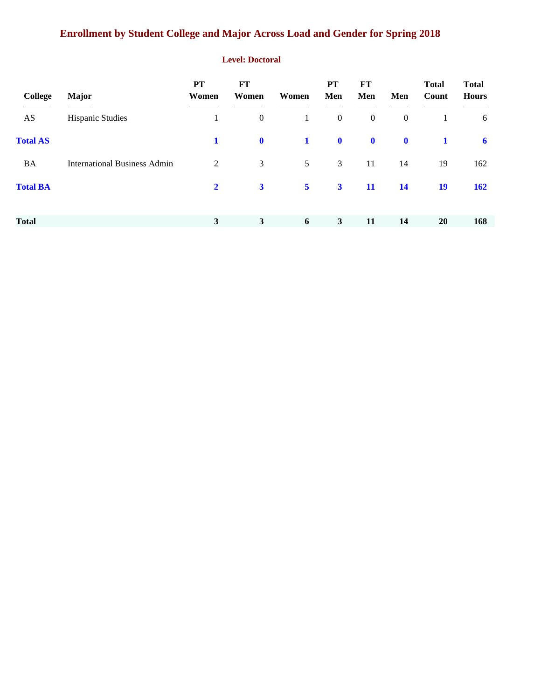# **Enrollment by Student College and Major Across Load and Gender for Spring 2018**

#### **Level: Doctoral**

| <b>College</b>  | <b>Major</b>                        | <b>PT</b><br>Women | FT<br>Women             | Women          | <b>PT</b><br>Men | FT<br>Men        | Men              | <b>Total</b><br>Count | <b>Total</b><br><b>Hours</b> |
|-----------------|-------------------------------------|--------------------|-------------------------|----------------|------------------|------------------|------------------|-----------------------|------------------------------|
| AS              | <b>Hispanic Studies</b>             |                    | $\boldsymbol{0}$        | $\mathbf{1}$   | $\mathbf{0}$     | $\boldsymbol{0}$ | $\boldsymbol{0}$ | 1                     | 6                            |
| <b>Total AS</b> |                                     | 1                  | $\mathbf 0$             | $\mathbf 1$    | $\mathbf 0$      | $\mathbf 0$      | $\mathbf 0$      |                       | 6                            |
| <b>BA</b>       | <b>International Business Admin</b> | 2                  | 3                       | 5 <sup>5</sup> | $\mathfrak{Z}$   | 11               | 14               | 19                    | 162                          |
| <b>Total BA</b> |                                     | $\overline{2}$     | $\overline{\mathbf{3}}$ | 5 <sup>5</sup> | $\mathbf{3}$     | <b>11</b>        | <b>14</b>        | <b>19</b>             | <b>162</b>                   |
| <b>Total</b>    |                                     | 3                  | $\mathbf{3}$            | 6              | $\mathbf{3}$     | 11               | 14               | <b>20</b>             | 168                          |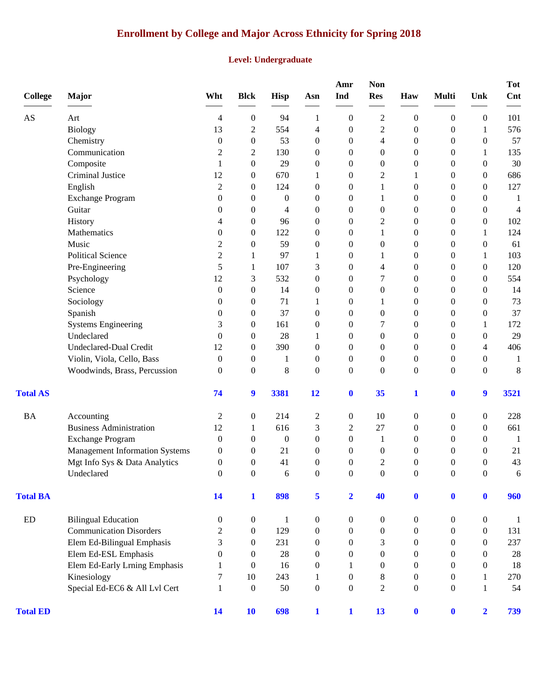# **Enrollment by College and Major Across Ethnicity for Spring 2018**

#### **Level: Undergraduate**

| <b>College</b>         | <b>Major</b>                          | Wht              | <b>Blck</b>      | Hisp             | Asn              | Amr<br>Ind              | <b>Non</b><br><b>Res</b> | Haw              | <b>Multi</b>     | Unk              | <b>Tot</b><br>Cnt |
|------------------------|---------------------------------------|------------------|------------------|------------------|------------------|-------------------------|--------------------------|------------------|------------------|------------------|-------------------|
| $\mathbf{A}\mathbf{S}$ | Art                                   | 4                | $\boldsymbol{0}$ | 94               | 1                | $\overline{0}$          | $\overline{c}$           | $\boldsymbol{0}$ | $\boldsymbol{0}$ | $\boldsymbol{0}$ | 101               |
|                        | <b>Biology</b>                        | 13               | $\overline{c}$   | 554              | 4                | $\boldsymbol{0}$        | $\overline{c}$           | $\boldsymbol{0}$ | $\boldsymbol{0}$ | 1                | 576               |
|                        | Chemistry                             | 0                | $\boldsymbol{0}$ | 53               | $\boldsymbol{0}$ | $\boldsymbol{0}$        | 4                        | $\boldsymbol{0}$ | $\boldsymbol{0}$ | $\boldsymbol{0}$ | 57                |
|                        | Communication                         | $\overline{c}$   | $\overline{c}$   | 130              | $\boldsymbol{0}$ | $\boldsymbol{0}$        | 0                        | $\boldsymbol{0}$ | $\boldsymbol{0}$ | 1                | 135               |
|                        | Composite                             | 1                | $\boldsymbol{0}$ | 29               | $\boldsymbol{0}$ | $\theta$                | 0                        | $\mathbf{0}$     | $\boldsymbol{0}$ | $\theta$         | 30                |
|                        | Criminal Justice                      | 12               | $\boldsymbol{0}$ | 670              | 1                | $\boldsymbol{0}$        | $\overline{c}$           |                  | $\boldsymbol{0}$ | $\theta$         | 686               |
|                        | English                               | $\overline{2}$   | $\boldsymbol{0}$ | 124              | $\boldsymbol{0}$ | $\boldsymbol{0}$        | 1                        | $\mathbf{0}$     | $\boldsymbol{0}$ | $\theta$         | 127               |
|                        | <b>Exchange Program</b>               | $\overline{0}$   | $\boldsymbol{0}$ | $\boldsymbol{0}$ | $\boldsymbol{0}$ | $\theta$                | 1                        | $\mathbf{0}$     | $\boldsymbol{0}$ | $\theta$         | 1                 |
|                        | Guitar                                | 0                | $\boldsymbol{0}$ | 4                | $\boldsymbol{0}$ | $\boldsymbol{0}$        | $\boldsymbol{0}$         | $\boldsymbol{0}$ | $\boldsymbol{0}$ | $\boldsymbol{0}$ | 4                 |
|                        | History                               | 4                | $\boldsymbol{0}$ | 96               | $\boldsymbol{0}$ | $\boldsymbol{0}$        | $\overline{c}$           | $\boldsymbol{0}$ | $\boldsymbol{0}$ | $\theta$         | 102               |
|                        | Mathematics                           | $\theta$         | $\theta$         | 122              | $\boldsymbol{0}$ | $\theta$                | 1                        | $\mathbf{0}$     | $\boldsymbol{0}$ | 1                | 124               |
|                        | Music                                 | 2                | $\boldsymbol{0}$ | 59               | $\boldsymbol{0}$ | $\theta$                | 0                        | $\mathbf{0}$     | $\boldsymbol{0}$ | $\theta$         | 61                |
|                        | <b>Political Science</b>              | $\overline{2}$   | 1                | 97               | 1                | $\boldsymbol{0}$        |                          | $\mathbf{0}$     | $\boldsymbol{0}$ | 1                | 103               |
|                        | Pre-Engineering                       | 5                | 1                | 107              | 3                | $\overline{0}$          | 4                        | $\mathbf{0}$     | $\boldsymbol{0}$ | $\theta$         | 120               |
|                        | Psychology                            | 12               | 3                | 532              | $\boldsymbol{0}$ | $\boldsymbol{0}$        | 7                        | $\boldsymbol{0}$ | $\boldsymbol{0}$ | $\theta$         | 554               |
|                        | Science                               | $\boldsymbol{0}$ | $\boldsymbol{0}$ | 14               | $\boldsymbol{0}$ | $\boldsymbol{0}$        | $\boldsymbol{0}$         | $\boldsymbol{0}$ | $\boldsymbol{0}$ | $\boldsymbol{0}$ | 14                |
|                        | Sociology                             | $\theta$         | $\boldsymbol{0}$ | 71               | 1                | $\theta$                | 1                        | $\mathbf{0}$     | $\boldsymbol{0}$ | $\theta$         | 73                |
|                        | Spanish                               | 0                | $\boldsymbol{0}$ | 37               | $\boldsymbol{0}$ | $\boldsymbol{0}$        | 0                        | $\boldsymbol{0}$ | $\theta$         | $\boldsymbol{0}$ | 37                |
|                        | <b>Systems Engineering</b>            | 3                | $\boldsymbol{0}$ | 161              | $\boldsymbol{0}$ | $\boldsymbol{0}$        | 7                        | $\mathbf{0}$     | $\boldsymbol{0}$ | 1                | 172               |
|                        | Undeclared                            | $\overline{0}$   | $\boldsymbol{0}$ | 28               | 1                | $\overline{0}$          | 0                        | $\mathbf{0}$     | $\boldsymbol{0}$ | $\theta$         | 29                |
|                        | <b>Undeclared-Dual Credit</b>         | 12               | $\boldsymbol{0}$ | 390              | $\boldsymbol{0}$ | $\boldsymbol{0}$        | 0                        | $\mathbf{0}$     | $\boldsymbol{0}$ | 4                | 406               |
|                        | Violin, Viola, Cello, Bass            | $\boldsymbol{0}$ | $\boldsymbol{0}$ | 1                | $\boldsymbol{0}$ | $\boldsymbol{0}$        | $\boldsymbol{0}$         | $\boldsymbol{0}$ | $\boldsymbol{0}$ | $\boldsymbol{0}$ | 1                 |
|                        | Woodwinds, Brass, Percussion          | $\theta$         | $\mathbf{0}$     | 8                | $\boldsymbol{0}$ | $\theta$                | $\overline{0}$           | $\mathbf{0}$     | $\overline{0}$   | $\theta$         | 8                 |
| <b>Total AS</b>        |                                       | 74               | $\boldsymbol{9}$ | 3381             | 12               | $\bf{0}$                | 35                       | 1                | $\bf{0}$         | 9                | 3521              |
| <b>BA</b>              | Accounting                            | $\overline{c}$   | $\boldsymbol{0}$ | 214              | $\overline{c}$   | $\boldsymbol{0}$        | 10                       | $\boldsymbol{0}$ | $\boldsymbol{0}$ | $\boldsymbol{0}$ | 228               |
|                        | <b>Business Administration</b>        | 12               | 1                | 616              | 3                | $\overline{2}$          | 27                       | $\mathbf{0}$     | $\boldsymbol{0}$ | $\boldsymbol{0}$ | 661               |
|                        | <b>Exchange Program</b>               | $\mathbf{0}$     | $\boldsymbol{0}$ | $\boldsymbol{0}$ | $\boldsymbol{0}$ | $\theta$                | 1                        | $\theta$         | $\mathbf{0}$     | $\theta$         | 1                 |
|                        | <b>Management Information Systems</b> | 0                | 0                | 21               | $\boldsymbol{0}$ | $\boldsymbol{0}$        | 0                        | $\theta$         | $\theta$         | $\overline{0}$   | 21                |
|                        | Mgt Info Sys & Data Analytics         | $\boldsymbol{0}$ | $\mathbf{0}$     | 41               | $\boldsymbol{0}$ | $\boldsymbol{0}$        | $\overline{c}$           | $\theta$         | $\boldsymbol{0}$ | $\mathbf{0}$     | 43                |
|                        | Undeclared                            | $\boldsymbol{0}$ | $\boldsymbol{0}$ | 6                | $\boldsymbol{0}$ | $\boldsymbol{0}$        | $\boldsymbol{0}$         | $\boldsymbol{0}$ | $\mathbf{0}$     | $\boldsymbol{0}$ | 6                 |
| <b>Total BA</b>        |                                       | 14               | $\mathbf{1}$     | 898              | 5                | $\overline{\mathbf{2}}$ | 40                       | $\mathbf{0}$     | $\mathbf{0}$     | $\mathbf{0}$     | 960               |
| ED                     | <b>Bilingual Education</b>            | $\boldsymbol{0}$ | $\boldsymbol{0}$ | 1                | $\boldsymbol{0}$ | $\overline{0}$          | 0                        | $\boldsymbol{0}$ | $\boldsymbol{0}$ | $\boldsymbol{0}$ | -1                |
|                        | <b>Communication Disorders</b>        | $\overline{2}$   | $\boldsymbol{0}$ | 129              | $\boldsymbol{0}$ | $\overline{0}$          | 0                        | $\boldsymbol{0}$ | $\overline{0}$   | $\theta$         | 131               |
|                        | Elem Ed-Bilingual Emphasis            | 3                | $\boldsymbol{0}$ | 231              | $\boldsymbol{0}$ | $\overline{0}$          | 3                        | $\boldsymbol{0}$ | $\theta$         | $\overline{0}$   | 237               |
|                        | Elem Ed-ESL Emphasis                  | $\theta$         | $\boldsymbol{0}$ | 28               | $\boldsymbol{0}$ | $\boldsymbol{0}$        | $\boldsymbol{0}$         | $\boldsymbol{0}$ | $\boldsymbol{0}$ | $\theta$         | $28\,$            |
|                        | Elem Ed-Early Lrning Emphasis         | 1                | $\boldsymbol{0}$ | 16               | $\overline{0}$   | $\mathbf{1}$            | 0                        | $\boldsymbol{0}$ | $\overline{0}$   | $\boldsymbol{0}$ | 18                |
|                        | Kinesiology                           | 7                | 10               | 243              | $\mathbf{1}$     | $\overline{0}$          | 8                        | $\mathbf{0}$     | $\theta$         | 1                | 270               |
|                        | Special Ed-EC6 & All Lvl Cert         | $\mathbf{1}$     | $\boldsymbol{0}$ | 50               | $\boldsymbol{0}$ | $\overline{0}$          | 2                        | $\boldsymbol{0}$ | $\boldsymbol{0}$ | 1                | 54                |
| <b>Total ED</b>        |                                       | 14               | 10               | 698              | $\mathbf{1}$     | $\mathbf{1}$            | 13                       | $\mathbf{0}$     | $\mathbf{0}$     | $\overline{2}$   | 739               |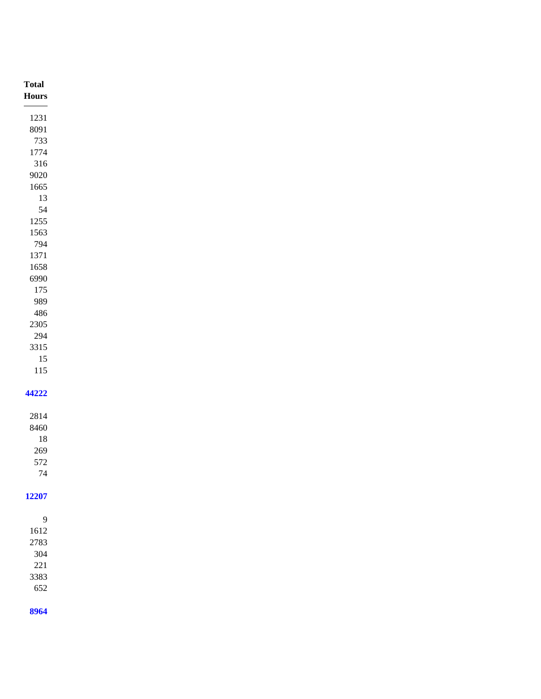| <b>Total</b>                      |
|-----------------------------------|
| Hours<br>$\overline{\phantom{a}}$ |
| 1231                              |
| 8091                              |
| 733                               |
| 1774<br>316                       |
| 9020                              |
| $1665\,$                          |
| 13                                |
| 54                                |
| 1255                              |
| 1563                              |
| 794<br>1371                       |
| 1658                              |
| 6990                              |
| 175                               |
| 989                               |
| 486                               |
| $2305\,$                          |
| 294<br>3315                       |
| $15\,$                            |
| $115\,$                           |
|                                   |
| 44222                             |
| 2814                              |
| 8460                              |
| 18                                |
| 269                               |
| 572<br>$74\,$                     |
|                                   |
| 12207                             |
|                                   |
| $\overline{9}$                    |
| $1612\,$<br>2783                  |
| $304\,$                           |
| $221\,$                           |
| 3383                              |
| 652                               |
| 8964                              |
|                                   |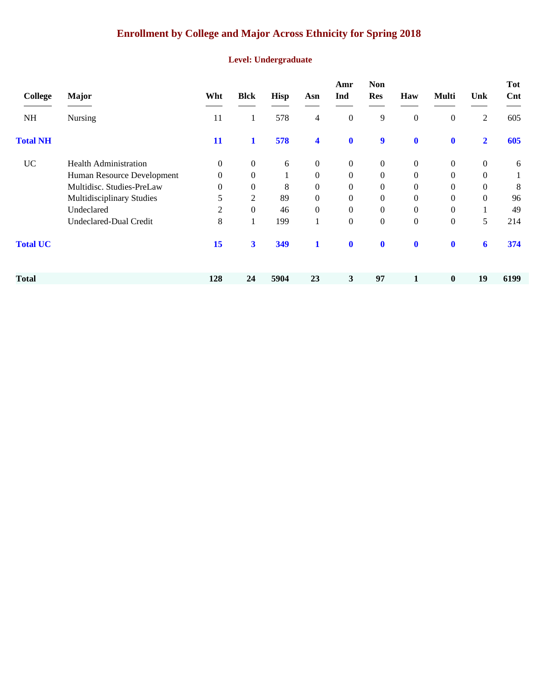# **Enrollment by College and Major Across Ethnicity for Spring 2018**

#### **Level: Undergraduate**

| College         | <b>Major</b>                 | Wht              | <b>Blck</b>      | Hisp     | Asn                     | Amr<br>Ind       | <b>Non</b><br><b>Res</b> | Haw              | <b>Multi</b>     | Unk              | <b>Tot</b><br>Cnt |
|-----------------|------------------------------|------------------|------------------|----------|-------------------------|------------------|--------------------------|------------------|------------------|------------------|-------------------|
| NH              | <b>Nursing</b>               | 11               | $\mathbf{I}$     | 578      | 4                       | $\mathbf{0}$     | 9                        | $\boldsymbol{0}$ | $\boldsymbol{0}$ | 2                | 605               |
| <b>Total NH</b> |                              | 11               | 1                | 578      | $\overline{\mathbf{4}}$ | $\bf{0}$         | 9                        | $\mathbf{0}$     | $\mathbf 0$      | $\overline{2}$   | 605               |
| <b>UC</b>       | <b>Health Administration</b> | $\boldsymbol{0}$ | $\boldsymbol{0}$ | 6        | $\mathbf{0}$            | $\boldsymbol{0}$ | $\overline{0}$           | $\mathbf{0}$     | $\boldsymbol{0}$ | $\boldsymbol{0}$ | 6                 |
|                 | Human Resource Development   | $\overline{0}$   | $\overline{0}$   | $\bf{l}$ | $\boldsymbol{0}$        | $\overline{0}$   | $\mathbf{0}$             | $\theta$         | $\mathbf{0}$     | $\Omega$         |                   |
|                 | Multidisc. Studies-PreLaw    | $\overline{0}$   | $\overline{0}$   | 8        | $\boldsymbol{0}$        | $\Omega$         | $\Omega$                 | $\mathbf{0}$     | $\mathbf{0}$     | $\Omega$         | 8                 |
|                 | Multidisciplinary Studies    | 5                | 2                | 89       | $\boldsymbol{0}$        | $\overline{0}$   | $\mathbf{0}$             | $\mathbf{0}$     | $\boldsymbol{0}$ | $\Omega$         | 96                |
|                 | Undeclared                   | 2                | $\overline{0}$   | 46       | $\boldsymbol{0}$        | $\overline{0}$   | $\mathbf{0}$             | $\mathbf{0}$     | $\mathbf{0}$     |                  | 49                |
|                 | Undeclared-Dual Credit       | 8                |                  | 199      | 1                       | $\overline{0}$   | $\mathbf{0}$             | $\mathbf{0}$     | $\boldsymbol{0}$ | 5                | 214               |
| <b>Total UC</b> |                              | 15               | $\mathbf{3}$     | 349      | $\mathbf{1}$            | $\mathbf 0$      | $\mathbf 0$              | $\mathbf 0$      | $\mathbf 0$      | 6                | 374               |
| <b>Total</b>    |                              | 128              | 24               | 5904     | 23                      | 3                | 97                       |                  | $\bf{0}$         | 19               | 6199              |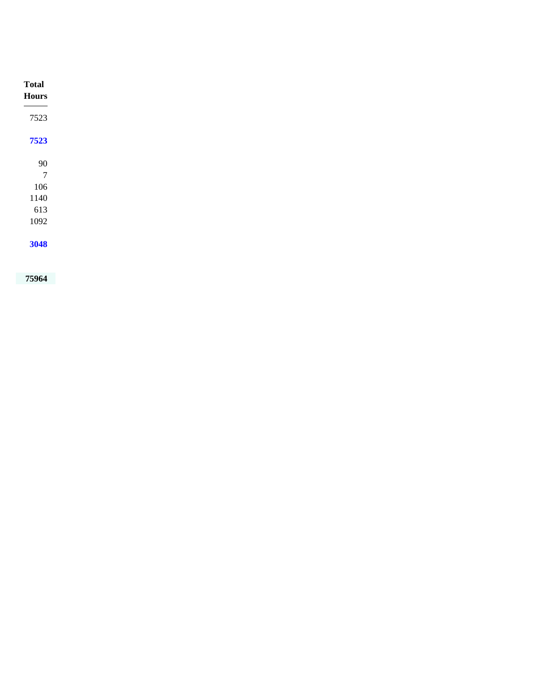| <b>Total</b><br><b>Hours</b> |
|------------------------------|
| 7523                         |
| 7523                         |
| 90                           |
| $\overline{7}$<br>106        |
| 1140                         |
| 613                          |
| 1092                         |
| 3048                         |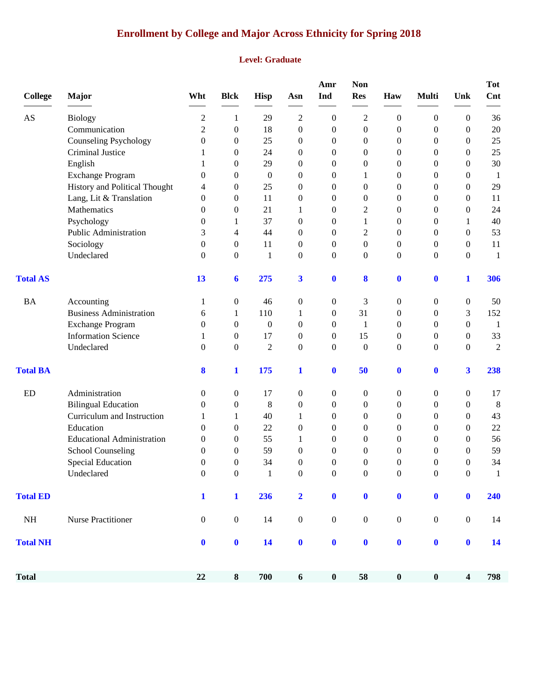# **Enrollment by College and Major Across Ethnicity for Spring 2018**

#### **Level: Graduate**

| <b>College</b>         | <b>Major</b>                      | Wht              | <b>Blck</b>      | Hisp             | Asn                     | Amr<br>Ind       | <b>Non</b><br><b>Res</b> | Haw              | <b>Multi</b>     | Unk                     | <b>Tot</b><br>Cnt |
|------------------------|-----------------------------------|------------------|------------------|------------------|-------------------------|------------------|--------------------------|------------------|------------------|-------------------------|-------------------|
| $\mathbf{A}\mathbf{S}$ | <b>Biology</b>                    | $\overline{c}$   | 1                | 29               | $\overline{2}$          | 0                | $\overline{c}$           | 0                | $\boldsymbol{0}$ | $\theta$                | 36                |
|                        | Communication                     | 2                | $\overline{0}$   | 18               | $\boldsymbol{0}$        | 0                | $\overline{0}$           | $\boldsymbol{0}$ | $\boldsymbol{0}$ | $\theta$                | $20\,$            |
|                        | <b>Counseling Psychology</b>      | 0                | $\overline{0}$   | 25               | $\theta$                | 0                | $\theta$                 | 0                | $\boldsymbol{0}$ | $\mathbf{0}$            | 25                |
|                        | Criminal Justice                  | 1                | $\overline{0}$   | 24               | $\overline{0}$          | $\boldsymbol{0}$ | $\overline{0}$           | 0                | $\mathbf{0}$     | $\theta$                | 25                |
|                        | English                           |                  | 0                | 29               | $\mathbf{0}$            | 0                | $\overline{0}$           | 0                | $\boldsymbol{0}$ | $\theta$                | 30                |
|                        | <b>Exchange Program</b>           | 0                | 0                | $\boldsymbol{0}$ | $\theta$                | 0                | 1                        | 0                | $\boldsymbol{0}$ | $\theta$                | $\mathbf{1}$      |
|                        | History and Political Thought     | 4                | 0                | 25               | $\overline{0}$          | 0                | $\overline{0}$           | 0                | $\mathbf{0}$     | $\theta$                | 29                |
|                        | Lang, Lit & Translation           | $\theta$         | 0                | 11               | $\mathbf{0}$            | 0                | $\overline{0}$           | 0                | $\theta$         | $\theta$                | 11                |
|                        | Mathematics                       | $\theta$         | $\boldsymbol{0}$ | 21               | 1                       | 0                | 2                        | 0                | $\boldsymbol{0}$ | $\mathbf{0}$            | 24                |
|                        | Psychology                        | $\Omega$         | 1                | 37               | $\overline{0}$          | $\boldsymbol{0}$ | 1                        | 0                | $\mathbf{0}$     | $\mathbf{1}$            | 40                |
|                        | Public Administration             | 3                | 4                | 44               | $\mathbf{0}$            | $\boldsymbol{0}$ | 2                        | 0                | $\boldsymbol{0}$ | $\theta$                | 53                |
|                        | Sociology                         | $\theta$         | $\overline{0}$   | 11               | $\mathbf{0}$            | 0                | $\overline{0}$           | 0                | $\boldsymbol{0}$ | $\boldsymbol{0}$        | 11                |
|                        | Undeclared                        | $\Omega$         | $\overline{0}$   | $\mathbf{1}$     | $\mathbf{0}$            | $\overline{0}$   | $\theta$                 | $\overline{0}$   | $\mathbf{0}$     | $\theta$                | $\mathbf{1}$      |
| <b>Total AS</b>        |                                   | 13               | 6                | 275              | 3                       | $\bf{0}$         | 8                        | $\bf{0}$         | $\bf{0}$         | 1                       | 306               |
| <b>BA</b>              | Accounting                        | 1                | 0                | 46               | $\boldsymbol{0}$        | 0                | 3                        | 0                | $\boldsymbol{0}$ | $\boldsymbol{0}$        | 50                |
|                        | <b>Business Administration</b>    | 6                | 1                | 110              | 1                       | 0                | 31                       | 0                | $\boldsymbol{0}$ | 3                       | 152               |
|                        | <b>Exchange Program</b>           | $\mathbf{0}$     | $\overline{0}$   | $\mathbf{0}$     | $\mathbf{0}$            | 0                | 1                        | 0                | $\mathbf{0}$     | $\theta$                | 1                 |
|                        | <b>Information Science</b>        | 1                | $\overline{0}$   | 17               | $\mathbf{0}$            | 0                | 15                       | 0                | $\boldsymbol{0}$ | $\overline{0}$          | 33                |
|                        | Undeclared                        | $\mathbf{0}$     | $\overline{0}$   | $\overline{2}$   | $\overline{0}$          | $\overline{0}$   | $\overline{0}$           | $\overline{0}$   | $\mathbf{0}$     | $\theta$                | $\mathfrak{2}$    |
| <b>Total BA</b>        |                                   | 8                | 1                | 175              | $\mathbf{1}$            | $\bf{0}$         | 50                       | $\bf{0}$         | $\bf{0}$         | $\overline{\mathbf{3}}$ | 238               |
| <b>ED</b>              | Administration                    | $\Omega$         | $\overline{0}$   | 17               | $\boldsymbol{0}$        | 0                | 0                        | 0                | $\boldsymbol{0}$ | $\overline{0}$          | 17                |
|                        | <b>Bilingual Education</b>        | $\theta$         | 0                | 8                | $\boldsymbol{0}$        | $\overline{0}$   | $\theta$                 | 0                | $\boldsymbol{0}$ | $\theta$                | $\,8\,$           |
|                        | Curriculum and Instruction        | 1                | 1                | 40               | 1                       | 0                | $\theta$                 | 0                | $\boldsymbol{0}$ | $\theta$                | 43                |
|                        | Education                         | $\theta$         | $\overline{0}$   | 22               | $\overline{0}$          | $\boldsymbol{0}$ | $\theta$                 | 0                | $\mathbf{0}$     | $\theta$                | $22\,$            |
|                        | <b>Educational Administration</b> | 0                | $\overline{0}$   | 55               | 1                       | $\boldsymbol{0}$ | $\overline{0}$           | 0                | $\boldsymbol{0}$ | $\theta$                | 56                |
|                        | <b>School Counseling</b>          | 0                | 0                | 59               | $\boldsymbol{0}$        | 0                | $\theta$                 | 0                | 0                | $\mathbf{0}$            | 59                |
|                        | <b>Special Education</b>          | $\theta$         | $\overline{0}$   | 34               | $\overline{0}$          | $\overline{0}$   | $\overline{0}$           | 0                | $\theta$         | $\mathbf{0}$            | 34                |
|                        | Undeclared                        | $\Omega$         | $\theta$         | 1                | $\Omega$                | $\Omega$         | $\Omega$                 | $\theta$         | $\Omega$         | $\Omega$                |                   |
| <b>Total ED</b>        |                                   | $\mathbf{1}$     | $\mathbf{1}$     | 236              | $\overline{\mathbf{2}}$ | $\bf{0}$         | $\pmb{0}$                | $\bf{0}$         | $\bf{0}$         | $\mathbf{0}$            | 240               |
| NH                     | Nurse Practitioner                | $\boldsymbol{0}$ | $\boldsymbol{0}$ | 14               | $\boldsymbol{0}$        | $\boldsymbol{0}$ | $\boldsymbol{0}$         | $\boldsymbol{0}$ | $\boldsymbol{0}$ | $\boldsymbol{0}$        | 14                |
| <b>Total NH</b>        |                                   | $\mathbf{0}$     | $\boldsymbol{0}$ | 14               | $\boldsymbol{0}$        | $\boldsymbol{0}$ | $\boldsymbol{0}$         | $\mathbf 0$      | $\boldsymbol{0}$ | $\mathbf{0}$            | 14                |
| <b>Total</b>           |                                   | $\bf{22}$        | $\bf 8$          | 700              | $\boldsymbol{6}$        | $\pmb{0}$        | 58                       | $\boldsymbol{0}$ | $\boldsymbol{0}$ | $\overline{\mathbf{4}}$ | 798               |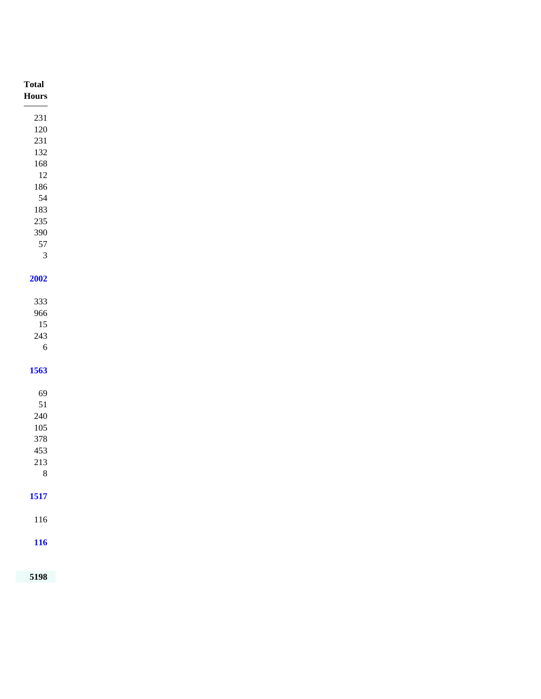| <b>Total</b>                                                                                                                                                                                                                                                                                                                                                                                                                                                   |  |
|----------------------------------------------------------------------------------------------------------------------------------------------------------------------------------------------------------------------------------------------------------------------------------------------------------------------------------------------------------------------------------------------------------------------------------------------------------------|--|
| ${\bf Hours}$<br>$\frac{1}{1} \left( \frac{1}{1} \right)^{2} \left( \frac{1}{1} \right)^{2} \left( \frac{1}{1} \right)^{2} \left( \frac{1}{1} \right)^{2} \left( \frac{1}{1} \right)^{2} \left( \frac{1}{1} \right)^{2} \left( \frac{1}{1} \right)^{2} \left( \frac{1}{1} \right)^{2} \left( \frac{1}{1} \right)^{2} \left( \frac{1}{1} \right)^{2} \left( \frac{1}{1} \right)^{2} \left( \frac{1}{1} \right)^{2} \left( \frac{1}{1} \right)^{2} \left( \frac$ |  |
| $231\,$                                                                                                                                                                                                                                                                                                                                                                                                                                                        |  |
| $120\,$                                                                                                                                                                                                                                                                                                                                                                                                                                                        |  |
| $231\,$                                                                                                                                                                                                                                                                                                                                                                                                                                                        |  |
| $132\,$                                                                                                                                                                                                                                                                                                                                                                                                                                                        |  |
| $168\,$                                                                                                                                                                                                                                                                                                                                                                                                                                                        |  |
| 12                                                                                                                                                                                                                                                                                                                                                                                                                                                             |  |
| $186\,$                                                                                                                                                                                                                                                                                                                                                                                                                                                        |  |
| 54                                                                                                                                                                                                                                                                                                                                                                                                                                                             |  |
| 183                                                                                                                                                                                                                                                                                                                                                                                                                                                            |  |
| $235\,$                                                                                                                                                                                                                                                                                                                                                                                                                                                        |  |
| 390                                                                                                                                                                                                                                                                                                                                                                                                                                                            |  |
| $57\,$<br>$\overline{3}$                                                                                                                                                                                                                                                                                                                                                                                                                                       |  |
|                                                                                                                                                                                                                                                                                                                                                                                                                                                                |  |
| 2002                                                                                                                                                                                                                                                                                                                                                                                                                                                           |  |
|                                                                                                                                                                                                                                                                                                                                                                                                                                                                |  |
| 333                                                                                                                                                                                                                                                                                                                                                                                                                                                            |  |
| 966                                                                                                                                                                                                                                                                                                                                                                                                                                                            |  |
| 15                                                                                                                                                                                                                                                                                                                                                                                                                                                             |  |
| $243\,$                                                                                                                                                                                                                                                                                                                                                                                                                                                        |  |
| 6                                                                                                                                                                                                                                                                                                                                                                                                                                                              |  |
|                                                                                                                                                                                                                                                                                                                                                                                                                                                                |  |
| 1563                                                                                                                                                                                                                                                                                                                                                                                                                                                           |  |
|                                                                                                                                                                                                                                                                                                                                                                                                                                                                |  |
| 69                                                                                                                                                                                                                                                                                                                                                                                                                                                             |  |
| $51\,$                                                                                                                                                                                                                                                                                                                                                                                                                                                         |  |
| $240\,$                                                                                                                                                                                                                                                                                                                                                                                                                                                        |  |
| $105\,$                                                                                                                                                                                                                                                                                                                                                                                                                                                        |  |
| 378                                                                                                                                                                                                                                                                                                                                                                                                                                                            |  |
| 453                                                                                                                                                                                                                                                                                                                                                                                                                                                            |  |
| $213\,$<br>$\,8\,$                                                                                                                                                                                                                                                                                                                                                                                                                                             |  |
|                                                                                                                                                                                                                                                                                                                                                                                                                                                                |  |
| 1517                                                                                                                                                                                                                                                                                                                                                                                                                                                           |  |
|                                                                                                                                                                                                                                                                                                                                                                                                                                                                |  |
| $116\,$                                                                                                                                                                                                                                                                                                                                                                                                                                                        |  |
|                                                                                                                                                                                                                                                                                                                                                                                                                                                                |  |
| <b>116</b>                                                                                                                                                                                                                                                                                                                                                                                                                                                     |  |
|                                                                                                                                                                                                                                                                                                                                                                                                                                                                |  |
|                                                                                                                                                                                                                                                                                                                                                                                                                                                                |  |
| 5198                                                                                                                                                                                                                                                                                                                                                                                                                                                           |  |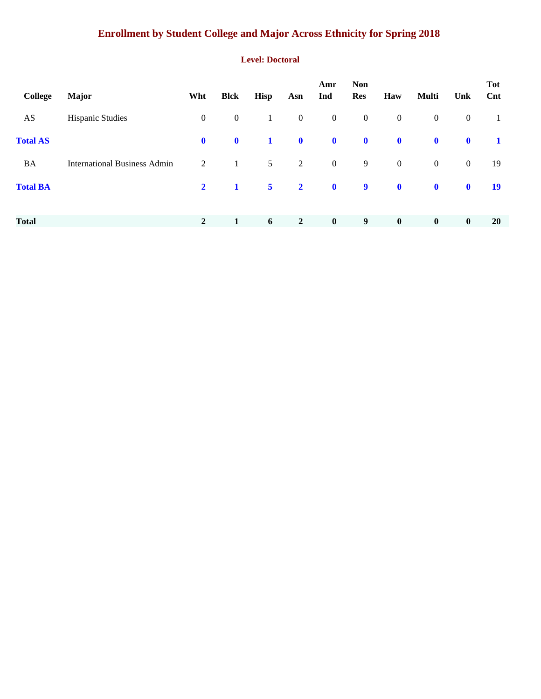# **Enrollment by Student College and Major Across Ethnicity for Spring 2018**

#### **Level: Doctoral**

| College         | <b>Major</b>                        | Wht            | <b>Blck</b>      | <b>Hisp</b>    | Asn              | Amr<br>Ind       | <b>Non</b><br><b>Res</b> | Haw              | Multi            | Unk              | <b>Tot</b><br>Cnt |
|-----------------|-------------------------------------|----------------|------------------|----------------|------------------|------------------|--------------------------|------------------|------------------|------------------|-------------------|
| AS              | <b>Hispanic Studies</b>             | $\mathbf{0}$   | $\boldsymbol{0}$ | $\mathbf{1}$   | $\boldsymbol{0}$ | $\boldsymbol{0}$ | $\boldsymbol{0}$         | $\boldsymbol{0}$ | $\boldsymbol{0}$ | $\boldsymbol{0}$ | -1                |
| <b>Total AS</b> |                                     | $\mathbf{0}$   | $\mathbf 0$      | $\mathbf{1}$   | $\mathbf 0$      | $\mathbf{0}$     | $\mathbf 0$              | $\mathbf 0$      | $\mathbf 0$      | $\mathbf 0$      | $\mathbf{1}$      |
| <b>BA</b>       | <b>International Business Admin</b> | 2              | $\mathbf{1}$     | 5 <sup>5</sup> | $\overline{2}$   | $\boldsymbol{0}$ | 9                        | $\boldsymbol{0}$ | $\mathbf{0}$     | $\mathbf{0}$     | 19                |
| <b>Total BA</b> |                                     | $\mathbf{2}$   | $\mathbf{1}$     | 5 <sup>5</sup> | $\overline{2}$   | $\mathbf 0$      | $\boldsymbol{9}$         | $\mathbf 0$      | $\mathbf 0$      | $\mathbf 0$      | <b>19</b>         |
| <b>Total</b>    |                                     | $\overline{2}$ | 1                | 6              | $\overline{2}$   | $\bf{0}$         | 9                        | $\bf{0}$         | $\boldsymbol{0}$ | $\bf{0}$         | <b>20</b>         |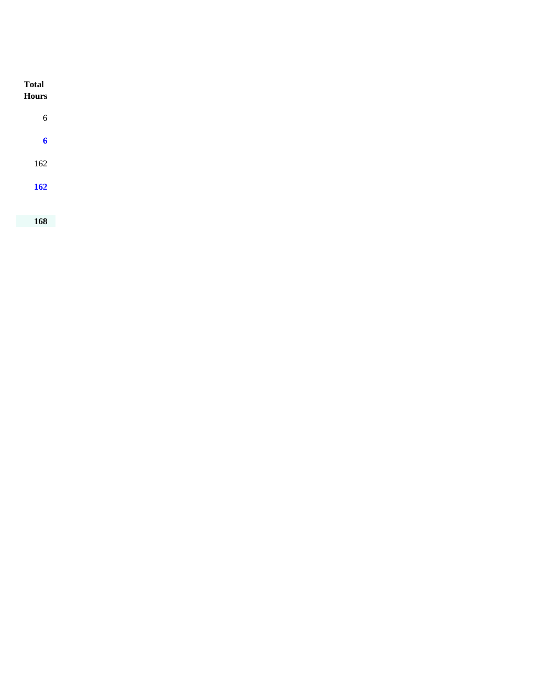| <b>Total</b><br><b>Hours</b> |
|------------------------------|
| $\sqrt{6}$                   |
| $\boldsymbol{6}$             |
| 162                          |
| <b>162</b>                   |
|                              |
| 168                          |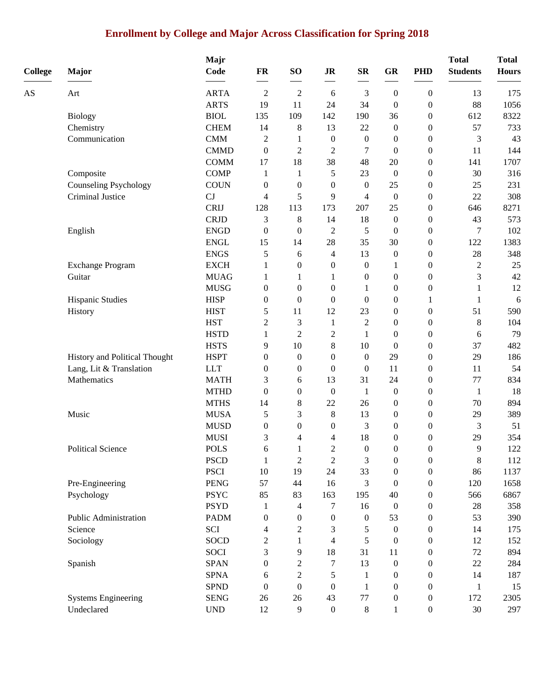# **Enrollment by College and Major Across Classification for Spring 2018**

| <b>College</b> | Major                                  | Majr<br>Code                | FR                       | SO <sub>1</sub>       | <b>JR</b>                | ${\bf SR}$                   | <b>GR</b>        | <b>PHD</b>                           | <b>Total</b><br><b>Students</b> | <b>Total</b><br><b>Hours</b> |
|----------------|----------------------------------------|-----------------------------|--------------------------|-----------------------|--------------------------|------------------------------|------------------|--------------------------------------|---------------------------------|------------------------------|
| AS             | Art                                    | <b>ARTA</b>                 | $\overline{2}$           | $\sqrt{2}$            | 6                        | 3                            | $\boldsymbol{0}$ | $\boldsymbol{0}$                     | 13                              | 175                          |
|                |                                        | <b>ARTS</b>                 | 19                       | 11                    | 24                       | 34                           | $\boldsymbol{0}$ | $\boldsymbol{0}$                     | 88                              | 1056                         |
|                | <b>Biology</b>                         | <b>BIOL</b>                 | 135                      | 109                   | 142                      | 190                          | 36               | $\boldsymbol{0}$                     | 612                             | 8322                         |
|                | Chemistry                              | <b>CHEM</b>                 | 14                       | 8                     | 13                       | 22                           | $\boldsymbol{0}$ | $\boldsymbol{0}$                     | 57                              | 733                          |
|                | Communication                          | <b>CMM</b>                  | $\overline{c}$           | 1                     | $\boldsymbol{0}$         | $\boldsymbol{0}$             | $\boldsymbol{0}$ | $\boldsymbol{0}$                     | 3                               | 43                           |
|                |                                        | <b>CMMD</b>                 | $\boldsymbol{0}$         | $\overline{c}$        | $\overline{c}$           | 7                            | $\boldsymbol{0}$ | $\boldsymbol{0}$                     | 11                              | 144                          |
|                |                                        | <b>COMM</b>                 | 17                       | 18                    | 38                       | 48                           | 20               | $\boldsymbol{0}$                     | 141                             | 1707                         |
|                | Composite                              | <b>COMP</b>                 | 1                        | 1                     | 5                        | 23                           | $\boldsymbol{0}$ | $\boldsymbol{0}$                     | 30                              | 316                          |
|                | <b>Counseling Psychology</b>           | <b>COUN</b>                 | $\boldsymbol{0}$         | $\boldsymbol{0}$      | $\boldsymbol{0}$         | $\boldsymbol{0}$             | 25               | $\boldsymbol{0}$                     | 25                              | 231                          |
|                | Criminal Justice                       | CJ                          | $\overline{\mathcal{L}}$ | 5                     | 9                        | $\overline{4}$               | $\boldsymbol{0}$ | $\boldsymbol{0}$                     | 22                              | 308                          |
|                |                                        | <b>CRIJ</b>                 | 128                      | 113                   | 173                      | 207                          | 25               | $\boldsymbol{0}$                     | 646                             | 8271                         |
|                |                                        | <b>CRJD</b>                 | 3                        | 8                     | 14                       | 18                           | $\boldsymbol{0}$ | $\boldsymbol{0}$                     | 43                              | 573                          |
|                | English                                | <b>ENGD</b>                 | $\boldsymbol{0}$         | $\overline{0}$        | $\mathfrak{2}$           | 5                            | $\boldsymbol{0}$ | $\boldsymbol{0}$                     | 7                               | 102                          |
|                |                                        | <b>ENGL</b>                 | 15                       | 14                    | 28                       | 35                           | 30               | $\boldsymbol{0}$                     | 122                             | 1383                         |
|                |                                        | <b>ENGS</b>                 | 5                        | 6                     | 4                        | 13                           | $\boldsymbol{0}$ | $\boldsymbol{0}$                     | 28                              | 348                          |
|                | <b>Exchange Program</b>                | <b>EXCH</b>                 | 1                        | $\boldsymbol{0}$      | $\boldsymbol{0}$         | $\boldsymbol{0}$             | 1                | $\boldsymbol{0}$                     | $\sqrt{2}$                      | 25                           |
|                | Guitar                                 | <b>MUAG</b>                 | 1                        | 1                     | 1                        | $\boldsymbol{0}$             | $\boldsymbol{0}$ | $\boldsymbol{0}$                     | 3                               | 42                           |
|                |                                        | <b>MUSG</b>                 | $\boldsymbol{0}$         | $\overline{0}$        | $\boldsymbol{0}$         | 1                            | $\boldsymbol{0}$ | $\boldsymbol{0}$                     | 1                               | 12                           |
|                | Hispanic Studies                       | <b>HISP</b>                 | $\boldsymbol{0}$         | $\boldsymbol{0}$      | $\boldsymbol{0}$         | $\theta$                     | $\boldsymbol{0}$ | 1                                    | 1                               | 6                            |
|                | History                                | <b>HIST</b>                 | 5                        | 11                    | 12                       | 23                           | $\boldsymbol{0}$ | $\boldsymbol{0}$                     | 51                              | 590                          |
|                |                                        | <b>HST</b>                  | $\overline{c}$           | 3                     | $\mathbf{1}$             | $\overline{2}$               | $\boldsymbol{0}$ | $\boldsymbol{0}$                     | $\,8\,$                         | 104                          |
|                |                                        | <b>HSTD</b>                 | $\mathbf{1}$             | $\overline{c}$        | $\mathfrak{2}$           | 1                            | $\boldsymbol{0}$ | $\boldsymbol{0}$                     | 6                               | 79                           |
|                |                                        | <b>HSTS</b>                 | 9                        | 10                    | $8\,$                    | 10                           | $\boldsymbol{0}$ | $\boldsymbol{0}$                     | 37                              | 482                          |
|                | History and Political Thought          | <b>HSPT</b><br><b>LLT</b>   | 0                        | $\theta$              | $\boldsymbol{0}$         | $\mathbf{0}$<br>$\mathbf{0}$ | 29<br>11         | $\boldsymbol{0}$                     | 29<br>11                        | 186<br>54                    |
|                | Lang, Lit & Translation<br>Mathematics | <b>MATH</b>                 | 0<br>3                   | $\boldsymbol{0}$<br>6 | $\boldsymbol{0}$<br>13   | 31                           | 24               | $\boldsymbol{0}$<br>$\boldsymbol{0}$ | 77                              | 834                          |
|                |                                        | <b>MTHD</b>                 | $\boldsymbol{0}$         | $\boldsymbol{0}$      | $\boldsymbol{0}$         | $\mathbf{1}$                 | $\boldsymbol{0}$ | $\boldsymbol{0}$                     | $\mathbf{1}$                    | 18                           |
|                |                                        | <b>MTHS</b>                 | 14                       | 8                     | 22                       | 26                           | $\boldsymbol{0}$ | $\boldsymbol{0}$                     | 70                              | 894                          |
|                | Music                                  | <b>MUSA</b>                 | 5                        | 3                     | $8\,$                    | 13                           | $\boldsymbol{0}$ | $\boldsymbol{0}$                     | 29                              | 389                          |
|                |                                        | <b>MUSD</b>                 | $\boldsymbol{0}$         | $\overline{0}$        | $\boldsymbol{0}$         | 3                            | $\boldsymbol{0}$ | $\boldsymbol{0}$                     | 3                               | 51                           |
|                |                                        | <b>MUSI</b>                 | 3                        | 4                     | 4                        | 18                           | $\boldsymbol{0}$ | $\boldsymbol{0}$                     | 29                              | 354                          |
|                | Political Science                      | <b>POLS</b>                 | 6                        | $\mathbf{1}$          | $\overline{2}$           | $\boldsymbol{0}$             | $\boldsymbol{0}$ | $\boldsymbol{0}$                     | 9                               | 122                          |
|                |                                        | <b>PSCD</b>                 | $\mathbf{1}$             | $\boldsymbol{2}$      | $\mathfrak{2}$           | $\mathfrak{Z}$               | $\boldsymbol{0}$ | $\boldsymbol{0}$                     | $\,8\,$                         | 112                          |
|                |                                        | <b>PSCI</b>                 | $10\,$                   | 19                    | 24                       | 33                           | $\boldsymbol{0}$ | $\boldsymbol{0}$                     | 86                              | 1137                         |
|                | Pre-Engineering                        | <b>PENG</b>                 | 57                       | 44                    | 16                       | 3                            | $\boldsymbol{0}$ | $\overline{0}$                       | 120                             | 1658                         |
|                | Psychology                             | <b>PSYC</b>                 | 85                       | 83                    | 163                      | 195                          | 40               | 0                                    | 566                             | 6867                         |
|                |                                        | <b>PSYD</b>                 | 1                        | 4                     | 7                        | 16                           | $\boldsymbol{0}$ | $\overline{0}$                       | 28                              | 358                          |
|                | Public Administration                  | <b>PADM</b>                 | 0                        | $\boldsymbol{0}$      | 0                        | $\boldsymbol{0}$             | 53               | 0                                    | 53                              | 390                          |
|                | Science                                | SCI                         | 4                        | $\overline{c}$        | 3                        | 5                            | $\boldsymbol{0}$ | $\boldsymbol{0}$                     | 14                              | 175                          |
|                | Sociology                              | <b>SOCD</b>                 | $\overline{c}$           |                       | $\overline{\mathcal{L}}$ | 5                            | $\boldsymbol{0}$ | $\boldsymbol{0}$                     | 12                              | 152                          |
|                |                                        | <b>SOCI</b>                 | 3                        | 9                     | 18                       | 31                           | 11               | 0                                    | 72                              | 894                          |
|                | Spanish                                | <b>SPAN</b>                 | 0                        | 2                     | 7                        | 13                           | $\boldsymbol{0}$ | $\overline{0}$                       | 22                              | 284                          |
|                |                                        | <b>SPNA</b>                 | 6                        | $\overline{c}$        | 5                        | 1                            | 0                | $\overline{0}$                       | 14                              | 187                          |
|                |                                        | <b>SPND</b>                 | $\boldsymbol{0}$         | $\boldsymbol{0}$      | $\boldsymbol{0}$         | 1                            | 0                | $\overline{0}$                       | 1                               | 15                           |
|                | <b>Systems Engineering</b>             | <b>SENG</b>                 | $26\,$                   | 26                    | 43                       | 77                           | 0                | $\boldsymbol{0}$                     | 172                             | 2305                         |
|                | Undeclared                             | $\ensuremath{\mathrm{UND}}$ | 12                       | 9                     | $\boldsymbol{0}$         | 8                            | $\mathbf{1}$     | $\boldsymbol{0}$                     | $30\,$                          | 297                          |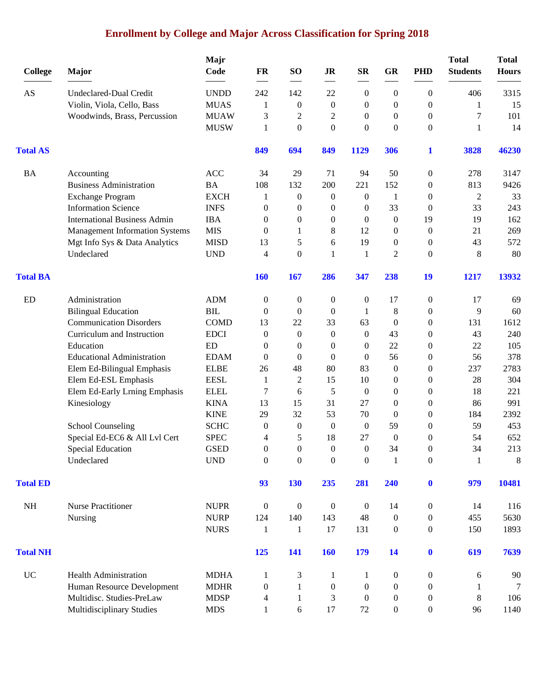# **Enrollment by College and Major Across Classification for Spring 2018**

| <b>College</b>         | Major                                 | Majr<br>Code | FR               | SO <sub>1</sub>  | <b>JR</b>        | <b>SR</b>        | <b>GR</b>        | <b>PHD</b>       | <b>Total</b><br><b>Students</b> | <b>Total</b><br><b>Hours</b> |
|------------------------|---------------------------------------|--------------|------------------|------------------|------------------|------------------|------------------|------------------|---------------------------------|------------------------------|
| $\mathbf{A}\mathbf{S}$ | Undeclared-Dual Credit                | <b>UNDD</b>  | 242              | 142              | 22               | $\boldsymbol{0}$ | $\boldsymbol{0}$ | $\overline{0}$   | 406                             | 3315                         |
|                        | Violin, Viola, Cello, Bass            | <b>MUAS</b>  | 1                | $\boldsymbol{0}$ | $\boldsymbol{0}$ | 0                | $\mathbf{0}$     | $\overline{0}$   | 1                               | 15                           |
|                        | Woodwinds, Brass, Percussion          | <b>MUAW</b>  | 3                | $\overline{c}$   | 2                | 0                | $\boldsymbol{0}$ | $\overline{0}$   | $\boldsymbol{7}$                | 101                          |
|                        |                                       | <b>MUSW</b>  | 1                | $\boldsymbol{0}$ | $\boldsymbol{0}$ | $\boldsymbol{0}$ | $\boldsymbol{0}$ | $\boldsymbol{0}$ | $\mathbf{1}$                    | 14                           |
| <b>Total AS</b>        |                                       |              | 849              | 694              | 849              | 1129             | 306              | 1                | 3828                            | 46230                        |
| <b>BA</b>              | Accounting                            | ACC          | 34               | 29               | 71               | 94               | 50               | $\boldsymbol{0}$ | 278                             | 3147                         |
|                        | <b>Business Administration</b>        | <b>BA</b>    | 108              | 132              | 200              | 221              | 152              | $\boldsymbol{0}$ | 813                             | 9426                         |
|                        | <b>Exchange Program</b>               | <b>EXCH</b>  | 1                | $\boldsymbol{0}$ | $\boldsymbol{0}$ | 0                | 1                | $\boldsymbol{0}$ | $\overline{2}$                  | 33                           |
|                        | <b>Information Science</b>            | <b>INFS</b>  | $\boldsymbol{0}$ | $\boldsymbol{0}$ | $\boldsymbol{0}$ | 0                | 33               | $\boldsymbol{0}$ | 33                              | 243                          |
|                        | <b>International Business Admin</b>   | <b>IBA</b>   | $\mathbf{0}$     | $\theta$         | $\boldsymbol{0}$ | 0                | $\boldsymbol{0}$ | 19               | 19                              | 162                          |
|                        | <b>Management Information Systems</b> | <b>MIS</b>   | $\Omega$         | 1                | 8                | 12               | $\boldsymbol{0}$ | $\overline{0}$   | 21                              | 269                          |
|                        | Mgt Info Sys & Data Analytics         | <b>MISD</b>  | 13               | 5                | 6                | 19               | $\boldsymbol{0}$ | $\boldsymbol{0}$ | 43                              | 572                          |
|                        | Undeclared                            | <b>UND</b>   | 4                | $\mathbf{0}$     | $\mathbf{1}$     | 1                | 2                | $\overline{0}$   | 8                               | 80                           |
| <b>Total BA</b>        |                                       |              | <b>160</b>       | 167              | 286              | 347              | 238              | 19               | 1217                            | 13932                        |
| ED                     | Administration                        | <b>ADM</b>   | $\boldsymbol{0}$ | $\boldsymbol{0}$ | $\boldsymbol{0}$ | $\boldsymbol{0}$ | 17               | $\boldsymbol{0}$ | 17                              | 69                           |
|                        | <b>Bilingual Education</b>            | BIL          | $\mathbf{0}$     | $\theta$         | $\theta$         | 1                | 8                | $\overline{0}$   | 9                               | 60                           |
|                        | <b>Communication Disorders</b>        | <b>COMD</b>  | 13               | 22               | 33               | 63               | $\theta$         | $\overline{0}$   | 131                             | 1612                         |
|                        | Curriculum and Instruction            | <b>EDCI</b>  | $\boldsymbol{0}$ | $\mathbf{0}$     | $\boldsymbol{0}$ | $\boldsymbol{0}$ | 43               | $\boldsymbol{0}$ | 43                              | 240                          |
|                        | Education                             | ED           | $\boldsymbol{0}$ | $\theta$         | $\boldsymbol{0}$ | 0                | 22               | $\boldsymbol{0}$ | 22                              | 105                          |
|                        | <b>Educational Administration</b>     | <b>EDAM</b>  | $\mathbf{0}$     | $\Omega$         | $\mathbf{0}$     | $\mathbf{0}$     | 56               | $\boldsymbol{0}$ | 56                              | 378                          |
|                        | Elem Ed-Bilingual Emphasis            | <b>ELBE</b>  | 26               | 48               | 80               | 83               | $\boldsymbol{0}$ | $\theta$         | 237                             | 2783                         |
|                        | Elem Ed-ESL Emphasis                  | <b>EESL</b>  | 1                | 2                | 15               | 10               | $\boldsymbol{0}$ | $\theta$         | 28                              | 304                          |
|                        | Elem Ed-Early Lrning Emphasis         | <b>ELEL</b>  | 7                | 6                | 5                | $\mathbf{0}$     | $\boldsymbol{0}$ | $\overline{0}$   | 18                              | 221                          |
|                        | Kinesiology                           | <b>KINA</b>  | 13               | 15               | 31               | 27               | $\boldsymbol{0}$ | $\boldsymbol{0}$ | 86                              | 991                          |
|                        |                                       | <b>KINE</b>  | 29               | 32               | 53               | 70               | $\boldsymbol{0}$ | $\boldsymbol{0}$ | 184                             | 2392                         |
|                        | <b>School Counseling</b>              | <b>SCHC</b>  | $\boldsymbol{0}$ | $\theta$         | $\boldsymbol{0}$ | $\boldsymbol{0}$ | 59               | $\theta$         | 59                              | 453                          |
|                        | Special Ed-EC6 & All Lvl Cert         | <b>SPEC</b>  | 4                | 5                | 18               | 27               | $\boldsymbol{0}$ | $\theta$         | 54                              | 652                          |
|                        | <b>Special Education</b>              | <b>GSED</b>  | 0                | $\Omega$         | $\Omega$         | $\theta$         | 34               | $\Omega$         | 34                              | 213                          |
|                        | Undeclared                            | <b>UND</b>   | $\boldsymbol{0}$ | $\boldsymbol{0}$ | $\boldsymbol{0}$ | 0                | $\mathbf{1}$     | $\boldsymbol{0}$ | 1                               | 8                            |
| <b>Total ED</b>        |                                       |              | 93               | <b>130</b>       | 235              | 281              | 240              | $\bf{0}$         | 979                             | 10481                        |
| <b>NH</b>              | <b>Nurse Practitioner</b>             | <b>NUPR</b>  | $\mathbf{0}$     | $\boldsymbol{0}$ | $\mathbf{0}$     | $\boldsymbol{0}$ | 14               | $\boldsymbol{0}$ | 14                              | 116                          |
|                        | Nursing                               | <b>NURP</b>  | 124              | 140              | 143              | 48               | $\boldsymbol{0}$ | $\boldsymbol{0}$ | 455                             | 5630                         |
|                        |                                       | <b>NURS</b>  | 1                | 1                | 17               | 131              | $\boldsymbol{0}$ | $\boldsymbol{0}$ | 150                             | 1893                         |
| <b>Total NH</b>        |                                       |              | 125              | 141              | <b>160</b>       | <b>179</b>       | 14               | $\mathbf{0}$     | 619                             | 7639                         |
| <b>UC</b>              | <b>Health Administration</b>          | <b>MDHA</b>  | 1                | 3                | 1                | 1                | $\boldsymbol{0}$ | $\boldsymbol{0}$ | 6                               | 90                           |
|                        | Human Resource Development            | <b>MDHR</b>  | $\mathbf{0}$     | 1                | $\mathbf{0}$     | $\boldsymbol{0}$ | $\boldsymbol{0}$ | $\boldsymbol{0}$ | 1                               | 7                            |
|                        | Multidisc. Studies-PreLaw             | <b>MDSP</b>  | 4                | 1                | 3                | $\boldsymbol{0}$ | $\boldsymbol{0}$ | $\overline{0}$   | 8                               | 106                          |
|                        | Multidisciplinary Studies             | <b>MDS</b>   | $\mathbf{1}$     | 6                | 17               | 72               | $\boldsymbol{0}$ | $\boldsymbol{0}$ | 96                              | 1140                         |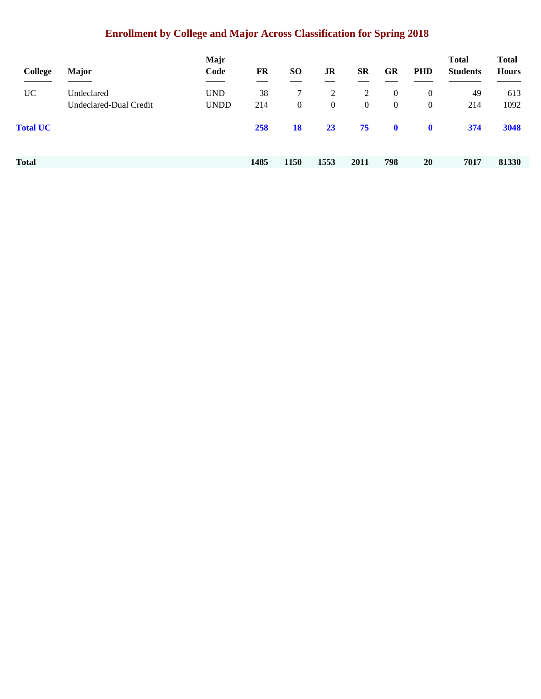# **Enrollment by College and Major Across Classification for Spring 2018**

| College         | <b>Major</b>           | Majr<br>Code | FR   | <b>SO</b>      | JR             | <b>SR</b>      | GR             | <b>PHD</b>     | <b>Total</b><br><b>Students</b> | <b>Total</b><br><b>Hours</b> |
|-----------------|------------------------|--------------|------|----------------|----------------|----------------|----------------|----------------|---------------------------------|------------------------------|
| <b>UC</b>       | Undeclared             | <b>UND</b>   | 38   | 7              | 2              | 2              | $\mathbf{0}$   | $\overline{0}$ | 49                              | 613                          |
|                 | Undeclared-Dual Credit | <b>UNDD</b>  | 214  | $\overline{0}$ | $\overline{0}$ | $\overline{0}$ | $\overline{0}$ | $\overline{0}$ | 214                             | 1092                         |
| <b>Total UC</b> |                        |              | 258  | <b>18</b>      | 23             | 75             | $\mathbf 0$    | $\mathbf{0}$   | 374                             | 3048                         |
|                 |                        |              |      |                |                |                |                |                |                                 |                              |
| Total           |                        |              | 1485 | 1150           | 1553           | 2011           | 798            | 20             | 7017                            | 81330                        |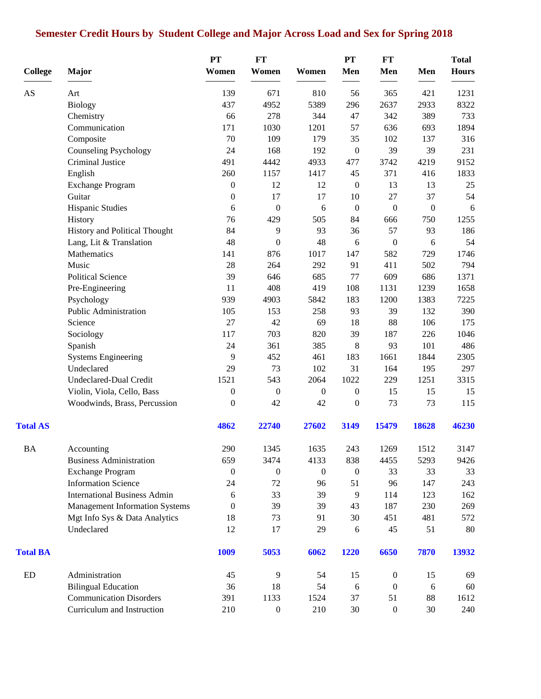# **Semester Credit Hours by Student College and Major Across Load and Sex for Spring 2018**

|                 |                                       | PT               | FT               |                  | PT               | FT               |                  | <b>Total</b> |
|-----------------|---------------------------------------|------------------|------------------|------------------|------------------|------------------|------------------|--------------|
| <b>College</b>  | <b>Major</b>                          | Women            | Women            | Women            | Men              | Men              | Men              | <b>Hours</b> |
| AS              | Art                                   | 139              | 671              | 810              | 56               | 365              | 421              | 1231         |
|                 | <b>Biology</b>                        | 437              | 4952             | 5389             | 296              | 2637             | 2933             | 8322         |
|                 | Chemistry                             | 66               | 278              | 344              | 47               | 342              | 389              | 733          |
|                 | Communication                         | 171              | 1030             | 1201             | 57               | 636              | 693              | 1894         |
|                 | Composite                             | 70               | 109              | 179              | 35               | 102              | 137              | 316          |
|                 | <b>Counseling Psychology</b>          | 24               | 168              | 192              | $\boldsymbol{0}$ | 39               | 39               | 231          |
|                 | Criminal Justice                      | 491              | 4442             | 4933             | 477              | 3742             | 4219             | 9152         |
|                 | English                               | 260              | 1157             | 1417             | 45               | 371              | 416              | 1833         |
|                 | Exchange Program                      | $\boldsymbol{0}$ | 12               | 12               | $\boldsymbol{0}$ | 13               | 13               | 25           |
|                 | Guitar                                | 0                | 17               | 17               | 10               | 27               | 37               | 54           |
|                 | Hispanic Studies                      | 6                | $\boldsymbol{0}$ | 6                | $\boldsymbol{0}$ | $\boldsymbol{0}$ | $\boldsymbol{0}$ | 6            |
|                 | History                               | 76               | 429              | 505              | 84               | 666              | 750              | 1255         |
|                 | History and Political Thought         | 84               | 9                | 93               | 36               | 57               | 93               | 186          |
|                 | Lang, Lit & Translation               | 48               | $\boldsymbol{0}$ | 48               | 6                | $\boldsymbol{0}$ | 6                | 54           |
|                 | Mathematics                           | 141              | 876              | 1017             | 147              | 582              | 729              | 1746         |
|                 | Music                                 | 28               | 264              | 292              | 91               | 411              | 502              | 794          |
|                 | <b>Political Science</b>              | 39               | 646              | 685              | 77               | 609              | 686              | 1371         |
|                 | Pre-Engineering                       | 11               | 408              | 419              | 108              | 1131             | 1239             | 1658         |
|                 | Psychology                            | 939              | 4903             | 5842             | 183              | 1200             | 1383             | 7225         |
|                 | Public Administration                 | 105              | 153              | 258              | 93               | 39               | 132              | 390          |
|                 | Science                               | 27               | 42               | 69               | 18               | 88               | 106              | 175          |
|                 | Sociology                             | 117              | 703              | 820              | 39               | 187              | 226              | 1046         |
|                 | Spanish                               | 24               | 361              | 385              | 8                | 93               | 101              | 486          |
|                 | <b>Systems Engineering</b>            | 9                | 452              | 461              | 183              | 1661             | 1844             | 2305         |
|                 | Undeclared                            | 29               | 73               | 102              | 31               | 164              | 195              | 297          |
|                 | Undeclared-Dual Credit                | 1521             | 543              | 2064             | 1022             | 229              | 1251             | 3315         |
|                 | Violin, Viola, Cello, Bass            | $\boldsymbol{0}$ | $\boldsymbol{0}$ | $\boldsymbol{0}$ | $\boldsymbol{0}$ | 15               | 15               | 15           |
|                 | Woodwinds, Brass, Percussion          | $\overline{0}$   | 42               | 42               | $\boldsymbol{0}$ | 73               | 73               | 115          |
| <b>Total AS</b> |                                       | 4862             | 22740            | 27602            | 3149             | 15479            | 18628            | 46230        |
| <b>BA</b>       | Accounting                            | 290              | 1345             | 1635             | 243              | 1269             | 1512             | 3147         |
|                 | <b>Business Administration</b>        | 659              | 3474             | 4133             | 838              | 4455             | 5293             | 9426         |
|                 | <b>Exchange Program</b>               | $\boldsymbol{0}$ | $\boldsymbol{0}$ | $\boldsymbol{0}$ | $\boldsymbol{0}$ | 33               | 33               | 33           |
|                 | <b>Information Science</b>            | 24               | 72               | 96               | 51               | 96               | 147              | 243          |
|                 | <b>International Business Admin</b>   | 6                | 33               | 39               | 9                | 114              | 123              | 162          |
|                 | <b>Management Information Systems</b> | $\overline{0}$   | 39               | 39               | 43               | 187              | 230              | 269          |
|                 | Mgt Info Sys & Data Analytics         | 18               | 73               | 91               | 30               | 451              | 481              | 572          |
|                 | Undeclared                            | 12               | 17               | 29               | 6                | 45               | 51               | 80           |
| <b>Total BA</b> |                                       | 1009             | 5053             | 6062             | 1220             | 6650             | 7870             | 13932        |
| ED              | Administration                        | 45               | 9                | 54               | 15               | $\boldsymbol{0}$ | 15               | 69           |
|                 | <b>Bilingual Education</b>            | 36               | 18               | 54               | $\sqrt{6}$       | $\boldsymbol{0}$ | 6                | 60           |
|                 | <b>Communication Disorders</b>        | 391              | 1133             | 1524             | 37               | 51               | 88               | 1612         |
|                 | Curriculum and Instruction            | 210              | $\boldsymbol{0}$ | 210              | 30               | $\boldsymbol{0}$ | 30               | 240          |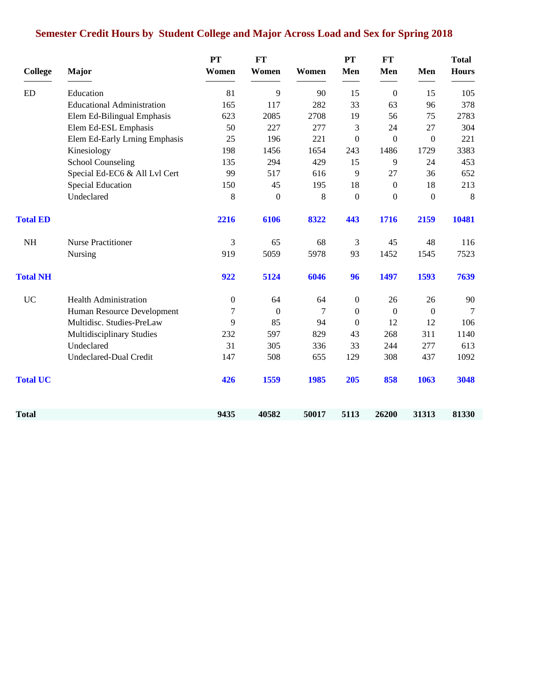# **Semester Credit Hours by Student College and Major Across Load and Sex for Spring 2018**

| <b>College</b>  | Major                             | <b>PT</b><br>Women | FT<br>Women      | Women | PT<br>Men        | <b>FT</b><br>Men | Men          | <b>Total</b><br><b>Hours</b> |
|-----------------|-----------------------------------|--------------------|------------------|-------|------------------|------------------|--------------|------------------------------|
|                 |                                   |                    |                  |       |                  |                  |              |                              |
| <b>ED</b>       | Education                         | 81                 | 9                | 90    | 15               | $\boldsymbol{0}$ | 15           | 105                          |
|                 | <b>Educational Administration</b> | 165                | 117              | 282   | 33               | 63               | 96           | 378                          |
|                 | Elem Ed-Bilingual Emphasis        | 623                | 2085             | 2708  | 19               | 56               | 75           | 2783                         |
|                 | Elem Ed-ESL Emphasis              | 50                 | 227              | 277   | 3                | 24               | 27           | 304                          |
|                 | Elem Ed-Early Lrning Emphasis     | 25                 | 196              | 221   | $\mathbf{0}$     | $\Omega$         | $\Omega$     | 221                          |
|                 | Kinesiology                       | 198                | 1456             | 1654  | 243              | 1486             | 1729         | 3383                         |
|                 | <b>School Counseling</b>          | 135                | 294              | 429   | 15               | 9                | 24           | 453                          |
|                 | Special Ed-EC6 & All Lvl Cert     | 99                 | 517              | 616   | 9                | 27               | 36           | 652                          |
|                 | <b>Special Education</b>          | 150                | 45               | 195   | 18               | $\overline{0}$   | 18           | 213                          |
|                 | Undeclared                        | 8                  | $\boldsymbol{0}$ | 8     | $\boldsymbol{0}$ | $\overline{0}$   | $\mathbf{0}$ | 8                            |
| <b>Total ED</b> |                                   | 2216               | 6106             | 8322  | 443              | 1716             | 2159         | 10481                        |
| $\rm NH$        | <b>Nurse Practitioner</b>         | 3                  | 65               | 68    | 3                | 45               | 48           | 116                          |
|                 | Nursing                           | 919                | 5059             | 5978  | 93               | 1452             | 1545         | 7523                         |
| <b>Total NH</b> |                                   | 922                | 5124             | 6046  | 96               | 1497             | 1593         | 7639                         |
| <b>UC</b>       | <b>Health Administration</b>      | $\boldsymbol{0}$   | 64               | 64    | $\boldsymbol{0}$ | 26               | 26           | 90                           |
|                 | Human Resource Development        | 7                  | $\mathbf{0}$     | 7     | $\mathbf{0}$     | $\overline{0}$   | $\mathbf{0}$ | $\tau$                       |
|                 | Multidisc. Studies-PreLaw         | 9                  | 85               | 94    | $\boldsymbol{0}$ | 12               | 12           | 106                          |
|                 | Multidisciplinary Studies         | 232                | 597              | 829   | 43               | 268              | 311          | 1140                         |
|                 | Undeclared                        | 31                 | 305              | 336   | 33               | 244              | 277          | 613                          |
|                 | Undeclared-Dual Credit            | 147                | 508              | 655   | 129              | 308              | 437          | 1092                         |
| <b>Total UC</b> |                                   | 426                | 1559             | 1985  | 205              | 858              | 1063         | 3048                         |
| Total           |                                   | 9435               | 40582            | 50017 | 5113             | 26200            | 31313        | 81330                        |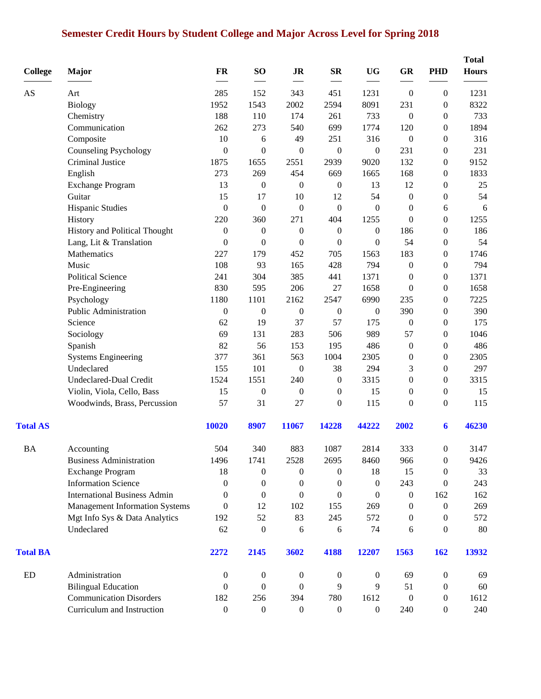# **Semester Credit Hours by Student College and Major Across Level for Spring 2018**

| <b>College</b>  | Major                                 | <b>FR</b>        | SO <sub>1</sub>  | J <sub>R</sub>   | $S_{\mathbf{R}}$ | <b>UG</b>        | GR               | <b>PHD</b>       | <b>Total</b><br><b>Hours</b> |
|-----------------|---------------------------------------|------------------|------------------|------------------|------------------|------------------|------------------|------------------|------------------------------|
| AS              | Art                                   | 285              | 152              | 343              | 451              | 1231             | $\boldsymbol{0}$ | $\boldsymbol{0}$ | 1231                         |
|                 | <b>Biology</b>                        | 1952             | 1543             | 2002             | 2594             | 8091             | 231              | $\boldsymbol{0}$ | 8322                         |
|                 | Chemistry                             | 188              | 110              | 174              | 261              | 733              | $\boldsymbol{0}$ | $\mathbf{0}$     | 733                          |
|                 | Communication                         | 262              | 273              | 540              | 699              | 1774             | 120              | $\boldsymbol{0}$ | 1894                         |
|                 | Composite                             | 10               | 6                | 49               | 251              | 316              | $\boldsymbol{0}$ | $\boldsymbol{0}$ | 316                          |
|                 | <b>Counseling Psychology</b>          | $\boldsymbol{0}$ | $\boldsymbol{0}$ | $\boldsymbol{0}$ | $\boldsymbol{0}$ | $\boldsymbol{0}$ | 231              | $\boldsymbol{0}$ | 231                          |
|                 | Criminal Justice                      | 1875             | 1655             | 2551             | 2939             | 9020             | 132              | $\boldsymbol{0}$ | 9152                         |
|                 | English                               | 273              | 269              | 454              | 669              | 1665             | 168              | $\boldsymbol{0}$ | 1833                         |
|                 | <b>Exchange Program</b>               | 13               | $\boldsymbol{0}$ | $\boldsymbol{0}$ | $\boldsymbol{0}$ | 13               | 12               | $\boldsymbol{0}$ | 25                           |
|                 | Guitar                                | 15               | 17               | 10               | 12               | 54               | $\boldsymbol{0}$ | $\boldsymbol{0}$ | 54                           |
|                 | <b>Hispanic Studies</b>               | $\boldsymbol{0}$ | $\boldsymbol{0}$ | $\boldsymbol{0}$ | $\boldsymbol{0}$ | $\overline{0}$   | $\boldsymbol{0}$ | 6                | 6                            |
|                 | History                               | 220              | 360              | 271              | 404              | 1255             | $\theta$         | $\boldsymbol{0}$ | 1255                         |
|                 | History and Political Thought         | $\boldsymbol{0}$ | $\boldsymbol{0}$ | $\boldsymbol{0}$ | $\boldsymbol{0}$ | $\boldsymbol{0}$ | 186              | $\boldsymbol{0}$ | 186                          |
|                 | Lang, Lit & Translation               | $\boldsymbol{0}$ | $\boldsymbol{0}$ | $\boldsymbol{0}$ | $\boldsymbol{0}$ | $\boldsymbol{0}$ | 54               | $\boldsymbol{0}$ | 54                           |
|                 | Mathematics                           | 227              | 179              | 452              | 705              | 1563             | 183              | $\boldsymbol{0}$ | 1746                         |
|                 | Music                                 | 108              | 93               | 165              | 428              | 794              | $\boldsymbol{0}$ | $\boldsymbol{0}$ | 794                          |
|                 | <b>Political Science</b>              | 241              | 304              | 385              | 441              | 1371             | $\boldsymbol{0}$ | $\boldsymbol{0}$ | 1371                         |
|                 | Pre-Engineering                       | 830              | 595              | 206              | 27               | 1658             | $\boldsymbol{0}$ | $\boldsymbol{0}$ | 1658                         |
|                 | Psychology                            | 1180             | 1101             | 2162             | 2547             | 6990             | 235              | $\boldsymbol{0}$ | 7225                         |
|                 | Public Administration                 | $\boldsymbol{0}$ | $\boldsymbol{0}$ | $\boldsymbol{0}$ | $\boldsymbol{0}$ | $\boldsymbol{0}$ | 390              | $\boldsymbol{0}$ | 390                          |
|                 | Science                               | 62               | 19               | 37               | 57               | 175              | $\boldsymbol{0}$ | $\boldsymbol{0}$ | 175                          |
|                 | Sociology                             | 69               | 131              | 283              | 506              | 989              | 57               | $\boldsymbol{0}$ | 1046                         |
|                 | Spanish                               | 82               | 56               | 153              | 195              | 486              | $\boldsymbol{0}$ | $\boldsymbol{0}$ | 486                          |
|                 | <b>Systems Engineering</b>            | 377              | 361              | 563              | 1004             | 2305             | $\boldsymbol{0}$ | $\boldsymbol{0}$ | 2305                         |
|                 | Undeclared                            | 155              | 101              | $\boldsymbol{0}$ | 38               | 294              | 3                | $\boldsymbol{0}$ | 297                          |
|                 | Undeclared-Dual Credit                | 1524             | 1551             | 240              | $\boldsymbol{0}$ | 3315             | $\boldsymbol{0}$ | $\boldsymbol{0}$ | 3315                         |
|                 | Violin, Viola, Cello, Bass            | 15               | $\boldsymbol{0}$ | $\boldsymbol{0}$ | $\mathbf{0}$     | 15               | $\boldsymbol{0}$ | $\boldsymbol{0}$ | 15                           |
|                 | Woodwinds, Brass, Percussion          | 57               | 31               | 27               | $\boldsymbol{0}$ | 115              | $\boldsymbol{0}$ | $\boldsymbol{0}$ | 115                          |
| <b>Total AS</b> |                                       | 10020            | 8907             | 11067            | 14228            | 44222            | 2002             | 6                | 46230                        |
| <b>BA</b>       | Accounting                            | 504              | 340              | 883              | 1087             | 2814             | 333              | $\boldsymbol{0}$ | 3147                         |
|                 | <b>Business Administration</b>        | 1496             | 1741             | 2528             | 2695             | 8460             | 966              | $\boldsymbol{0}$ | 9426                         |
|                 | <b>Exchange Program</b>               | 18               | $\boldsymbol{0}$ | $\overline{0}$   | $\mathbf{0}$     | 18               | 15               | $\boldsymbol{0}$ | 33                           |
|                 | <b>Information Science</b>            | 0                | $\mathbf{0}$     | $\mathbf{0}$     | $\Omega$         | $\theta$         | 243              | $\bf{0}$         | 243                          |
|                 | <b>International Business Admin</b>   | $\theta$         | $\mathbf{0}$     | $\boldsymbol{0}$ | $\boldsymbol{0}$ | $\theta$         | $\boldsymbol{0}$ | 162              | 162                          |
|                 | <b>Management Information Systems</b> | $\boldsymbol{0}$ | 12               | 102              | 155              | 269              | $\boldsymbol{0}$ | $\boldsymbol{0}$ | 269                          |
|                 | Mgt Info Sys & Data Analytics         | 192              | 52               | 83               | 245              | 572              | 0                | $\mathbf{0}$     | 572                          |
|                 | Undeclared                            | 62               | $\boldsymbol{0}$ | 6                | 6                | 74               | 6                | $\mathbf{0}$     | 80                           |
| <b>Total BA</b> |                                       | 2272             | 2145             | 3602             | 4188             | 12207            | 1563             | 162              | 13932                        |
| ED              | Administration                        | $\boldsymbol{0}$ | $\boldsymbol{0}$ | $\boldsymbol{0}$ | $\boldsymbol{0}$ | $\boldsymbol{0}$ | 69               | $\boldsymbol{0}$ | 69                           |
|                 | <b>Bilingual Education</b>            | $\mathbf{0}$     | $\boldsymbol{0}$ | $\overline{0}$   | 9                | 9                | 51               | $\boldsymbol{0}$ | 60                           |
|                 | <b>Communication Disorders</b>        | 182              | 256              | 394              | 780              | 1612             | $\boldsymbol{0}$ | $\boldsymbol{0}$ | 1612                         |
|                 | Curriculum and Instruction            | $\boldsymbol{0}$ | $\boldsymbol{0}$ | $\boldsymbol{0}$ | $\boldsymbol{0}$ | $\overline{0}$   | 240              | $\boldsymbol{0}$ | 240                          |